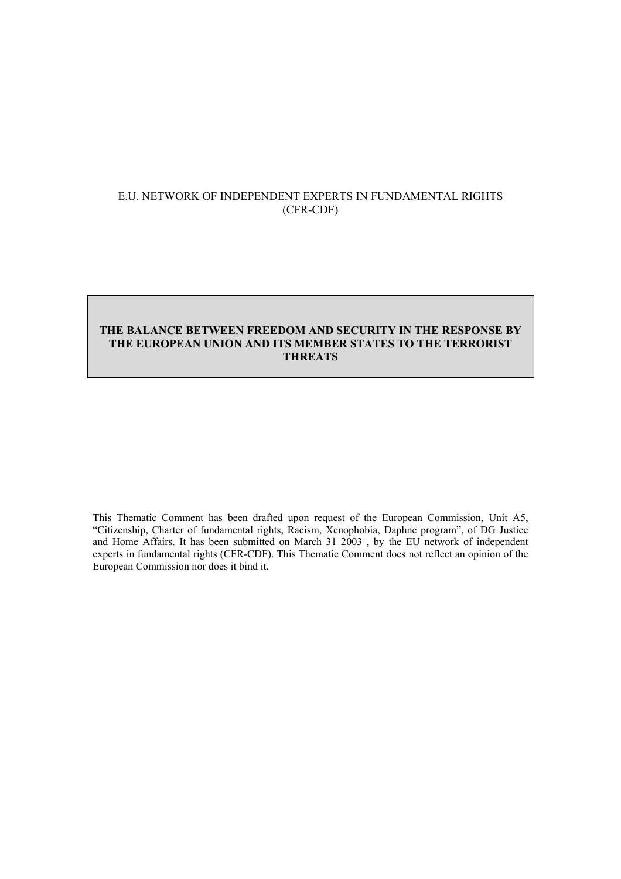## E.U. NETWORK OF INDEPENDENT EXPERTS IN FUNDAMENTAL RIGHTS (CFR-CDF)

## **THE BALANCE BETWEEN FREEDOM AND SECURITY IN THE RESPONSE BY THE EUROPEAN UNION AND ITS MEMBER STATES TO THE TERRORIST THREATS**

This Thematic Comment has been drafted upon request of the European Commission, Unit A5, "Citizenship, Charter of fundamental rights, Racism, Xenophobia, Daphne program", of DG Justice and Home Affairs. It has been submitted on March 31 2003 , by the EU network of independent experts in fundamental rights (CFR-CDF). This Thematic Comment does not reflect an opinion of the European Commission nor does it bind it.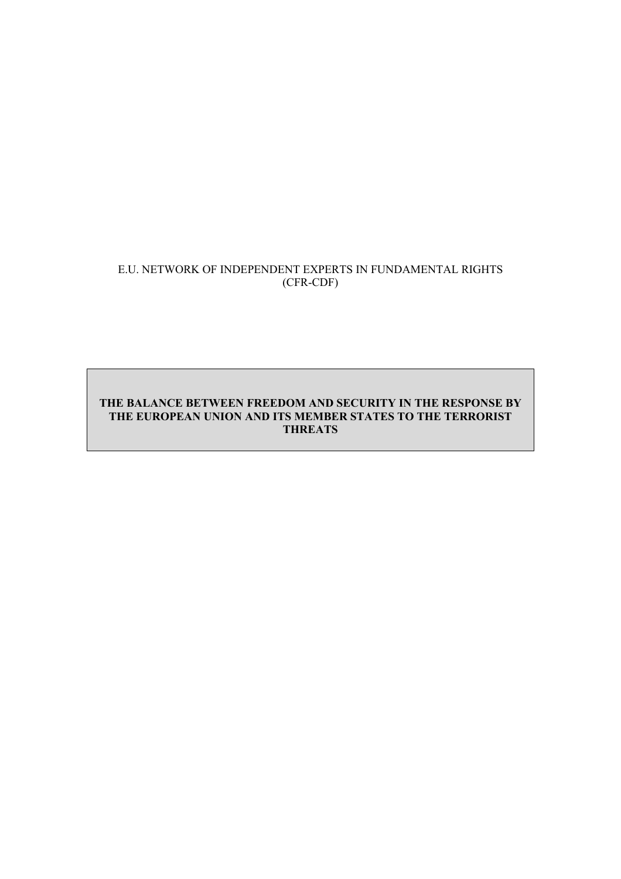## E.U. NETWORK OF INDEPENDENT EXPERTS IN FUNDAMENTAL RIGHTS (CFR-CDF)

## **THE BALANCE BETWEEN FREEDOM AND SECURITY IN THE RESPONSE BY THE EUROPEAN UNION AND ITS MEMBER STATES TO THE TERRORIST THREATS**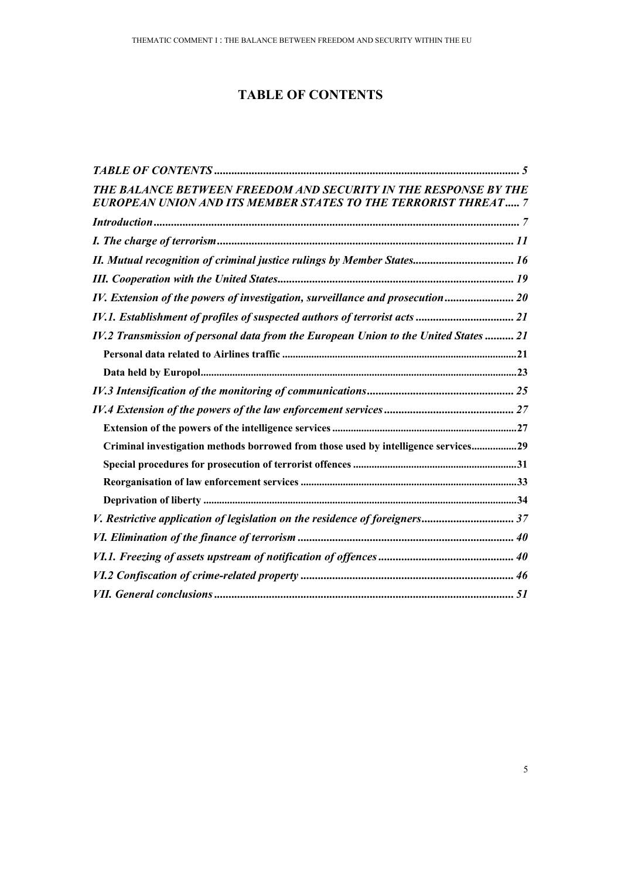# **TABLE OF CONTENTS**

| THE BALANCE BETWEEN FREEDOM AND SECURITY IN THE RESPONSE BY THE<br>EUROPEAN UNION AND ITS MEMBER STATES TO THE TERRORIST THREAT 7 |  |
|-----------------------------------------------------------------------------------------------------------------------------------|--|
|                                                                                                                                   |  |
|                                                                                                                                   |  |
| II. Mutual recognition of criminal justice rulings by Member States 16                                                            |  |
|                                                                                                                                   |  |
| IV. Extension of the powers of investigation, surveillance and prosecution 20                                                     |  |
| IV.1. Establishment of profiles of suspected authors of terrorist acts  21                                                        |  |
| IV.2 Transmission of personal data from the European Union to the United States  21                                               |  |
|                                                                                                                                   |  |
|                                                                                                                                   |  |
|                                                                                                                                   |  |
|                                                                                                                                   |  |
|                                                                                                                                   |  |
| Criminal investigation methods borrowed from those used by intelligence services29                                                |  |
|                                                                                                                                   |  |
|                                                                                                                                   |  |
|                                                                                                                                   |  |
| V. Restrictive application of legislation on the residence of foreigners 37                                                       |  |
|                                                                                                                                   |  |
|                                                                                                                                   |  |
|                                                                                                                                   |  |
|                                                                                                                                   |  |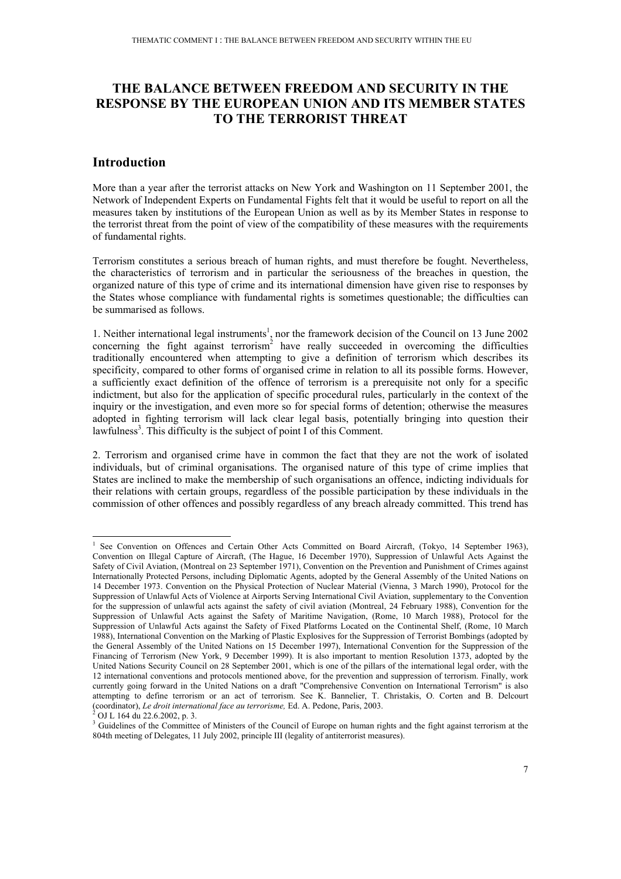# **THE BALANCE BETWEEN FREEDOM AND SECURITY IN THE RESPONSE BY THE EUROPEAN UNION AND ITS MEMBER STATES TO THE TERRORIST THREAT**

### **Introduction**

More than a year after the terrorist attacks on New York and Washington on 11 September 2001, the Network of Independent Experts on Fundamental Fights felt that it would be useful to report on all the measures taken by institutions of the European Union as well as by its Member States in response to the terrorist threat from the point of view of the compatibility of these measures with the requirements of fundamental rights.

Terrorism constitutes a serious breach of human rights, and must therefore be fought. Nevertheless, the characteristics of terrorism and in particular the seriousness of the breaches in question, the organized nature of this type of crime and its international dimension have given rise to responses by the States whose compliance with fundamental rights is sometimes questionable; the difficulties can be summarised as follows.

1. Neither international legal instruments<sup>1</sup>, nor the framework decision of the Council on 13 June 2002 concerning the fight against terrorism<sup>2</sup> have really succeeded in overcoming the difficulties traditionally encountered when attempting to give a definition of terrorism which describes its specificity, compared to other forms of organised crime in relation to all its possible forms. However, a sufficiently exact definition of the offence of terrorism is a prerequisite not only for a specific indictment, but also for the application of specific procedural rules, particularly in the context of the inquiry or the investigation, and even more so for special forms of detention; otherwise the measures adopted in fighting terrorism will lack clear legal basis, potentially bringing into question their lawfulness<sup>3</sup>. This difficulty is the subject of point I of this Comment.

2. Terrorism and organised crime have in common the fact that they are not the work of isolated individuals, but of criminal organisations. The organised nature of this type of crime implies that States are inclined to make the membership of such organisations an offence, indicting individuals for their relations with certain groups, regardless of the possible participation by these individuals in the commission of other offences and possibly regardless of any breach already committed. This trend has

<sup>1</sup> See Convention on Offences and Certain Other Acts Committed on Board Aircraft, (Tokyo, 14 September 1963), Convention on Illegal Capture of Aircraft, (The Hague, 16 December 1970), Suppression of Unlawful Acts Against the Safety of Civil Aviation, (Montreal on 23 September 1971), Convention on the Prevention and Punishment of Crimes against Internationally Protected Persons, including Diplomatic Agents, adopted by the General Assembly of the United Nations on 14 December 1973. Convention on the Physical Protection of Nuclear Material (Vienna, 3 March 1990), Protocol for the Suppression of Unlawful Acts of Violence at Airports Serving International Civil Aviation, supplementary to the Convention for the suppression of unlawful acts against the safety of civil aviation (Montreal, 24 February 1988), Convention for the Suppression of Unlawful Acts against the Safety of Maritime Navigation, (Rome, 10 March 1988), Protocol for the Suppression of Unlawful Acts against the Safety of Fixed Platforms Located on the Continental Shelf, (Rome, 10 March 1988), International Convention on the Marking of Plastic Explosives for the Suppression of Terrorist Bombings (adopted by the General Assembly of the United Nations on 15 December 1997), International Convention for the Suppression of the Financing of Terrorism (New York, 9 December 1999). It is also important to mention Resolution 1373, adopted by the United Nations Security Council on 28 September 2001, which is one of the pillars of the international legal order, with the 12 international conventions and protocols mentioned above, for the prevention and suppression of terrorism. Finally, work currently going forward in the United Nations on a draft "Comprehensive Convention on International Terrorism" is also attempting to define terrorism or an act of terrorism. See K. Bannelier, T. Christakis, O. Corten and B. Delcourt (coordinator), *Le droit international face au terrorisme,* Ed. A. Pedone, Paris, 2003. 2

OJ L 164 du 22.6.2002, p. 3.

<sup>&</sup>lt;sup>3</sup> Guidelines of the Committee of Ministers of the Council of Europe on human rights and the fight against terrorism at the 804th meeting of Delegates, 11 July 2002, principle III (legality of antiterrorist measures).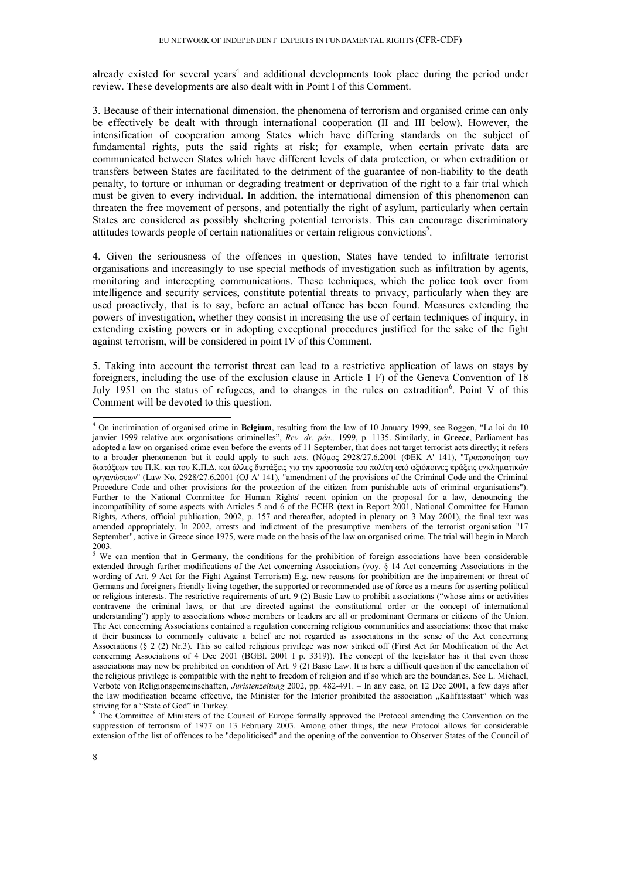already existed for several years<sup>4</sup> and additional developments took place during the period under review. These developments are also dealt with in Point I of this Comment.

3. Because of their international dimension, the phenomena of terrorism and organised crime can only be effectively be dealt with through international cooperation (II and III below). However, the intensification of cooperation among States which have differing standards on the subject of fundamental rights, puts the said rights at risk; for example, when certain private data are communicated between States which have different levels of data protection, or when extradition or transfers between States are facilitated to the detriment of the guarantee of non-liability to the death penalty, to torture or inhuman or degrading treatment or deprivation of the right to a fair trial which must be given to every individual. In addition, the international dimension of this phenomenon can threaten the free movement of persons, and potentially the right of asylum, particularly when certain States are considered as possibly sheltering potential terrorists. This can encourage discriminatory attitudes towards people of certain nationalities or certain religious convictions<sup>5</sup>.

4. Given the seriousness of the offences in question, States have tended to infiltrate terrorist organisations and increasingly to use special methods of investigation such as infiltration by agents, monitoring and intercepting communications. These techniques, which the police took over from intelligence and security services, constitute potential threats to privacy, particularly when they are used proactively, that is to say, before an actual offence has been found. Measures extending the powers of investigation, whether they consist in increasing the use of certain techniques of inquiry, in extending existing powers or in adopting exceptional procedures justified for the sake of the fight against terrorism, will be considered in point IV of this Comment.

5. Taking into account the terrorist threat can lead to a restrictive application of laws on stays by foreigners, including the use of the exclusion clause in Article 1 F) of the Geneva Convention of 18 July 1951 on the status of refugees, and to changes in the rules on extradition<sup>6</sup>. Point V of this Comment will be devoted to this question.

<sup>4</sup> On incrimination of organised crime in **Belgium**, resulting from the law of 10 January 1999, see Roggen, "La loi du 10 janvier 1999 relative aux organisations criminelles", *Rev. dr. pén.,* 1999, p. 1135. Similarly, in **Greece**, Parliament has adopted a law on organised crime even before the events of 11 September, that does not target terrorist acts directly; it refers to a broader phenomenon but it could apply to such acts. (Νόµος 2928/27.6.2001 (ΦΕΚ Α' 141), ''Τροποποίηση των διατάξεων του Π.Κ. και του Κ.Π.∆. και άλλες διατάξεις για την προστασία του πολίτη από αξιόποινες πράξεις εγκληµατικών οργανώσεων'' (Law No. 2928/27.6.2001 (OJ A' 141), "amendment of the provisions of the Criminal Code and the Criminal Procedure Code and other provisions for the protection of the citizen from punishable acts of criminal organisations"). Further to the National Committee for Human Rights' recent opinion on the proposal for a law, denouncing the incompatibility of some aspects with Articles 5 and 6 of the ECHR (text in Report 2001, National Committee for Human Rights, Athens, official publication, 2002, p. 157 and thereafter, adopted in plenary on 3 May 2001), the final text was amended appropriately. In 2002, arrests and indictment of the presumptive members of the terrorist organisation "17 September", active in Greece since 1975, were made on the basis of the law on organised crime. The trial will begin in March 2003.

<sup>&</sup>lt;sup>5</sup> We can mention that in Germany, the conditions for the prohibition of foreign associations have been considerable extended through further modifications of the Act concerning Associations (voy.  $\S$  14 Act concerning Associations in the wording of Art. 9 Act for the Fight Against Terrorism) E.g. new reasons for prohibition are the impairement or threat of Germans and foreigners friendly living together, the supported or recommended use of force as a means for asserting political or religious interests. The restrictive requirements of art. 9 (2) Basic Law to prohibit associations ("whose aims or activities contravene the criminal laws, or that are directed against the constitutional order or the concept of international understanding") apply to associations whose members or leaders are all or predominant Germans or citizens of the Union. The Act concerning Associations contained a regulation concerning religious communities and associations: those that make it their business to commonly cultivate a belief are not regarded as associations in the sense of the Act concerning Associations (§ 2 (2) Nr.3). This so called religious privilege was now striked off (First Act for Modification of the Act concerning Associations of 4 Dec 2001 (BGBl. 2001 I p. 3319)). The concept of the legislator has it that even those associations may now be prohibited on condition of Art. 9 (2) Basic Law. It is here a difficult question if the cancellation of the religious privilege is compatible with the right to freedom of religion and if so which are the boundaries. See L. Michael, Verbote von Religionsgemeinschaften, *Juristenzeitung* 2002, pp. 482-491. – In any case, on 12 Dec 2001, a few days after the law modification became effective, the Minister for the Interior prohibited the association "Kalifatsstaat" which was striving for a "State of God" in Turkey.

<sup>&</sup>lt;sup>6</sup> The Committee of Ministers of the Council of Europe formally approved the Protocol amending the Convention on the suppression of terrorism of 1977 on 13 February 2003. Among other things, the new Protocol allows for considerable extension of the list of offences to be "depoliticised" and the opening of the convention to Observer States of the Council of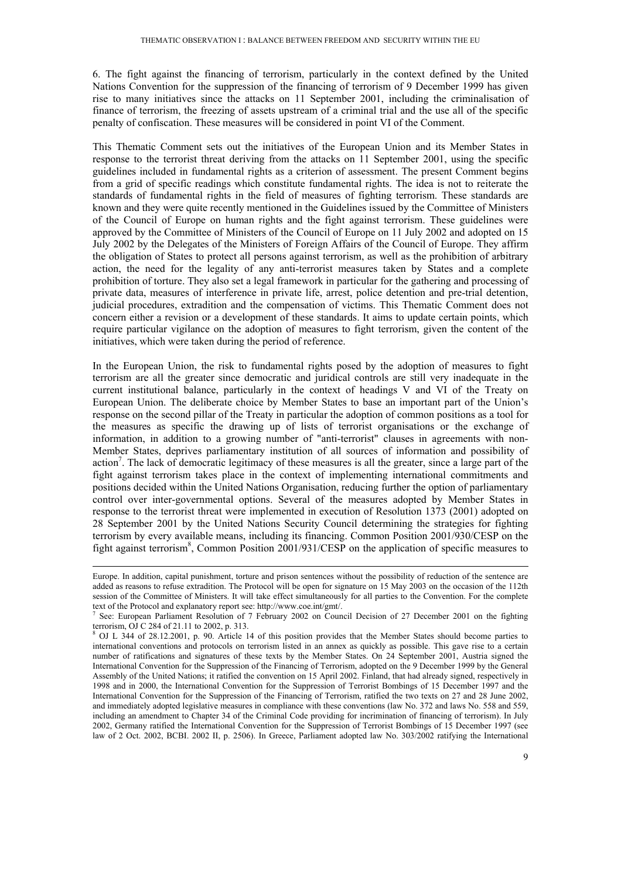6. The fight against the financing of terrorism, particularly in the context defined by the United Nations Convention for the suppression of the financing of terrorism of 9 December 1999 has given rise to many initiatives since the attacks on 11 September 2001, including the criminalisation of finance of terrorism, the freezing of assets upstream of a criminal trial and the use all of the specific penalty of confiscation. These measures will be considered in point VI of the Comment.

This Thematic Comment sets out the initiatives of the European Union and its Member States in response to the terrorist threat deriving from the attacks on 11 September 2001, using the specific guidelines included in fundamental rights as a criterion of assessment. The present Comment begins from a grid of specific readings which constitute fundamental rights. The idea is not to reiterate the standards of fundamental rights in the field of measures of fighting terrorism. These standards are known and they were quite recently mentioned in the Guidelines issued by the Committee of Ministers of the Council of Europe on human rights and the fight against terrorism. These guidelines were approved by the Committee of Ministers of the Council of Europe on 11 July 2002 and adopted on 15 July 2002 by the Delegates of the Ministers of Foreign Affairs of the Council of Europe. They affirm the obligation of States to protect all persons against terrorism, as well as the prohibition of arbitrary action, the need for the legality of any anti-terrorist measures taken by States and a complete prohibition of torture. They also set a legal framework in particular for the gathering and processing of private data, measures of interference in private life, arrest, police detention and pre-trial detention, judicial procedures, extradition and the compensation of victims. This Thematic Comment does not concern either a revision or a development of these standards. It aims to update certain points, which require particular vigilance on the adoption of measures to fight terrorism, given the content of the initiatives, which were taken during the period of reference.

In the European Union, the risk to fundamental rights posed by the adoption of measures to fight terrorism are all the greater since democratic and juridical controls are still very inadequate in the current institutional balance, particularly in the context of headings V and VI of the Treaty on European Union. The deliberate choice by Member States to base an important part of the Union's response on the second pillar of the Treaty in particular the adoption of common positions as a tool for the measures as specific the drawing up of lists of terrorist organisations or the exchange of information, in addition to a growing number of "anti-terrorist" clauses in agreements with non-Member States, deprives parliamentary institution of all sources of information and possibility of action<sup>7</sup>. The lack of democratic legitimacy of these measures is all the greater, since a large part of the fight against terrorism takes place in the context of implementing international commitments and positions decided within the United Nations Organisation, reducing further the option of parliamentary control over inter-governmental options. Several of the measures adopted by Member States in response to the terrorist threat were implemented in execution of Resolution 1373 (2001) adopted on 28 September 2001 by the United Nations Security Council determining the strategies for fighting terrorism by every available means, including its financing. Common Position 2001/930/CESP on the fight against terrorism<sup>8</sup>, Common Position 2001/931/CESP on the application of specific measures to

Europe. In addition, capital punishment, torture and prison sentences without the possibility of reduction of the sentence are added as reasons to refuse extradition. The Protocol will be open for signature on 15 May 2003 on the occasion of the 112th session of the Committee of Ministers. It will take effect simultaneously for all parties to the Convention. For the complete text of the Protocol and explanatory report see: http://www.coe.int/gmt/.

See: European Parliament Resolution of 7 February 2002 on Council Decision of 27 December 2001 on the fighting terrorism, OJ C 284 of 21.11 to 2002, p. 313.

<sup>8</sup> OJ L 344 of 28.12.2001, p. 90. Article 14 of this position provides that the Member States should become parties to international conventions and protocols on terrorism listed in an annex as quickly as possible. This gave rise to a certain number of ratifications and signatures of these texts by the Member States. On 24 September 2001, Austria signed the International Convention for the Suppression of the Financing of Terrorism, adopted on the 9 December 1999 by the General Assembly of the United Nations; it ratified the convention on 15 April 2002. Finland, that had already signed, respectively in 1998 and in 2000, the International Convention for the Suppression of Terrorist Bombings of 15 December 1997 and the International Convention for the Suppression of the Financing of Terrorism, ratified the two texts on 27 and 28 June 2002, and immediately adopted legislative measures in compliance with these conventions (law No. 372 and laws No. 558 and 559, including an amendment to Chapter 34 of the Criminal Code providing for incrimination of financing of terrorism). In July 2002, Germany ratified the International Convention for the Suppression of Terrorist Bombings of 15 December 1997 (see law of 2 Oct. 2002, BCBI. 2002 II, p. 2506). In Greece, Parliament adopted law No. 303/2002 ratifying the International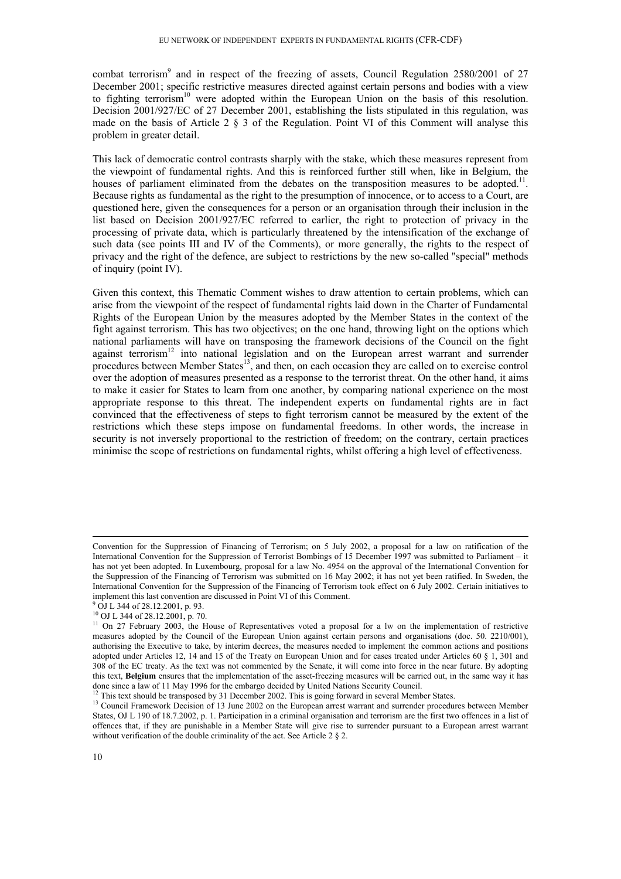combat terrorism<sup>9</sup> and in respect of the freezing of assets, Council Regulation 2580/2001 of 27 December 2001; specific restrictive measures directed against certain persons and bodies with a view to fighting terrorism<sup>10</sup> were adopted within the European Union on the basis of this resolution. Decision 2001/927/EC of 27 December 2001, establishing the lists stipulated in this regulation, was made on the basis of Article 2 § 3 of the Regulation. Point VI of this Comment will analyse this problem in greater detail.

This lack of democratic control contrasts sharply with the stake, which these measures represent from the viewpoint of fundamental rights. And this is reinforced further still when, like in Belgium, the houses of parliament eliminated from the debates on the transposition measures to be adopted.<sup>11</sup>. Because rights as fundamental as the right to the presumption of innocence, or to access to a Court, are questioned here, given the consequences for a person or an organisation through their inclusion in the list based on Decision 2001/927/EC referred to earlier, the right to protection of privacy in the processing of private data, which is particularly threatened by the intensification of the exchange of such data (see points III and IV of the Comments), or more generally, the rights to the respect of privacy and the right of the defence, are subject to restrictions by the new so-called "special" methods of inquiry (point IV).

Given this context, this Thematic Comment wishes to draw attention to certain problems, which can arise from the viewpoint of the respect of fundamental rights laid down in the Charter of Fundamental Rights of the European Union by the measures adopted by the Member States in the context of the fight against terrorism. This has two objectives; on the one hand, throwing light on the options which national parliaments will have on transposing the framework decisions of the Council on the fight against terrorism<sup>12</sup> into national legislation and on the European arrest warrant and surrender procedures between Member States<sup>13</sup>, and then, on each occasion they are called on to exercise control over the adoption of measures presented as a response to the terrorist threat. On the other hand, it aims to make it easier for States to learn from one another, by comparing national experience on the most appropriate response to this threat. The independent experts on fundamental rights are in fact convinced that the effectiveness of steps to fight terrorism cannot be measured by the extent of the restrictions which these steps impose on fundamental freedoms. In other words, the increase in security is not inversely proportional to the restriction of freedom; on the contrary, certain practices minimise the scope of restrictions on fundamental rights, whilst offering a high level of effectiveness.

Convention for the Suppression of Financing of Terrorism; on 5 July 2002, a proposal for a law on ratification of the International Convention for the Suppression of Terrorist Bombings of 15 December 1997 was submitted to Parliament – it has not yet been adopted. In Luxembourg, proposal for a law No. 4954 on the approval of the International Convention for the Suppression of the Financing of Terrorism was submitted on 16 May 2002; it has not yet been ratified. In Sweden, the International Convention for the Suppression of the Financing of Terrorism took effect on 6 July 2002. Certain initiatives to implement this last convention are discussed in Point VI of this Comment.

<sup>9</sup> OJ L 344 of 28.12.2001, p. 93.

<sup>10</sup> OJ L 344 of 28.12.2001, p. 70.

<sup>&</sup>lt;sup>11</sup> On 27 February 2003, the House of Representatives voted a proposal for a lw on the implementation of restrictive measures adopted by the Council of the European Union against certain persons and organisations (doc. 50. 2210/001), authorising the Executive to take, by interim decrees, the measures needed to implement the common actions and positions adopted under Articles 12, 14 and 15 of the Treaty on European Union and for cases treated under Articles 60 § 1, 301 and 308 of the EC treaty. As the text was not commented by the Senate, it will come into force in the near future. By adopting this text, **Belgium** ensures that the implementation of the asset-freezing measures will be carried out, in the same way it has done since a law of 11 May 1996 for the embargo decided by United Nations Security Council.

<sup>&</sup>lt;sup>12</sup> This text should be transposed by 31 December 2002. This is going forward in several Member States.<br><sup>13</sup> Council Framework Decision of 13 June 2002 on the European arrest warrant and surrender procedures between Memb States, OJ L 190 of 18.7.2002, p. 1. Participation in a criminal organisation and terrorism are the first two offences in a list of offences that, if they are punishable in a Member State will give rise to surrender pursuant to a European arrest warrant without verification of the double criminality of the act. See Article 2  $\S$  2.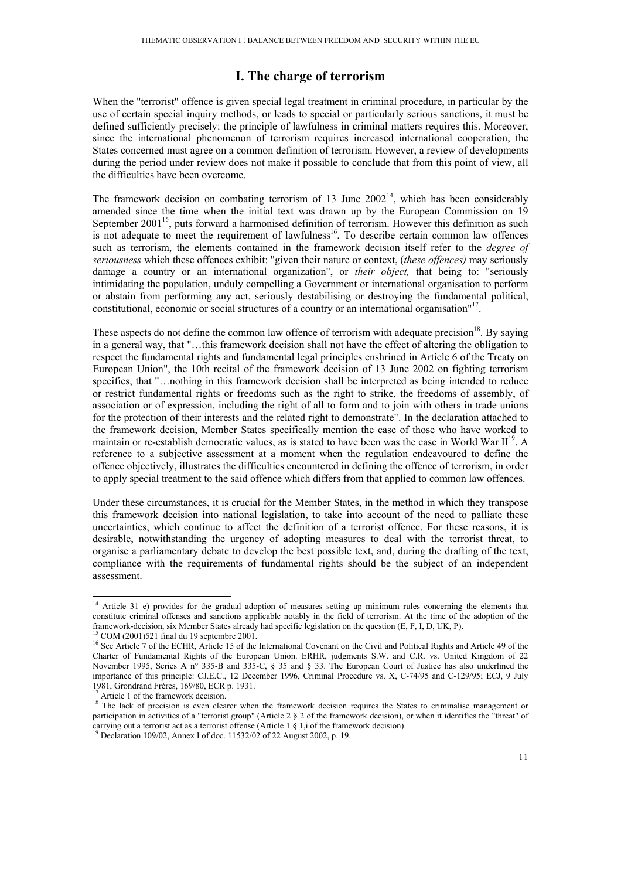## **I. The charge of terrorism**

When the "terrorist" offence is given special legal treatment in criminal procedure, in particular by the use of certain special inquiry methods, or leads to special or particularly serious sanctions, it must be defined sufficiently precisely: the principle of lawfulness in criminal matters requires this. Moreover, since the international phenomenon of terrorism requires increased international cooperation, the States concerned must agree on a common definition of terrorism. However, a review of developments during the period under review does not make it possible to conclude that from this point of view, all the difficulties have been overcome.

The framework decision on combating terrorism of 13 June  $2002<sup>14</sup>$ , which has been considerably amended since the time when the initial text was drawn up by the European Commission on 19 September  $2001<sup>15</sup>$ , puts forward a harmonised definition of terrorism. However this definition as such is not adequate to meet the requirement of lawfulness<sup>16</sup>. To describe certain common law offences such as terrorism, the elements contained in the framework decision itself refer to the *degree of seriousness* which these offences exhibit: "given their nature or context, (*these offences)* may seriously damage a country or an international organization", or *their object,* that being to: "seriously intimidating the population, unduly compelling a Government or international organisation to perform or abstain from performing any act, seriously destabilising or destroying the fundamental political, constitutional, economic or social structures of a country or an international organisation"<sup>17</sup>.

These aspects do not define the common law offence of terrorism with adequate precision<sup>18</sup>. By saying in a general way, that "…this framework decision shall not have the effect of altering the obligation to respect the fundamental rights and fundamental legal principles enshrined in Article 6 of the Treaty on European Union", the 10th recital of the framework decision of 13 June 2002 on fighting terrorism specifies, that "…nothing in this framework decision shall be interpreted as being intended to reduce or restrict fundamental rights or freedoms such as the right to strike, the freedoms of assembly, of association or of expression, including the right of all to form and to join with others in trade unions for the protection of their interests and the related right to demonstrate". In the declaration attached to the framework decision, Member States specifically mention the case of those who have worked to maintain or re-establish democratic values, as is stated to have been was the case in World War  $II^{19}$ . A reference to a subjective assessment at a moment when the regulation endeavoured to define the offence objectively, illustrates the difficulties encountered in defining the offence of terrorism, in order to apply special treatment to the said offence which differs from that applied to common law offences.

Under these circumstances, it is crucial for the Member States, in the method in which they transpose this framework decision into national legislation, to take into account of the need to palliate these uncertainties, which continue to affect the definition of a terrorist offence. For these reasons, it is desirable, notwithstanding the urgency of adopting measures to deal with the terrorist threat, to organise a parliamentary debate to develop the best possible text, and, during the drafting of the text, compliance with the requirements of fundamental rights should be the subject of an independent assessment.

<sup>&</sup>lt;sup>14</sup> Article 31 e) provides for the gradual adoption of measures setting up minimum rules concerning the elements that constitute criminal offenses and sanctions applicable notably in the field of terrorism. At the time of the adoption of the framework-decision, six Member States already had specific legislation on the question (E, F, I, D, UK, P). 15 COM (2001)521 final du 19 septembre 2001.

<sup>&</sup>lt;sup>16</sup> See Article 7 of the ECHR, Article 15 of the International Covenant on the Civil and Political Rights and Article 49 of the Charter of Fundamental Rights of the European Union. ERHR, judgments S.W. and C.R. vs. United Kingdom of 22 November 1995, Series A n° 335-B and 335-C, § 35 and § 33. The European Court of Justice has also underlined the importance of this principle: CJ.E.C., 12 December 1996, Criminal Procedure vs. X, C-74/95 and C-129/95; ECJ, 9 July 1981, Grondrand Frères, 169/80, ECR p. 1931.

 $17$  Article 1 of the framework decision.

<sup>&</sup>lt;sup>18</sup> The lack of precision is even clearer when the framework decision requires the States to criminalise management or participation in activities of a "terrorist group" (Article 2  $\S$  2 of the framework decision), or when it identifies the "threat" of carrying out a terrorist act as a terrorist offense (Article 1  $\S$  1, i of the framewor

<sup>&</sup>lt;sup>19</sup> Declaration 109/02, Annex I of doc. 11532/02 of 22 August 2002, p. 19.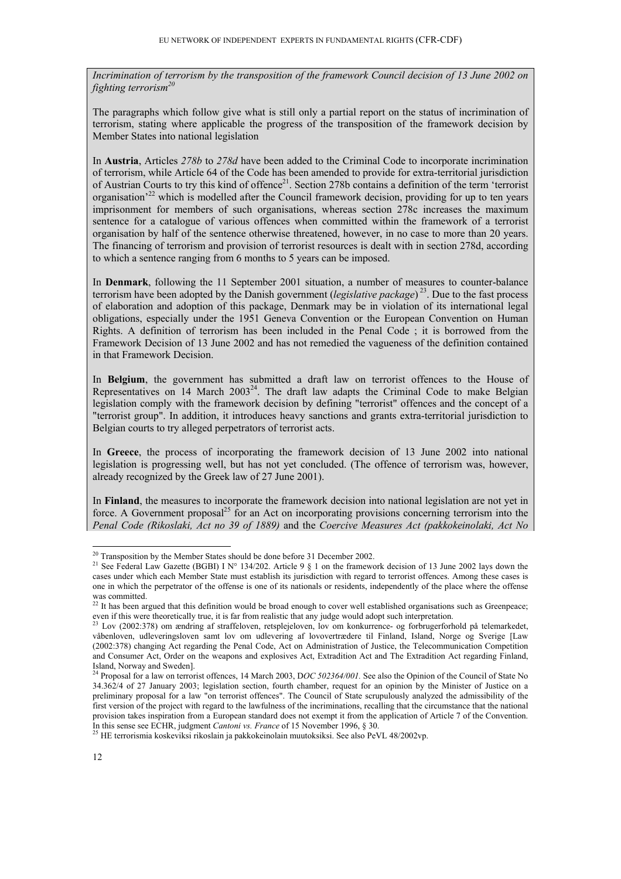*Incrimination of terrorism by the transposition of the framework Council decision of 13 June 2002 on fighting terrorism*<sup>2</sup>

The paragraphs which follow give what is still only a partial report on the status of incrimination of terrorism, stating where applicable the progress of the transposition of the framework decision by Member States into national legislation

In **Austria**, Articles *278b* to *278d* have been added to the Criminal Code to incorporate incrimination of terrorism, while Article 64 of the Code has been amended to provide for extra-territorial jurisdiction of Austrian Courts to try this kind of offence<sup>21</sup>. Section 278b contains a definition of the term 'terrorist organisation<sup>22</sup> which is modelled after the Council framework decision, providing for up to ten years imprisonment for members of such organisations, whereas section 278c increases the maximum sentence for a catalogue of various offences when committed within the framework of a terrorist organisation by half of the sentence otherwise threatened, however, in no case to more than 20 years. The financing of terrorism and provision of terrorist resources is dealt with in section 278d, according to which a sentence ranging from 6 months to 5 years can be imposed.

In **Denmark**, following the 11 September 2001 situation, a number of measures to counter-balance terrorism have been adopted by the Danish government (*legislative package*) 23. Due to the fast process of elaboration and adoption of this package, Denmark may be in violation of its international legal obligations, especially under the 1951 Geneva Convention or the European Convention on Human Rights. A definition of terrorism has been included in the Penal Code ; it is borrowed from the Framework Decision of 13 June 2002 and has not remedied the vagueness of the definition contained in that Framework Decision.

In **Belgium**, the government has submitted a draft law on terrorist offences to the House of Representatives on 14 March  $2003^{24}$ . The draft law adapts the Criminal Code to make Belgian legislation comply with the framework decision by defining "terrorist" offences and the concept of a "terrorist group". In addition, it introduces heavy sanctions and grants extra-territorial jurisdiction to Belgian courts to try alleged perpetrators of terrorist acts.

In **Greece**, the process of incorporating the framework decision of 13 June 2002 into national legislation is progressing well, but has not yet concluded. (The offence of terrorism was, however, already recognized by the Greek law of 27 June 2001).

In **Finland**, the measures to incorporate the framework decision into national legislation are not yet in force. A Government proposal<sup>25</sup> for an Act on incorporating provisions concerning terrorism into the *Penal Code (Rikoslaki, Act no 39 of 1889)* and the *Coercive Measures Act (pakkokeinolaki, Act No* 

 $20$  Transposition by the Member States should be done before 31 December 2002.

<sup>&</sup>lt;sup>21</sup> See Federal Law Gazette (BGBI) I N° 134/202. Article 9  $\S$  1 on the framework decision of 13 June 2002 lays down the cases under which each Member State must establish its jurisdiction with regard to terrorist offences. Among these cases is one in which the perpetrator of the offense is one of its nationals or residents, independently of the place where the offense was committed.

 $^{22}$  It has been argued that this definition would be broad enough to cover well established organisations such as Greenpeace; even if this were theoretically true, it is far from realistic that any judge would adopt such interpretation.<br><sup>23</sup> Lov (2002:378) om ændring af straffeloven, retsplejeloven, lov om konkurrence- og forbrugerforhold på tele

våbenloven, udleveringsloven samt lov om udlevering af lovovertrædere til Finland, Island, Norge og Sverige [Law (2002:378) changing Act regarding the Penal Code, Act on Administration of Justice, the Telecommunication Competition and Consumer Act, Order on the weapons and explosives Act, Extradition Act and The Extradition Act regarding Finland, Island, Norway and Sweden].

<sup>&</sup>lt;sup>24</sup> Proposal for a law on terrorist offences, 14 March 2003, DOC 502364/001. See also the Opinion of the Council of State No 34.362/4 of 27 January 2003; legislation section, fourth chamber, request for an opinion by the Minister of Justice on a preliminary proposal for a law "on terrorist offences". The Council of State scrupulously analyzed the admissibility of the first version of the project with regard to the lawfulness of the incriminations, recalling that the circumstance that the national provision takes inspiration from a European standard does not exempt it from the application of Article 7 of the Convention. In this sense see ECHR, judgment *Cantoni vs. France* of 15 November 1996, § 30. 25 HE terrorismia koskeviksi rikoslain ja pakkokeinolain muutoksiksi. See also PeVL 48/2002vp.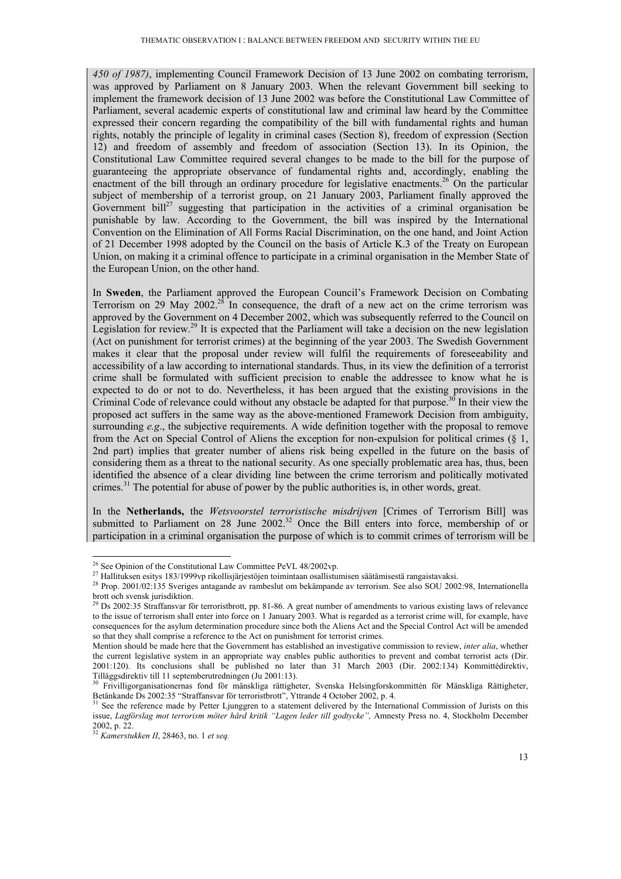*450 of 1987)*, implementing Council Framework Decision of 13 June 2002 on combating terrorism, was approved by Parliament on 8 January 2003. When the relevant Government bill seeking to implement the framework decision of 13 June 2002 was before the Constitutional Law Committee of Parliament, several academic experts of constitutional law and criminal law heard by the Committee expressed their concern regarding the compatibility of the bill with fundamental rights and human rights, notably the principle of legality in criminal cases (Section 8), freedom of expression (Section 12) and freedom of assembly and freedom of association (Section 13). In its Opinion, the Constitutional Law Committee required several changes to be made to the bill for the purpose of guaranteeing the appropriate observance of fundamental rights and, accordingly, enabling the enactment of the bill through an ordinary procedure for legislative enactments.<sup>26</sup> On the particular subject of membership of a terrorist group, on 21 January 2003, Parliament finally approved the Government bill<sup>27</sup> suggesting that participation in the activities of a criminal organisation be punishable by law. According to the Government, the bill was inspired by the International Convention on the Elimination of All Forms Racial Discrimination, on the one hand, and Joint Action of 21 December 1998 adopted by the Council on the basis of Article K.3 of the Treaty on European Union, on making it a criminal offence to participate in a criminal organisation in the Member State of the European Union, on the other hand.

In **Sweden**, the Parliament approved the European Council's Framework Decision on Combating Terrorism on 29 May 2002.<sup>28</sup> In consequence, the draft of a new act on the crime terrorism was approved by the Government on 4 December 2002, which was subsequently referred to the Council on Legislation for review.29 It is expected that the Parliament will take a decision on the new legislation (Act on punishment for terrorist crimes) at the beginning of the year 2003. The Swedish Government makes it clear that the proposal under review will fulfil the requirements of foreseeability and accessibility of a law according to international standards. Thus, in its view the definition of a terrorist crime shall be formulated with sufficient precision to enable the addressee to know what he is expected to do or not to do. Nevertheless, it has been argued that the existing provisions in the Criminal Code of relevance could without any obstacle be adapted for that purpose.<sup>30</sup> In their view the proposed act suffers in the same way as the above-mentioned Framework Decision from ambiguity, surrounding *e.g.*, the subjective requirements. A wide definition together with the proposal to remove from the Act on Special Control of Aliens the exception for non-expulsion for political crimes (§ 1, 2nd part) implies that greater number of aliens risk being expelled in the future on the basis of considering them as a threat to the national security. As one specially problematic area has, thus, been identified the absence of a clear dividing line between the crime terrorism and politically motivated crimes.<sup>31</sup> The potential for abuse of power by the public authorities is, in other words, great.

In the **Netherlands,** the *Wetsvoorstel terroristische misdrijven* [Crimes of Terrorism Bill] was submitted to Parliament on 28 June 2002.<sup>32</sup> Once the Bill enters into force, membership of or participation in a criminal organisation the purpose of which is to commit crimes of terrorism will be

 $26$  See Opinion of the Constitutional Law Committee PeVL 48/2002vp.

 $^{27}$  Hallituksen esitys 183/1999 vp rikollisjärjestöjen toimintaan osallistumisen säätämisestä rangaistavaksi.<br><sup>28</sup> Prop. 2001/02:135 Sveriges antagande av rambeslut om bekämpande av terrorism. See also SOU 2002:98, Int brott och svensk jurisdiktion.

 $^{29}$  Ds 2002:35 Straffansvar för terroristbrott, pp. 81-86. A great number of amendments to various existing laws of relevance to the issue of terrorism shall enter into force on 1 January 2003. What is regarded as a terrorist crime will, for example, have consequences for the asylum determination procedure since both the Aliens Act and the Special Control Act will be amended so that they shall comprise a reference to the Act on punishment for terrorist crimes.

Mention should be made here that the Government has established an investigative commission to review, *inter alia*, whether the current legislative system in an appropriate way enables public authorities to prevent and combat terrorist acts (Dir. 2001:120). Its conclusions shall be published no later than 31 March 2003 (Dir. 2002:134) Kommittédirektiv,<br>Tilläggsdirektiv till 11 septemberutredningen (Ju 2001:13).<br><sup>30</sup> Frivillionreanisationarnas fond för mänchliga exi

Frivilligorganisationernas fond för mänskliga rättigheter, Svenska Helsingforskommittén för Mänskliga Rättigheter, Betänkande Ds 2002:35 "Straffansvar för terroristbrott", Yttrande 4 October 2002, p. 4.<br><sup>31</sup> See the reference made by Petter Ljunggren to a statement delivered by the International Commission of Jurists on this

issue, *Lagförslag mot terrorism möter hård kritik "Lagen leder till godtycke",* Amnesty Press no. 4, Stockholm December 2002, p. 22.

<sup>32</sup> *Kamerstukken II*, 28463, no. 1 *et seq.*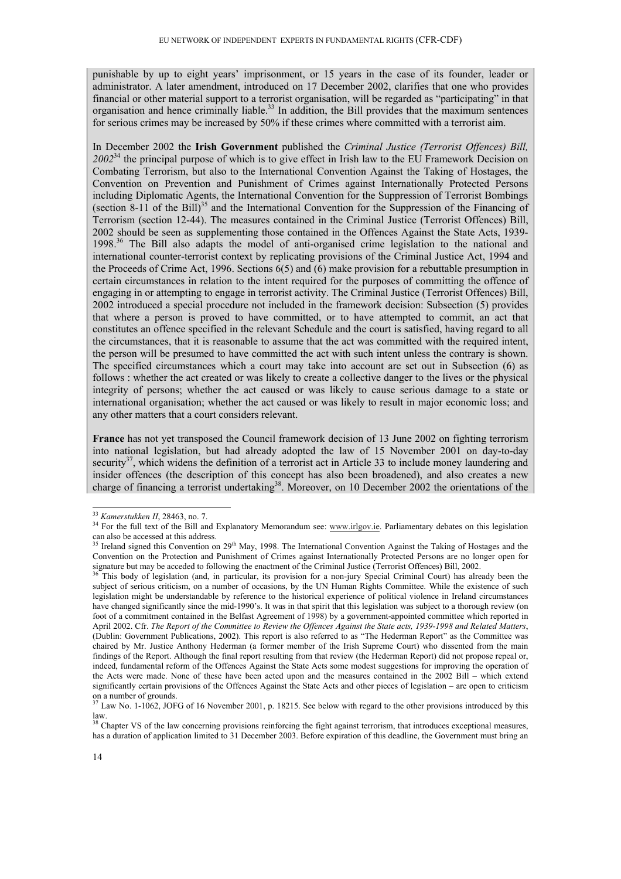punishable by up to eight years' imprisonment, or 15 years in the case of its founder, leader or administrator. A later amendment, introduced on 17 December 2002, clarifies that one who provides financial or other material support to a terrorist organisation, will be regarded as "participating" in that organisation and hence criminally liable.<sup>33</sup> In addition, the Bill provides that the maximum sentences for serious crimes may be increased by 50% if these crimes where committed with a terrorist aim.

In December 2002 the **Irish Government** published the *Criminal Justice (Terrorist Offences) Bill, 2002*34 the principal purpose of which is to give effect in Irish law to the EU Framework Decision on Combating Terrorism, but also to the International Convention Against the Taking of Hostages, the Convention on Prevention and Punishment of Crimes against Internationally Protected Persons including Diplomatic Agents, the International Convention for the Suppression of Terrorist Bombings (section 8-11 of the Bill)<sup>35</sup> and the International Convention for the Suppression of the Financing of Terrorism (section 12-44). The measures contained in the Criminal Justice (Terrorist Offences) Bill, 2002 should be seen as supplementing those contained in the Offences Against the State Acts, 1939- 1998<sup>36</sup> The Bill also adapts the model of anti-organised crime legislation to the national and international counter-terrorist context by replicating provisions of the Criminal Justice Act, 1994 and the Proceeds of Crime Act, 1996. Sections 6(5) and (6) make provision for a rebuttable presumption in certain circumstances in relation to the intent required for the purposes of committing the offence of engaging in or attempting to engage in terrorist activity. The Criminal Justice (Terrorist Offences) Bill, 2002 introduced a special procedure not included in the framework decision: Subsection (5) provides that where a person is proved to have committed, or to have attempted to commit, an act that constitutes an offence specified in the relevant Schedule and the court is satisfied, having regard to all the circumstances, that it is reasonable to assume that the act was committed with the required intent, the person will be presumed to have committed the act with such intent unless the contrary is shown. The specified circumstances which a court may take into account are set out in Subsection (6) as follows : whether the act created or was likely to create a collective danger to the lives or the physical integrity of persons; whether the act caused or was likely to cause serious damage to a state or international organisation; whether the act caused or was likely to result in major economic loss; and any other matters that a court considers relevant.

**France** has not yet transposed the Council framework decision of 13 June 2002 on fighting terrorism into national legislation, but had already adopted the law of 15 November 2001 on day-to-day security<sup>37</sup>, which widens the definition of a terrorist act in Article 33 to include money laundering and insider offences (the description of this concept has also been broadened), and also creates a new charge of financing a terrorist undertaking<sup>38</sup>. Moreover, on 10 December 2002 the orientations of the

<sup>&</sup>lt;sup>33</sup> Kamerstukken II, 28463, no. 7.

<sup>&</sup>lt;sup>34</sup> For the full text of the Bill and Explanatory Memorandum see: www.irlgov.ie. Parliamentary debates on this legislation can also be accessed at this address.

<sup>&</sup>lt;sup>35</sup> Ireland signed this Convention on 29<sup>th</sup> May, 1998. The International Convention Against the Taking of Hostages and the Convention on the Protection and Punishment of Crimes against Internationally Protected Persons are no longer open for signature but may be acceded to following the enactment of the Criminal Justice (Terrorist Offences) Bi

This body of legislation (and, in particular, its provision for a non-jury Special Criminal Court) has already been the subject of serious criticism, on a number of occasions, by the UN Human Rights Committee. While the existence of such legislation might be understandable by reference to the historical experience of political violence in Ireland circumstances have changed significantly since the mid-1990's. It was in that spirit that this legislation was subject to a thorough review (on foot of a commitment contained in the Belfast Agreement of 1998) by a government-appointed committee which reported in April 2002. Cfr. *The Report of the Committee to Review the Offences Against the State acts, 1939-1998 and Related Matters*, (Dublin: Government Publications, 2002). This report is also referred to as "The Hederman Report" as the Committee was chaired by Mr. Justice Anthony Hederman (a former member of the Irish Supreme Court) who dissented from the main findings of the Report. Although the final report resulting from that review (the Hederman Report) did not propose repeal or, indeed, fundamental reform of the Offences Against the State Acts some modest suggestions for improving the operation of the Acts were made. None of these have been acted upon and the measures contained in the 2002 Bill – which extend significantly certain provisions of the Offences Against the State Acts and other pieces of legislation – are open to criticism on a number of grounds.

 $<sup>7</sup>$  Law No. 1-1062, JOFG of 16 November 2001, p. 18215. See below with regard to the other provisions introduced by this</sup> law.

<sup>&</sup>lt;sup>38</sup> Chapter VS of the law concerning provisions reinforcing the fight against terrorism, that introduces exceptional measures, has a duration of application limited to 31 December 2003. Before expiration of this deadline, the Government must bring an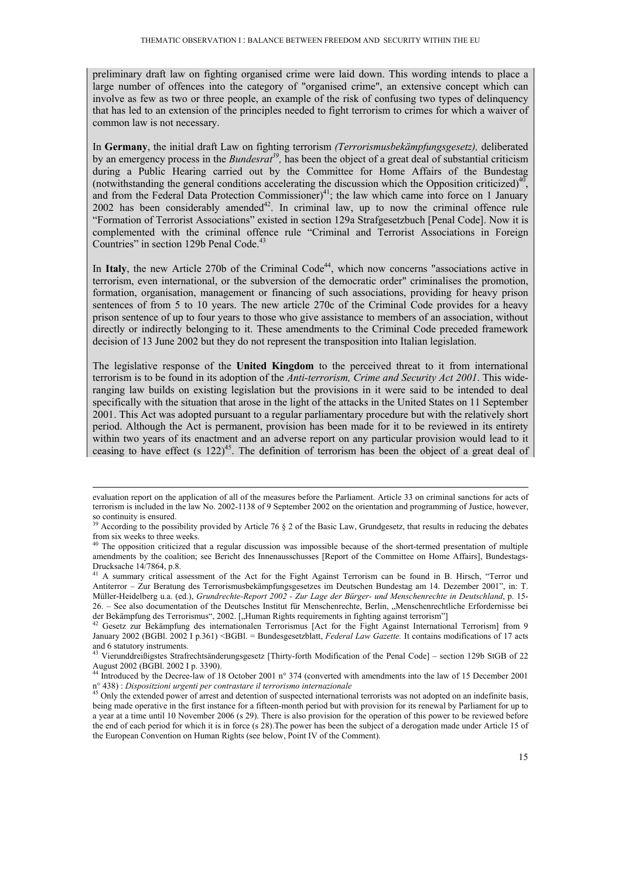preliminary draft law on fighting organised crime were laid down. This wording intends to place a large number of offences into the category of "organised crime", an extensive concept which can involve as few as two or three people, an example of the risk of confusing two types of delinquency that has led to an extension of the principles needed to fight terrorism to crimes for which a waiver of common law is not necessary.

In **Germany**, the initial draft Law on fighting terrorism *(Terrorismusbekämpfungsgesetz),* deliberated by an emergency process in the *Bundesrat<sup>39</sup>*, has been the object of a great deal of substantial criticism during a Public Hearing carried out by the Committee for Home Affairs of the Bundestag (notwithstanding the general conditions accelerating the discussion which the Opposition criticized)<sup>40</sup> and from the Federal Data Protection Commissioner)<sup>41</sup>; the law which came into force on 1 January  $2002$  has been considerably amended<sup>42</sup>. In criminal law, up to now the criminal offence rule "Formation of Terrorist Associations" existed in section 129a Strafgesetzbuch [Penal Code]. Now it is complemented with the criminal offence rule "Criminal and Terrorist Associations in Foreign Countries" in section 129b Penal Code.<sup>43</sup>

In Italy, the new Article 270b of the Criminal Code<sup>44</sup>, which now concerns "associations active in terrorism, even international, or the subversion of the democratic order" criminalises the promotion, formation, organisation, management or financing of such associations, providing for heavy prison sentences of from 5 to 10 years. The new article 270c of the Criminal Code provides for a heavy prison sentence of up to four years to those who give assistance to members of an association, without directly or indirectly belonging to it. These amendments to the Criminal Code preceded framework decision of 13 June 2002 but they do not represent the transposition into Italian legislation.

The legislative response of the **United Kingdom** to the perceived threat to it from international terrorism is to be found in its adoption of the *Anti-terrorism, Crime and Security Act 2001*. This wideranging law builds on existing legislation but the provisions in it were said to be intended to deal specifically with the situation that arose in the light of the attacks in the United States on 11 September 2001. This Act was adopted pursuant to a regular parliamentary procedure but with the relatively short period. Although the Act is permanent, provision has been made for it to be reviewed in its entirety within two years of its enactment and an adverse report on any particular provision would lead to it ceasing to have effect (s  $122)^{45}$ . The definition of terrorism has been the object of a great deal of

evaluation report on the application of all of the measures before the Parliament. Article 33 on criminal sanctions for acts of terrorism is included in the law No. 2002-1138 of 9 September 2002 on the orientation and programming of Justice, however, so continuity is ensured.

<sup>&</sup>lt;sup>39</sup> According to the possibility provided by Article 76  $\S$  2 of the Basic Law, Grundgesetz, that results in reducing the debates from six weeks to three weeks.

<sup>&</sup>lt;sup>40</sup> The opposition criticized that a regular discussion was impossible because of the short-termed presentation of multiple amendments by the coalition; see Bericht des Innenausschusses [Report of the Committee on Home Affairs], Bundestags-Drucksache 14/7864, p.8.

<sup>&</sup>lt;sup>41</sup> A summary critical assessment of the Act for the Fight Against Terrorism can be found in B. Hirsch, "Terror und Antiterror – Zur Beratung des Terrorismusbekämpfungsgesetzes im Deutschen Bundestag am 14. Dezember 2001", in: T. Müller-Heidelberg u.a. (ed.), *Grundrechte-Report 2002 - Zur Lage der Bürger- und Menschenrechte in Deutschland*, p. 15- 26. – See also documentation of the Deutsches Institut für Menschenrechte, Berlin, "Menschenrechtliche Erfordernisse bei

der Bekämpfung des Terrorismus", 2002. ["Human Rights requirements in fighting against terrorism"] [1010] Gesetz zur Bekämpfung des internationalen Terrorismus [Act for the Fight Against International Terrorism] from 9 January 2002 (BGBL 2002 I p.361) <BGBL = Bundesgesetzblatt, *Federal Law Gazette*. It contains modifications of 17 acts and 6 statutory instruments.

<sup>43</sup> Vierunddreißigstes Strafrechtsänderungsgesetz [Thirty-forth Modification of the Penal Code] – section 129b StGB of 22 August 2002 (BGBl. 2002 I p. 3390).

<sup>&</sup>lt;sup>44</sup> Introduced by the Decree-law of 18 October 2001 n° 374 (converted with amendments into the law of 15 December 2001 n° 438) : *Dispositzioni urgenti per contrastare il terrorismo internazionale* 45 Only the extended power of arrest and detention of suspected international terrorists was not adopted on an indefinite basis,

being made operative in the first instance for a fifteen-month period but with provision for its renewal by Parliament for up to a year at a time until 10 November 2006 (s 29). There is also provision for the operation of this power to be reviewed before the end of each period for which it is in force (s 28).The power has been the subject of a derogation made under Article 15 of the European Convention on Human Rights (see below, Point IV of the Comment).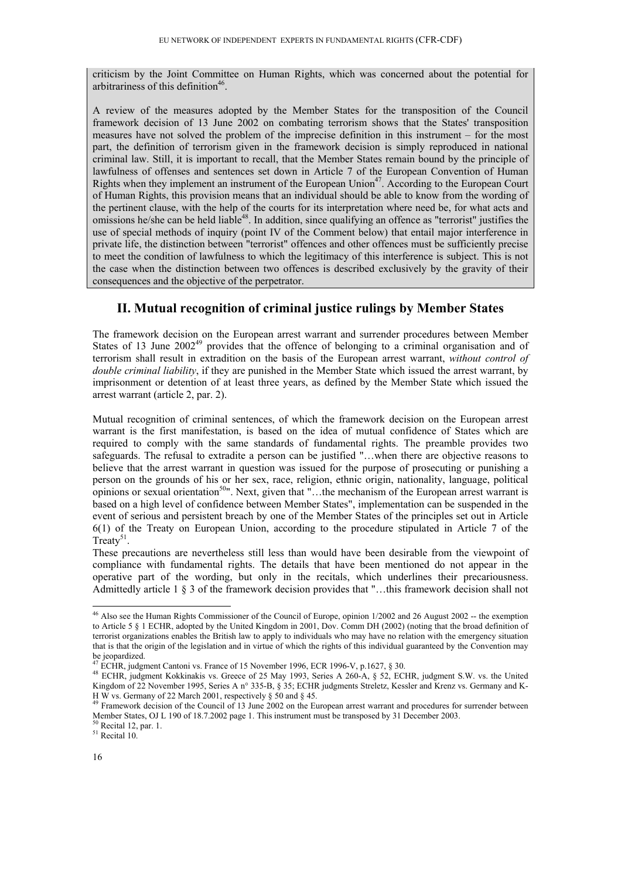criticism by the Joint Committee on Human Rights, which was concerned about the potential for arbitrariness of this definition<sup>46</sup>.

A review of the measures adopted by the Member States for the transposition of the Council framework decision of 13 June 2002 on combating terrorism shows that the States' transposition measures have not solved the problem of the imprecise definition in this instrument – for the most part, the definition of terrorism given in the framework decision is simply reproduced in national criminal law. Still, it is important to recall, that the Member States remain bound by the principle of lawfulness of offenses and sentences set down in Article 7 of the European Convention of Human Rights when they implement an instrument of the European Union<sup>47</sup>. According to the European Court of Human Rights, this provision means that an individual should be able to know from the wording of the pertinent clause, with the help of the courts for its interpretation where need be, for what acts and omissions he/she can be held liable<sup>48</sup>. In addition, since qualifying an offence as "terrorist" justifies the use of special methods of inquiry (point IV of the Comment below) that entail major interference in private life, the distinction between "terrorist" offences and other offences must be sufficiently precise to meet the condition of lawfulness to which the legitimacy of this interference is subject. This is not the case when the distinction between two offences is described exclusively by the gravity of their consequences and the objective of the perpetrator.

## **II. Mutual recognition of criminal justice rulings by Member States**

The framework decision on the European arrest warrant and surrender procedures between Member States of 13 June  $2002^{49}$  provides that the offence of belonging to a criminal organisation and of terrorism shall result in extradition on the basis of the European arrest warrant, *without control of double criminal liability*, if they are punished in the Member State which issued the arrest warrant, by imprisonment or detention of at least three years, as defined by the Member State which issued the arrest warrant (article 2, par. 2).

Mutual recognition of criminal sentences, of which the framework decision on the European arrest warrant is the first manifestation, is based on the idea of mutual confidence of States which are required to comply with the same standards of fundamental rights. The preamble provides two safeguards. The refusal to extradite a person can be justified "…when there are objective reasons to believe that the arrest warrant in question was issued for the purpose of prosecuting or punishing a person on the grounds of his or her sex, race, religion, ethnic origin, nationality, language, political opinions or sexual orientation<sup>50</sup>". Next, given that "...the mechanism of the European arrest warrant is based on a high level of confidence between Member States", implementation can be suspended in the event of serious and persistent breach by one of the Member States of the principles set out in Article 6(1) of the Treaty on European Union, according to the procedure stipulated in Article 7 of the Treaty<sup>51</sup>.

These precautions are nevertheless still less than would have been desirable from the viewpoint of compliance with fundamental rights. The details that have been mentioned do not appear in the operative part of the wording, but only in the recitals, which underlines their precariousness. Admittedly article 1 § 3 of the framework decision provides that "…this framework decision shall not

<sup>&</sup>lt;sup>46</sup> Also see the Human Rights Commissioner of the Council of Europe, opinion 1/2002 and 26 August 2002 -- the exemption to Article 5 § 1 ECHR, adopted by the United Kingdom in 2001, Dov. Comm DH (2002) (noting that the broad definition of terrorist organizations enables the British law to apply to individuals who may have no relation with the emergency situation that is that the origin of the legislation and in virtue of which the rights of this individual guaranteed by the Convention may be jeopardized.<br><sup>47</sup> ECHR, judgment Cantoni vs. France of 15 November 1996, ECR 1996-V, p.1627, § 30.

<sup>&</sup>lt;sup>48</sup> ECHR, judgment Kokkinakis vs. Greece of 25 May 1993, Series A 260-A, § 52, ECHR, judgment S.W. vs. the United Kingdom of 22 November 1995, Series A n° 335-B, § 35; ECHR judgments Streletz, Kessler and Krenz vs. Germany and K-H W vs. Germany of 22 March 2001, respectively § 50 and § 45.

<sup>49</sup> Framework decision of the Council of 13 June 2002 on the European arrest warrant and procedures for surrender between Member States, OJ L 190 of 18.7.2002 page 1. This instrument must be transposed by 31 December 2003. <sup>50</sup> Recital 12, par. 1.

<sup>51</sup> Recital 10.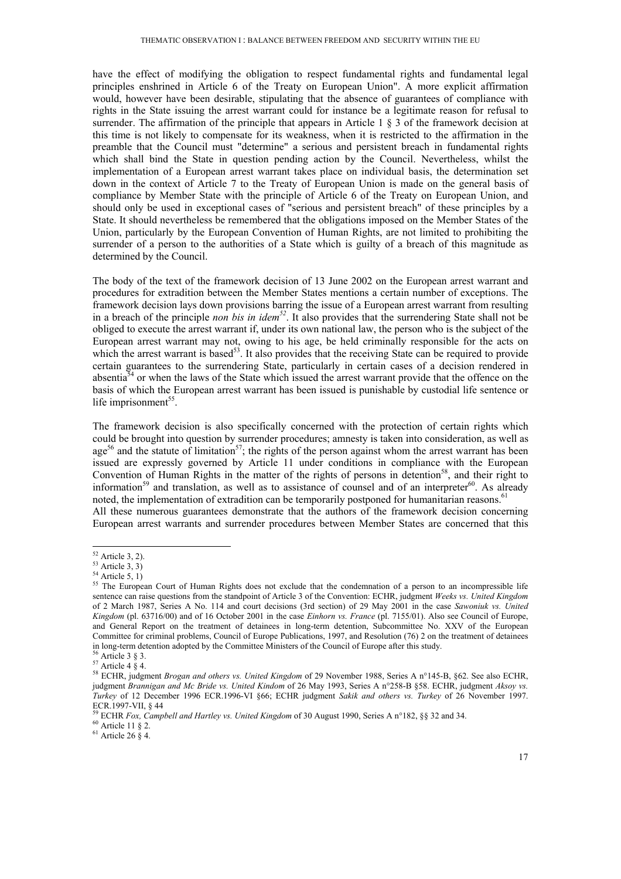have the effect of modifying the obligation to respect fundamental rights and fundamental legal principles enshrined in Article 6 of the Treaty on European Union". A more explicit affirmation would, however have been desirable, stipulating that the absence of guarantees of compliance with rights in the State issuing the arrest warrant could for instance be a legitimate reason for refusal to surrender. The affirmation of the principle that appears in Article 1 § 3 of the framework decision at this time is not likely to compensate for its weakness, when it is restricted to the affirmation in the preamble that the Council must "determine" a serious and persistent breach in fundamental rights which shall bind the State in question pending action by the Council. Nevertheless, whilst the implementation of a European arrest warrant takes place on individual basis, the determination set down in the context of Article 7 to the Treaty of European Union is made on the general basis of compliance by Member State with the principle of Article 6 of the Treaty on European Union, and should only be used in exceptional cases of "serious and persistent breach" of these principles by a State. It should nevertheless be remembered that the obligations imposed on the Member States of the Union, particularly by the European Convention of Human Rights, are not limited to prohibiting the surrender of a person to the authorities of a State which is guilty of a breach of this magnitude as determined by the Council.

The body of the text of the framework decision of 13 June 2002 on the European arrest warrant and procedures for extradition between the Member States mentions a certain number of exceptions. The framework decision lays down provisions barring the issue of a European arrest warrant from resulting in a breach of the principle *non bis in idem52*. It also provides that the surrendering State shall not be obliged to execute the arrest warrant if, under its own national law, the person who is the subject of the European arrest warrant may not, owing to his age, be held criminally responsible for the acts on which the arrest warrant is based<sup>53</sup>. It also provides that the receiving State can be required to provide certain guarantees to the surrendering State, particularly in certain cases of a decision rendered in absentia<sup>54</sup> or when the laws of the State which issued the arrest warrant provide that the offence on the basis of which the European arrest warrant has been issued is punishable by custodial life sentence or life imprisonment<sup>55</sup>.

The framework decision is also specifically concerned with the protection of certain rights which could be brought into question by surrender procedures; amnesty is taken into consideration, as well as age<sup>56</sup> and the statute of limitation<sup>57</sup>; the rights of the person against whom the arrest warrant has been issued are expressly governed by Article 11 under conditions in compliance with the European Convention of Human Rights in the matter of the rights of persons in detention<sup>58</sup>, and their right to information<sup>59</sup> and translation, as well as to assistance of counsel and of an interpreter<sup>60</sup>. As already noted, the implementation of extradition can be temporarily postponed for humanitarian reasons.<sup>6</sup>

All these numerous guarantees demonstrate that the authors of the framework decision concerning European arrest warrants and surrender procedures between Member States are concerned that this

 $61$  Article 26  $\tilde{\S}$  4.

<sup>-</sup> $52$  Article 3, 2).

 $53$  Article 3, 3)

 $54$  Article 5, 1)

<sup>&</sup>lt;sup>55</sup> The European Court of Human Rights does not exclude that the condemnation of a person to an incompressible life sentence can raise questions from the standpoint of Article 3 of the Convention: ECHR, judgment *Weeks vs. United Kingdom* of 2 March 1987, Series A No. 114 and court decisions (3rd section) of 29 May 2001 in the case *Sawoniuk vs. United Kingdom* (pl. 63716/00) and of 16 October 2001 in the case *Einhorn vs. France* (pl. 7155/01). Also see Council of Europe, and General Report on the treatment of detainees in long-term detention, Subcommittee No. XXV of the European Committee for criminal problems, Council of Europe Publications, 1997, and Resolution (76) 2 on the treatment of detainees in long-term detention adopted by the Committee Ministers of the Council of Europe after this study. 56 Article 3 § 3.

 $57$  Article 4  $\frac{8}{9}$  4.

<sup>58</sup> ECHR, judgment *Brogan and others vs. United Kingdom* of 29 November 1988, Series A n°145-B, §62. See also ECHR, judgment *Brannigan and Mc Bride vs. United Kindom* of 26 May 1993, Series A n°258-B §58. ECHR, judgment *Aksoy vs. Turkey* of 12 December 1996 ECR.1996-VI §66; ECHR judgment *Sakik and others vs. Turkey* of 26 November 1997. ECR.1997-VII, § 44

<sup>59</sup> ECHR *Fox, Campbell and Hartley vs. United Kingdom* of 30 August 1990, Series A n°182, §§ 32 and 34. 60 Article 11 § 2.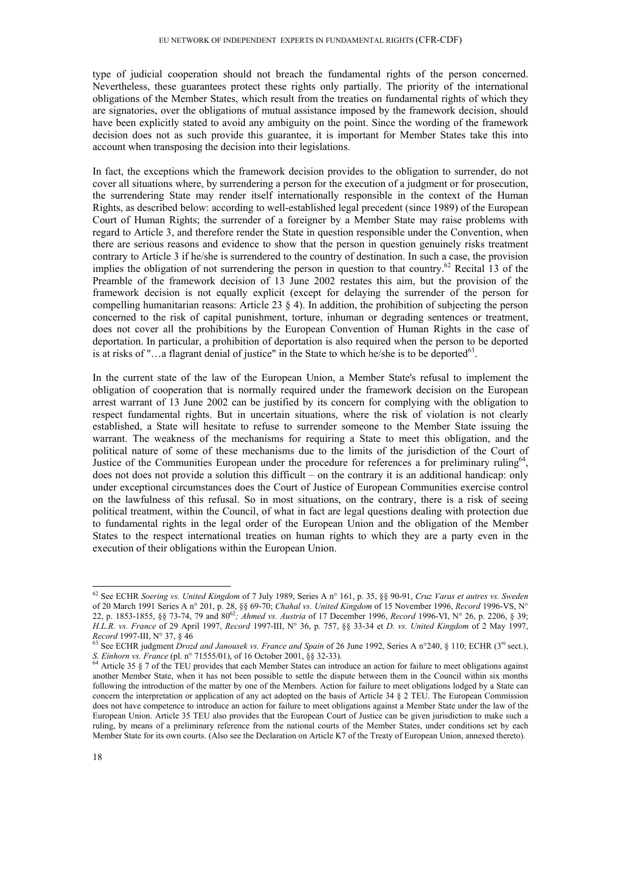type of judicial cooperation should not breach the fundamental rights of the person concerned. Nevertheless, these guarantees protect these rights only partially. The priority of the international obligations of the Member States, which result from the treaties on fundamental rights of which they are signatories, over the obligations of mutual assistance imposed by the framework decision, should have been explicitly stated to avoid any ambiguity on the point. Since the wording of the framework decision does not as such provide this guarantee, it is important for Member States take this into account when transposing the decision into their legislations.

In fact, the exceptions which the framework decision provides to the obligation to surrender, do not cover all situations where, by surrendering a person for the execution of a judgment or for prosecution, the surrendering State may render itself internationally responsible in the context of the Human Rights, as described below: according to well-established legal precedent (since 1989) of the European Court of Human Rights; the surrender of a foreigner by a Member State may raise problems with regard to Article 3, and therefore render the State in question responsible under the Convention, when there are serious reasons and evidence to show that the person in question genuinely risks treatment contrary to Article 3 if he/she is surrendered to the country of destination. In such a case, the provision implies the obligation of not surrendering the person in question to that country.<sup>62</sup> Recital 13 of the Preamble of the framework decision of 13 June 2002 restates this aim, but the provision of the framework decision is not equally explicit (except for delaying the surrender of the person for compelling humanitarian reasons: Article 23 § 4). In addition, the prohibition of subjecting the person concerned to the risk of capital punishment, torture, inhuman or degrading sentences or treatment, does not cover all the prohibitions by the European Convention of Human Rights in the case of deportation. In particular, a prohibition of deportation is also required when the person to be deported is at risks of " $\ldots$  a flagrant denial of justice" in the State to which he/she is to be deported<sup>63</sup>.

In the current state of the law of the European Union, a Member State's refusal to implement the obligation of cooperation that is normally required under the framework decision on the European arrest warrant of 13 June 2002 can be justified by its concern for complying with the obligation to respect fundamental rights. But in uncertain situations, where the risk of violation is not clearly established, a State will hesitate to refuse to surrender someone to the Member State issuing the warrant. The weakness of the mechanisms for requiring a State to meet this obligation, and the political nature of some of these mechanisms due to the limits of the jurisdiction of the Court of Justice of the Communities European under the procedure for references a for preliminary ruling<sup>64</sup>. does not does not provide a solution this difficult – on the contrary it is an additional handicap: only under exceptional circumstances does the Court of Justice of European Communities exercise control on the lawfulness of this refusal. So in most situations, on the contrary, there is a risk of seeing political treatment, within the Council, of what in fact are legal questions dealing with protection due to fundamental rights in the legal order of the European Union and the obligation of the Member States to the respect international treaties on human rights to which they are a party even in the execution of their obligations within the European Union.

<sup>62</sup> See ECHR *Soering vs. United Kingdom* of 7 July 1989, Series A n° 161, p. 35, §§ 90-91, *Cruz Varas et autres vs. Sweden* of 20 March 1991 Series A n° 201, p. 28, §§ 69-70; *Chahal vs. United Kingdom* of 15 November 1996, *Record* 1996-VS, N° 22, p. 1853-1855, §§ 73-74, 79 and 8062*; Ahmed vs. Austria* of 17 December 1996, *Record* 1996-VI, N° 26, p. 2206, § 39; *H.L.R. vs. France* of 29 April 1997, *Record* 1997-III, N° 36, p. 757, §§ 33-34 et *D. vs. United Kingdom* of 2 May 1997,

<sup>&</sup>lt;sup>63</sup> See ECHR judgment *Drozd and Janousek vs. France and Spain* of 26 June 1992, Series A n°240, § 110; ECHR (3<sup>re</sup> sect.), *S. Einhorn vs. France* (pl. n° 71555/01), of 16 October 2001, §§ 32-33).

<sup>&</sup>lt;sup>64</sup> Article 35 § 7 of the TEU provides that each Member States can introduce an action for failure to meet obligations against another Member State, when it has not been possible to settle the dispute between them in the Council within six months following the introduction of the matter by one of the Members. Action for failure to meet obligations lodged by a State can concern the interpretation or application of any act adopted on the basis of Article 34 § 2 TEU. The European Commission does not have competence to introduce an action for failure to meet obligations against a Member State under the law of the European Union. Article 35 TEU also provides that the European Court of Justice can be given jurisdiction to make such a ruling, by means of a preliminary reference from the national courts of the Member States, under conditions set by each Member State for its own courts. (Also see the Declaration on Article K7 of the Treaty of European Union, annexed thereto).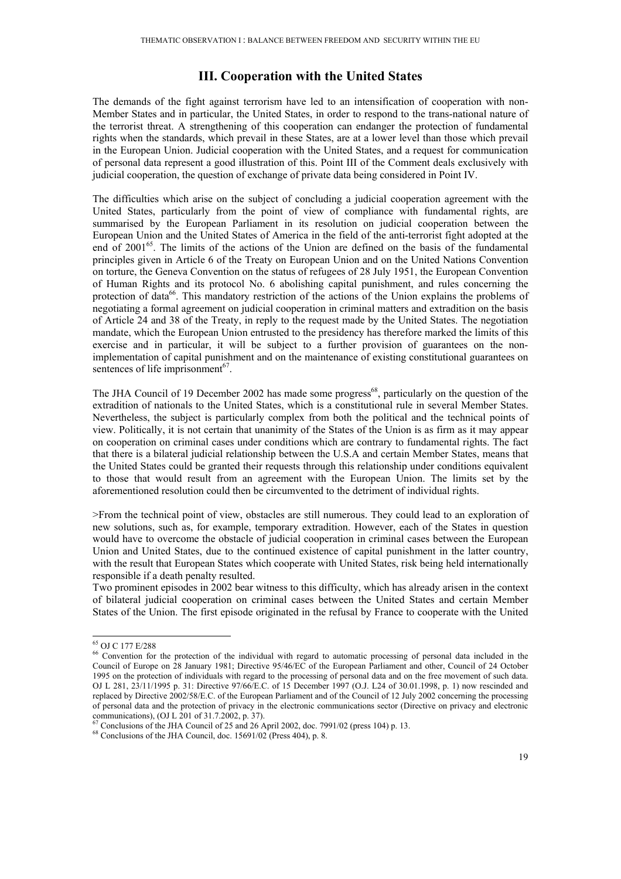## **III. Cooperation with the United States**

The demands of the fight against terrorism have led to an intensification of cooperation with non-Member States and in particular, the United States, in order to respond to the trans-national nature of the terrorist threat. A strengthening of this cooperation can endanger the protection of fundamental rights when the standards, which prevail in these States, are at a lower level than those which prevail in the European Union. Judicial cooperation with the United States, and a request for communication of personal data represent a good illustration of this. Point III of the Comment deals exclusively with judicial cooperation, the question of exchange of private data being considered in Point IV.

The difficulties which arise on the subject of concluding a judicial cooperation agreement with the United States, particularly from the point of view of compliance with fundamental rights, are summarised by the European Parliament in its resolution on judicial cooperation between the European Union and the United States of America in the field of the anti-terrorist fight adopted at the end of 2001<sup>65</sup>. The limits of the actions of the Union are defined on the basis of the fundamental principles given in Article 6 of the Treaty on European Union and on the United Nations Convention on torture, the Geneva Convention on the status of refugees of 28 July 1951, the European Convention of Human Rights and its protocol No. 6 abolishing capital punishment, and rules concerning the protection of data<sup>66</sup>. This mandatory restriction of the actions of the Union explains the problems of negotiating a formal agreement on judicial cooperation in criminal matters and extradition on the basis of Article 24 and 38 of the Treaty, in reply to the request made by the United States. The negotiation mandate, which the European Union entrusted to the presidency has therefore marked the limits of this exercise and in particular, it will be subject to a further provision of guarantees on the nonimplementation of capital punishment and on the maintenance of existing constitutional guarantees on sentences of life imprisonment<sup>67</sup>.

The JHA Council of 19 December 2002 has made some progress<sup>68</sup>, particularly on the question of the extradition of nationals to the United States, which is a constitutional rule in several Member States. Nevertheless, the subject is particularly complex from both the political and the technical points of view. Politically, it is not certain that unanimity of the States of the Union is as firm as it may appear on cooperation on criminal cases under conditions which are contrary to fundamental rights. The fact that there is a bilateral judicial relationship between the U.S.A and certain Member States, means that the United States could be granted their requests through this relationship under conditions equivalent to those that would result from an agreement with the European Union. The limits set by the aforementioned resolution could then be circumvented to the detriment of individual rights.

>From the technical point of view, obstacles are still numerous. They could lead to an exploration of new solutions, such as, for example, temporary extradition. However, each of the States in question would have to overcome the obstacle of judicial cooperation in criminal cases between the European Union and United States, due to the continued existence of capital punishment in the latter country, with the result that European States which cooperate with United States, risk being held internationally responsible if a death penalty resulted.

Two prominent episodes in 2002 bear witness to this difficulty, which has already arisen in the context of bilateral judicial cooperation on criminal cases between the United States and certain Member States of the Union. The first episode originated in the refusal by France to cooperate with the United

<sup>65</sup> OJ C 177 E/288

<sup>&</sup>lt;sup>66</sup> Convention for the protection of the individual with regard to automatic processing of personal data included in the Council of Europe on 28 January 1981; Directive 95/46/EC of the European Parliament and other, Council of 24 October 1995 on the protection of individuals with regard to the processing of personal data and on the free movement of such data. OJ L 281, 23/11/1995 p. 31: Directive 97/66/E.C. of 15 December 1997 (O.J. L24 of 30.01.1998, p. 1) now rescinded and replaced by Directive 2002/58/E.C. of the European Parliament and of the Council of 12 July 2002 concerning the processing of personal data and the protection of privacy in the electronic communications sector (Directive on privacy and electronic communications), (OJ L 201 of 31.7.2002, p. 37).

 $\frac{67}{67}$  Conclusions of the JHA Council of 25 and 26 April 2002, doc. 7991/02 (press 104) p. 13.

 $68$  Conclusions of the JHA Council, doc. 15691/02 (Press 404), p. 8.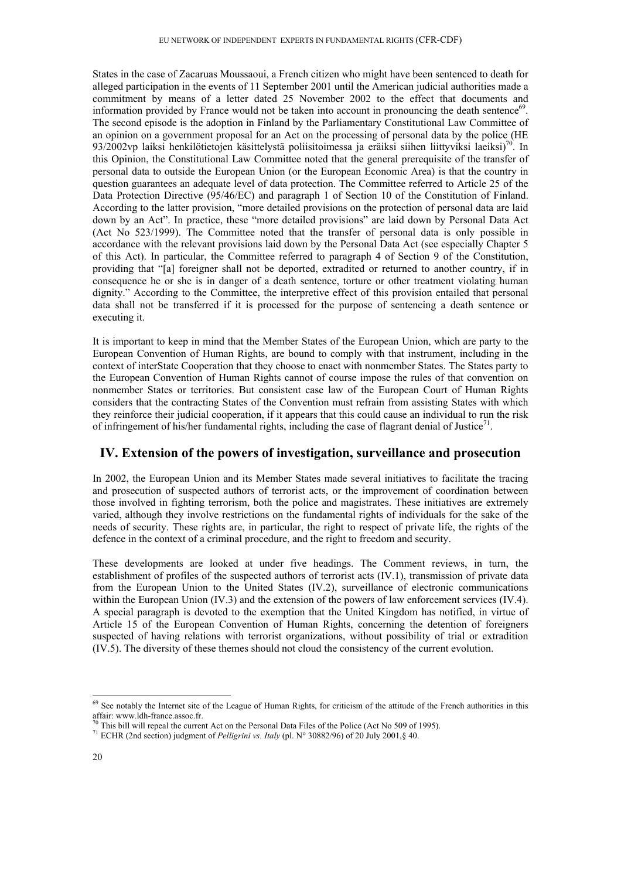States in the case of Zacaruas Moussaoui, a French citizen who might have been sentenced to death for alleged participation in the events of 11 September 2001 until the American judicial authorities made a commitment by means of a letter dated 25 November 2002 to the effect that documents and information provided by France would not be taken into account in pronouncing the death sentence $69$ . The second episode is the adoption in Finland by the Parliamentary Constitutional Law Committee of an opinion on a government proposal for an Act on the processing of personal data by the police (HE 93/2002vp laiksi henkilötietojen käsittelystä poliisitoimessa ja eräiksi siihen liittyviksi laeiksi)<sup>70</sup>. In this Opinion, the Constitutional Law Committee noted that the general prerequisite of the transfer of personal data to outside the European Union (or the European Economic Area) is that the country in question guarantees an adequate level of data protection. The Committee referred to Article 25 of the Data Protection Directive (95/46/EC) and paragraph 1 of Section 10 of the Constitution of Finland. According to the latter provision, "more detailed provisions on the protection of personal data are laid down by an Act". In practice, these "more detailed provisions" are laid down by Personal Data Act (Act No 523/1999). The Committee noted that the transfer of personal data is only possible in accordance with the relevant provisions laid down by the Personal Data Act (see especially Chapter 5 of this Act). In particular, the Committee referred to paragraph 4 of Section 9 of the Constitution, providing that "[a] foreigner shall not be deported, extradited or returned to another country, if in consequence he or she is in danger of a death sentence, torture or other treatment violating human dignity." According to the Committee, the interpretive effect of this provision entailed that personal data shall not be transferred if it is processed for the purpose of sentencing a death sentence or executing it.

It is important to keep in mind that the Member States of the European Union, which are party to the European Convention of Human Rights, are bound to comply with that instrument, including in the context of interState Cooperation that they choose to enact with nonmember States. The States party to the European Convention of Human Rights cannot of course impose the rules of that convention on nonmember States or territories. But consistent case law of the European Court of Human Rights considers that the contracting States of the Convention must refrain from assisting States with which they reinforce their judicial cooperation, if it appears that this could cause an individual to run the risk of infringement of his/her fundamental rights, including the case of flagrant denial of Justice<sup>71</sup>.

## **IV. Extension of the powers of investigation, surveillance and prosecution**

In 2002, the European Union and its Member States made several initiatives to facilitate the tracing and prosecution of suspected authors of terrorist acts, or the improvement of coordination between those involved in fighting terrorism, both the police and magistrates. These initiatives are extremely varied, although they involve restrictions on the fundamental rights of individuals for the sake of the needs of security. These rights are, in particular, the right to respect of private life, the rights of the defence in the context of a criminal procedure, and the right to freedom and security.

These developments are looked at under five headings. The Comment reviews, in turn, the establishment of profiles of the suspected authors of terrorist acts (IV.1), transmission of private data from the European Union to the United States (IV.2), surveillance of electronic communications within the European Union (IV.3) and the extension of the powers of law enforcement services (IV.4). A special paragraph is devoted to the exemption that the United Kingdom has notified, in virtue of Article 15 of the European Convention of Human Rights, concerning the detention of foreigners suspected of having relations with terrorist organizations, without possibility of trial or extradition (IV.5). The diversity of these themes should not cloud the consistency of the current evolution.

 $69$  See notably the Internet site of the League of Human Rights, for criticism of the attitude of the French authorities in this affair: www.ldh-france.assoc.fr.

<sup>&</sup>lt;sup>70</sup> This bill will repeal the current Act on the Personal Data Files of the Police (Act No 509 of 1995).

<sup>71</sup> ECHR (2nd section) judgment of *Pelligrini vs. Italy* (pl. N° 30882/96) of 20 July 2001,§ 40.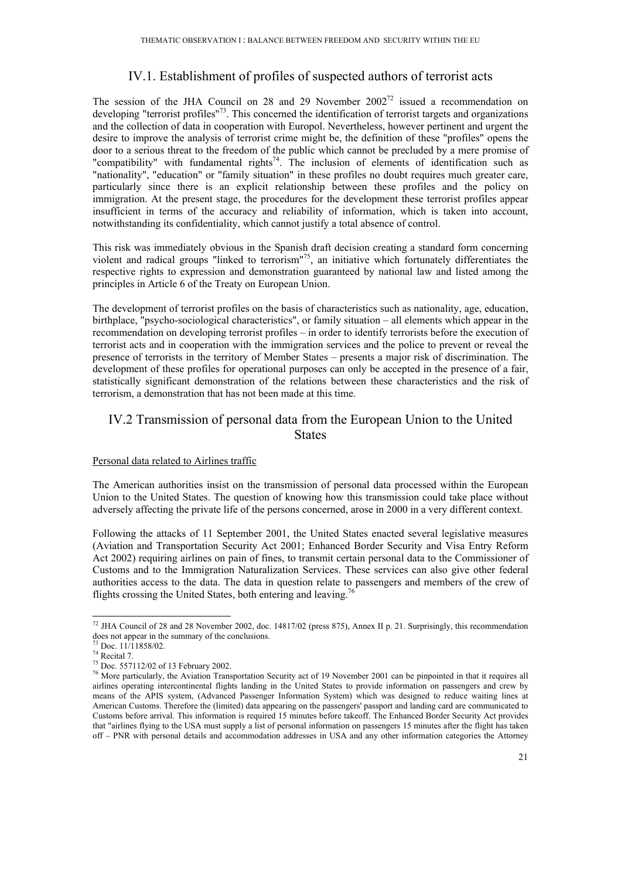# IV.1. Establishment of profiles of suspected authors of terrorist acts

The session of the JHA Council on 28 and 29 November  $2002^{72}$  issued a recommendation on developing "terrorist profiles"73. This concerned the identification of terrorist targets and organizations and the collection of data in cooperation with Europol. Nevertheless, however pertinent and urgent the desire to improve the analysis of terrorist crime might be, the definition of these "profiles" opens the door to a serious threat to the freedom of the public which cannot be precluded by a mere promise of "compatibility" with fundamental rights<sup>74</sup>. The inclusion of elements of identification such as "nationality", "education" or "family situation" in these profiles no doubt requires much greater care, particularly since there is an explicit relationship between these profiles and the policy on immigration. At the present stage, the procedures for the development these terrorist profiles appear insufficient in terms of the accuracy and reliability of information, which is taken into account, notwithstanding its confidentiality, which cannot justify a total absence of control.

This risk was immediately obvious in the Spanish draft decision creating a standard form concerning violent and radical groups "linked to terrorism"<sup>75</sup>, an initiative which fortunately differentiates the respective rights to expression and demonstration guaranteed by national law and listed among the principles in Article 6 of the Treaty on European Union.

The development of terrorist profiles on the basis of characteristics such as nationality, age, education, birthplace, "psycho-sociological characteristics", or family situation – all elements which appear in the recommendation on developing terrorist profiles – in order to identify terrorists before the execution of terrorist acts and in cooperation with the immigration services and the police to prevent or reveal the presence of terrorists in the territory of Member States – presents a major risk of discrimination. The development of these profiles for operational purposes can only be accepted in the presence of a fair, statistically significant demonstration of the relations between these characteristics and the risk of terrorism, a demonstration that has not been made at this time.

## IV.2 Transmission of personal data from the European Union to the United **States**

### Personal data related to Airlines traffic

The American authorities insist on the transmission of personal data processed within the European Union to the United States. The question of knowing how this transmission could take place without adversely affecting the private life of the persons concerned, arose in 2000 in a very different context.

Following the attacks of 11 September 2001, the United States enacted several legislative measures (Aviation and Transportation Security Act 2001; Enhanced Border Security and Visa Entry Reform Act 2002) requiring airlines on pain of fines, to transmit certain personal data to the Commissioner of Customs and to the Immigration Naturalization Services. These services can also give other federal authorities access to the data. The data in question relate to passengers and members of the crew of flights crossing the United States, both entering and leaving.<sup>76</sup>

<sup>&</sup>lt;sup>72</sup> JHA Council of 28 and 28 November 2002, doc. 14817/02 (press 875), Annex II p. 21. Surprisingly, this recommendation does not appear in the summary of the conclusions.

 $5$  Doc.  $11/11858/02$ .

 $74$  Recital 7.

<sup>75</sup> Doc. 557112/02 of 13 February 2002.

<sup>&</sup>lt;sup>76</sup> More particularly, the Aviation Transportation Security act of 19 November 2001 can be pinpointed in that it requires all airlines operating intercontinental flights landing in the United States to provide information on passengers and crew by means of the APIS system, (Advanced Passenger Information System) which was designed to reduce waiting lines at American Customs. Therefore the (limited) data appearing on the passengers' passport and landing card are communicated to Customs before arrival. This information is required 15 minutes before takeoff. The Enhanced Border Security Act provides that "airlines flying to the USA must supply a list of personal information on passengers 15 minutes after the flight has taken off – PNR with personal details and accommodation addresses in USA and any other information categories the Attorney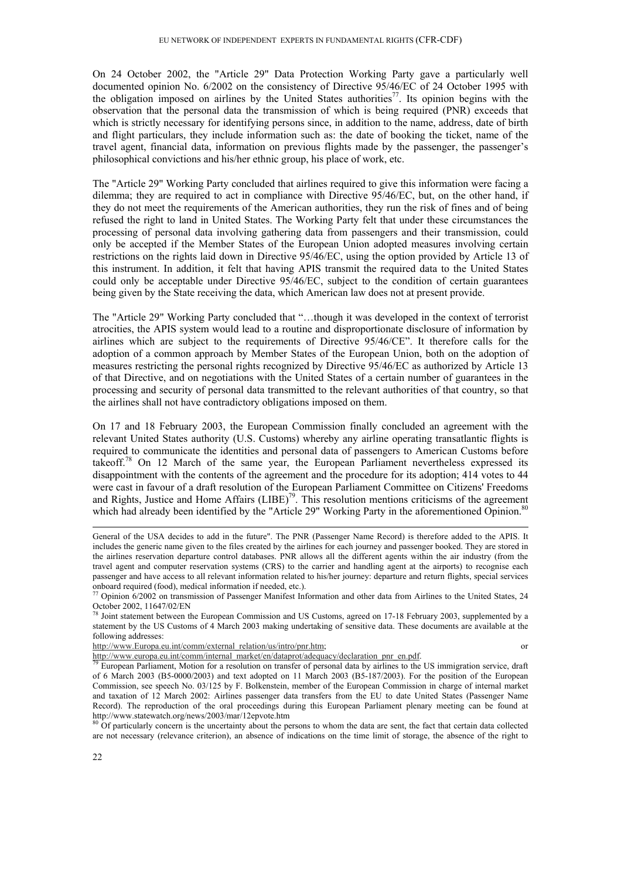On 24 October 2002, the "Article 29" Data Protection Working Party gave a particularly well documented opinion No. 6/2002 on the consistency of Directive 95/46/EC of 24 October 1995 with the obligation imposed on airlines by the United States authorities<sup>77</sup>. Its opinion begins with the observation that the personal data the transmission of which is being required (PNR) exceeds that which is strictly necessary for identifying persons since, in addition to the name, address, date of birth and flight particulars, they include information such as: the date of booking the ticket, name of the travel agent, financial data, information on previous flights made by the passenger, the passenger's philosophical convictions and his/her ethnic group, his place of work, etc.

The "Article 29" Working Party concluded that airlines required to give this information were facing a dilemma; they are required to act in compliance with Directive 95/46/EC, but, on the other hand, if they do not meet the requirements of the American authorities, they run the risk of fines and of being refused the right to land in United States. The Working Party felt that under these circumstances the processing of personal data involving gathering data from passengers and their transmission, could only be accepted if the Member States of the European Union adopted measures involving certain restrictions on the rights laid down in Directive 95/46/EC, using the option provided by Article 13 of this instrument. In addition, it felt that having APIS transmit the required data to the United States could only be acceptable under Directive 95/46/EC, subject to the condition of certain guarantees being given by the State receiving the data, which American law does not at present provide.

The "Article 29" Working Party concluded that "…though it was developed in the context of terrorist atrocities, the APIS system would lead to a routine and disproportionate disclosure of information by airlines which are subject to the requirements of Directive 95/46/CE". It therefore calls for the adoption of a common approach by Member States of the European Union, both on the adoption of measures restricting the personal rights recognized by Directive 95/46/EC as authorized by Article 13 of that Directive, and on negotiations with the United States of a certain number of guarantees in the processing and security of personal data transmitted to the relevant authorities of that country, so that the airlines shall not have contradictory obligations imposed on them.

On 17 and 18 February 2003, the European Commission finally concluded an agreement with the relevant United States authority (U.S. Customs) whereby any airline operating transatlantic flights is required to communicate the identities and personal data of passengers to American Customs before takeoff.78 On 12 March of the same year, the European Parliament nevertheless expressed its disappointment with the contents of the agreement and the procedure for its adoption; 414 votes to 44 were cast in favour of a draft resolution of the European Parliament Committee on Citizens' Freedoms and Rights, Justice and Home Affairs (LIBE)<sup>79</sup>. This resolution mentions criticisms of the agreement which had already been identified by the "Article 29" Working Party in the aforementioned Opinion.<sup>80</sup>

http://www.Europa.eu.int/comm/external\_relation/us/intro/pnr.htm; or http://www.europa.eu.int/comm/internal\_market/en/dataprot/adequacy/declaration\_pnr\_en.pdf.

http://www.statewatch.org/news/2003/mar/12epvote.htm<br><sup>80</sup> Of particularly concern is the uncertainty about the persons to whom the data are sent, the fact that certain data collected are not necessary (relevance criterion), an absence of indications on the time limit of storage, the absence of the right to

General of the USA decides to add in the future". The PNR (Passenger Name Record) is therefore added to the APIS. It includes the generic name given to the files created by the airlines for each journey and passenger booked. They are stored in the airlines reservation departure control databases. PNR allows all the different agents within the air industry (from the travel agent and computer reservation systems (CRS) to the carrier and handling agent at the airports) to recognise each passenger and have access to all relevant information related to his/her journey: departure and return flights, special services onboard required (food), medical information if needed, etc.).

 $\frac{77}{2}$  Opinion 6/2002 on transmission of Passenger Manifest Information and other data from Airlines to the United States, 24 October 2002, 11647/02/EN

 $78$  Joint statement between the European Commission and US Customs, agreed on 17-18 February 2003, supplemented by a statement by the US Customs of 4 March 2003 making undertaking of sensitive data. These documents are available at the following addresses:

<sup>&</sup>lt;sup>79</sup> European Parliament, Motion for a resolution on transfer of personal data by airlines to the US immigration service, draft of 6 March 2003 (B5-0000/2003) and text adopted on 11 March 2003 (B5-187/2003). For the position of the European Commission, see speech No. 03/125 by F. Bolkenstein, member of the European Commission in charge of internal market and taxation of 12 March 2002: Airlines passenger data transfers from the EU to date United States (Passenger Name Record). The reproduction of the oral proceedings during this European Parliament plenary meeting can be found at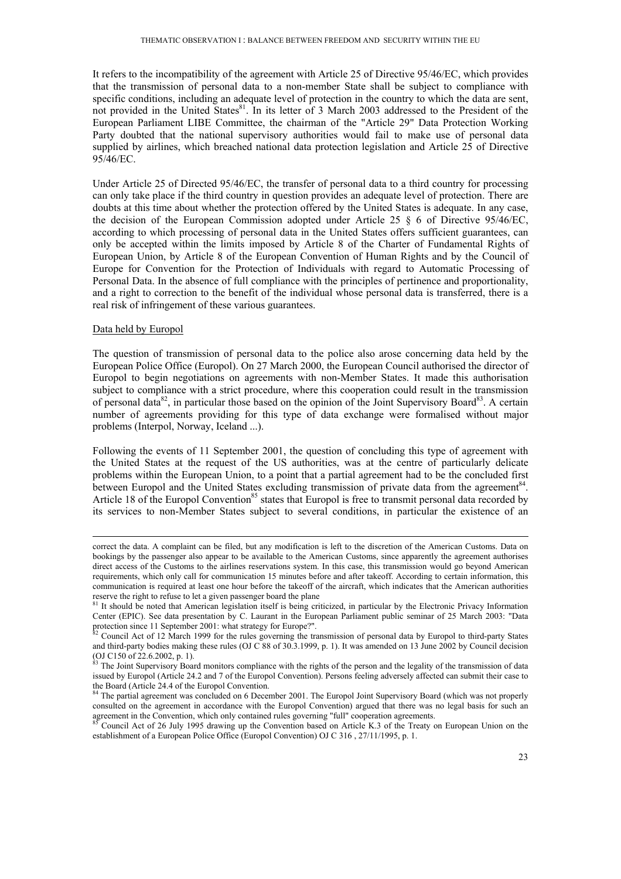It refers to the incompatibility of the agreement with Article 25 of Directive 95/46/EC, which provides that the transmission of personal data to a non-member State shall be subject to compliance with specific conditions, including an adequate level of protection in the country to which the data are sent, not provided in the United States<sup>81</sup>. In its letter of 3 March 2003 addressed to the President of the European Parliament LIBE Committee, the chairman of the "Article 29" Data Protection Working Party doubted that the national supervisory authorities would fail to make use of personal data supplied by airlines, which breached national data protection legislation and Article 25 of Directive 95/46/EC.

Under Article 25 of Directed 95/46/EC, the transfer of personal data to a third country for processing can only take place if the third country in question provides an adequate level of protection. There are doubts at this time about whether the protection offered by the United States is adequate. In any case, the decision of the European Commission adopted under Article 25  $\S$  6 of Directive 95/46/EC, according to which processing of personal data in the United States offers sufficient guarantees, can only be accepted within the limits imposed by Article 8 of the Charter of Fundamental Rights of European Union, by Article 8 of the European Convention of Human Rights and by the Council of Europe for Convention for the Protection of Individuals with regard to Automatic Processing of Personal Data. In the absence of full compliance with the principles of pertinence and proportionality, and a right to correction to the benefit of the individual whose personal data is transferred, there is a real risk of infringement of these various guarantees.

#### Data held by Europol

The question of transmission of personal data to the police also arose concerning data held by the European Police Office (Europol). On 27 March 2000, the European Council authorised the director of Europol to begin negotiations on agreements with non-Member States. It made this authorisation subject to compliance with a strict procedure, where this cooperation could result in the transmission of personal data $^{82}$ , in particular those based on the opinion of the Joint Supervisory Board $^{83}$ . A certain number of agreements providing for this type of data exchange were formalised without major problems (Interpol, Norway, Iceland ...).

Following the events of 11 September 2001, the question of concluding this type of agreement with the United States at the request of the US authorities, was at the centre of particularly delicate problems within the European Union, to a point that a partial agreement had to be the concluded first between Europol and the United States excluding transmission of private data from the agreement<sup>84</sup>. Article 18 of the Europol Convention<sup>85</sup> states that Europol is free to transmit personal data recorded by its services to non-Member States subject to several conditions, in particular the existence of an

correct the data. A complaint can be filed, but any modification is left to the discretion of the American Customs. Data on bookings by the passenger also appear to be available to the American Customs, since apparently the agreement authorises direct access of the Customs to the airlines reservations system. In this case, this transmission would go beyond American requirements, which only call for communication 15 minutes before and after takeoff. According to certain information, this communication is required at least one hour before the takeoff of the aircraft, which indicates that the American authorities reserve the right to refuse to let a given passenger board the plane<br><sup>81</sup> It should be noted that American legislation itself is being criticized, in particular by the Electronic Privacy Information

Center (EPIC). See data presentation by C. Laurant in the European Parliament public seminar of 25 March 2003: "Data protection since 11 September 2001: what strategy for Europe?".<br><sup>82</sup> Council Act of 12 March 1999 for the rules governing the transmission of personal data by Europol to third-party States

and third-party bodies making these rules (OJ C 88 of 30.3.1999, p. 1). It was amended on 13 June 2002 by Council decision (OJ C150 of 22.6.2002, p. 1).

 $83$  The Joint Supervisory Board monitors compliance with the rights of the person and the legality of the transmission of data issued by Europol (Article 24.2 and 7 of the Europol Convention). Persons feeling adversely affected can submit their case to the Board (Article 24.4 of the Europol Convention.

<sup>&</sup>lt;sup>84</sup> The partial agreement was concluded on 6 December 2001. The Europol Joint Supervisory Board (which was not properly consulted on the agreement in accordance with the Europol Convention) argued that there was no legal basis for such an agreement in the Convention, which only contained rules governing "full" cooperation agreements.<br><sup>85</sup> Council Act of 26 July 1995 drawing up the Convention based on Article K.3 of the Treaty on European Union on the

establishment of a European Police Office (Europol Convention) OJ C 316 , 27/11/1995, p. 1.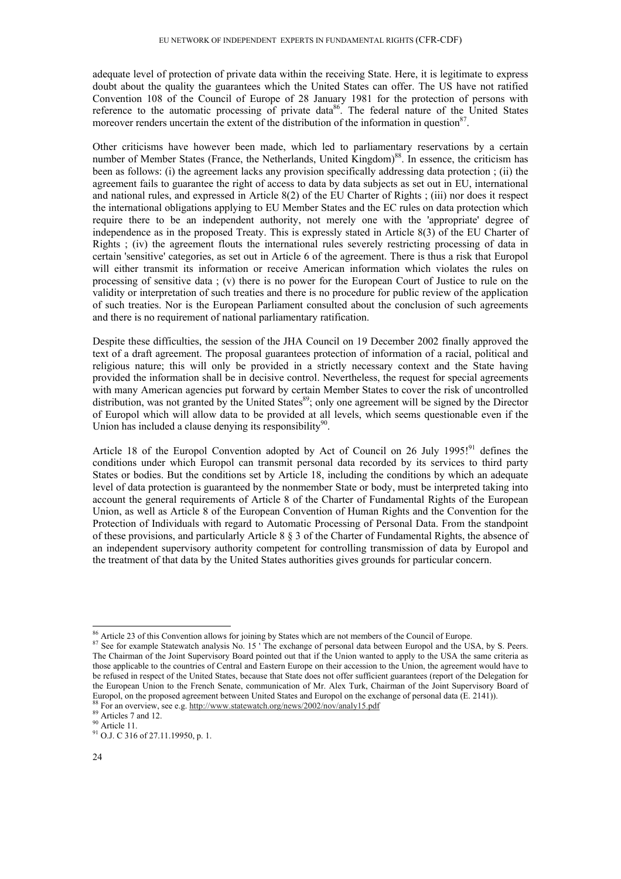adequate level of protection of private data within the receiving State. Here, it is legitimate to express doubt about the quality the guarantees which the United States can offer. The US have not ratified Convention 108 of the Council of Europe of 28 January 1981 for the protection of persons with reference to the automatic processing of private data<sup>86</sup>. The federal nature of the United States moreover renders uncertain the extent of the distribution of the information in question $87$ .

Other criticisms have however been made, which led to parliamentary reservations by a certain number of Member States (France, the Netherlands, United Kingdom)<sup>88</sup>. In essence, the criticism has been as follows: (i) the agreement lacks any provision specifically addressing data protection ; (ii) the agreement fails to guarantee the right of access to data by data subjects as set out in EU, international and national rules, and expressed in Article 8(2) of the EU Charter of Rights ; (iii) nor does it respect the international obligations applying to EU Member States and the EC rules on data protection which require there to be an independent authority, not merely one with the 'appropriate' degree of independence as in the proposed Treaty. This is expressly stated in Article 8(3) of the EU Charter of Rights ; (iv) the agreement flouts the international rules severely restricting processing of data in certain 'sensitive' categories, as set out in Article 6 of the agreement. There is thus a risk that Europol will either transmit its information or receive American information which violates the rules on processing of sensitive data ; (v) there is no power for the European Court of Justice to rule on the validity or interpretation of such treaties and there is no procedure for public review of the application of such treaties. Nor is the European Parliament consulted about the conclusion of such agreements and there is no requirement of national parliamentary ratification.

Despite these difficulties, the session of the JHA Council on 19 December 2002 finally approved the text of a draft agreement. The proposal guarantees protection of information of a racial, political and religious nature; this will only be provided in a strictly necessary context and the State having provided the information shall be in decisive control. Nevertheless, the request for special agreements with many American agencies put forward by certain Member States to cover the risk of uncontrolled distribution, was not granted by the United States<sup>89</sup>; only one agreement will be signed by the Director of Europol which will allow data to be provided at all levels, which seems questionable even if the Union has included a clause denying its responsibility<sup>90</sup>.

Article 18 of the Europol Convention adopted by Act of Council on 26 July 1995!<sup>91</sup> defines the conditions under which Europol can transmit personal data recorded by its services to third party States or bodies. But the conditions set by Article 18, including the conditions by which an adequate level of data protection is guaranteed by the nonmember State or body, must be interpreted taking into account the general requirements of Article 8 of the Charter of Fundamental Rights of the European Union, as well as Article 8 of the European Convention of Human Rights and the Convention for the Protection of Individuals with regard to Automatic Processing of Personal Data. From the standpoint of these provisions, and particularly Article 8 § 3 of the Charter of Fundamental Rights, the absence of an independent supervisory authority competent for controlling transmission of data by Europol and the treatment of that data by the United States authorities gives grounds for particular concern.

<sup>&</sup>lt;sup>86</sup> Article 23 of this Convention allows for joining by States which are not members of the Council of Europe.<br><sup>87</sup> See for example Statewatch analysis No. 15 ' The exchange of personal data between Europol and the USA, b The Chairman of the Joint Supervisory Board pointed out that if the Union wanted to apply to the USA the same criteria as those applicable to the countries of Central and Eastern Europe on their accession to the Union, the agreement would have to be refused in respect of the United States, because that State does not offer sufficient guarantees (report of the Delegation for the European Union to the French Senate, communication of Mr. Alex Turk, Chairman of the Joint Supervisory Board of Europol, on the proposed agreement between United States and Europol on the exchange of personal data (E. 2141)).<br><sup>88</sup> For an overview, see e.g. http://www.statewatch.org/news/2002/nov/analy15.pdf<br><sup>89</sup> Articles 7 and 12.

<sup>90</sup> Article 11.

<sup>91</sup> O.J. C 316 of 27.11.19950, p. 1.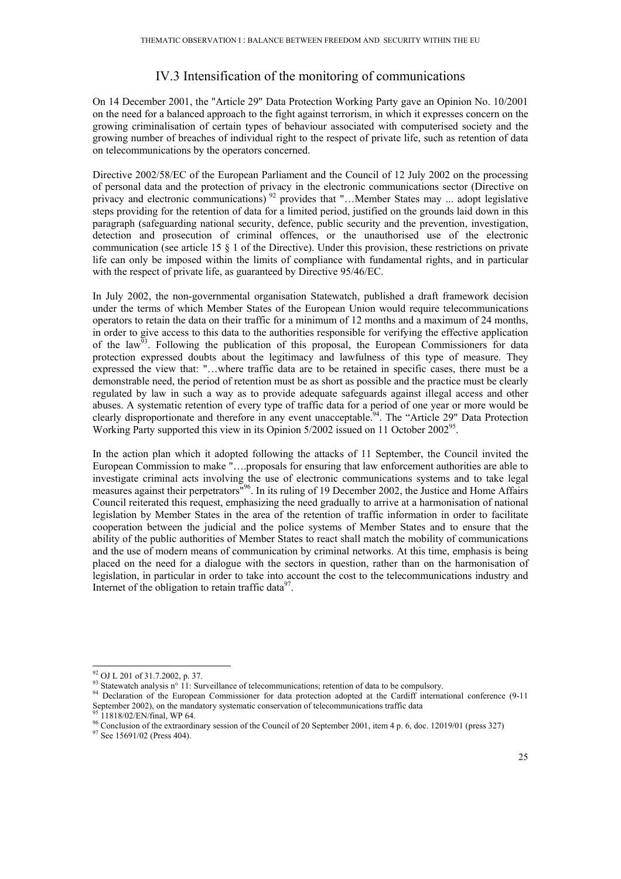# IV.3 Intensification of the monitoring of communications

On 14 December 2001, the "Article 29" Data Protection Working Party gave an Opinion No. 10/2001 on the need for a balanced approach to the fight against terrorism, in which it expresses concern on the growing criminalisation of certain types of behaviour associated with computerised society and the growing number of breaches of individual right to the respect of private life, such as retention of data on telecommunications by the operators concerned.

Directive 2002/58/EC of the European Parliament and the Council of 12 July 2002 on the processing of personal data and the protection of privacy in the electronic communications sector (Directive on privacy and electronic communications)<sup>92</sup> provides that "...Member States may ... adopt legislative steps providing for the retention of data for a limited period, justified on the grounds laid down in this paragraph (safeguarding national security, defence, public security and the prevention, investigation, detection and prosecution of criminal offences, or the unauthorised use of the electronic communication (see article 15 § 1 of the Directive). Under this provision, these restrictions on private life can only be imposed within the limits of compliance with fundamental rights, and in particular with the respect of private life, as guaranteed by Directive 95/46/EC.

In July 2002, the non-governmental organisation Statewatch, published a draft framework decision under the terms of which Member States of the European Union would require telecommunications operators to retain the data on their traffic for a minimum of 12 months and a maximum of 24 months, in order to give access to this data to the authorities responsible for verifying the effective application of the law<sup> $\frac{5}{3}$ </sup>. Following the publication of this proposal, the European Commissioners for data protection expressed doubts about the legitimacy and lawfulness of this type of measure. They expressed the view that: "…where traffic data are to be retained in specific cases, there must be a demonstrable need, the period of retention must be as short as possible and the practice must be clearly regulated by law in such a way as to provide adequate safeguards against illegal access and other abuses. A systematic retention of every type of traffic data for a period of one year or more would be clearly disproportionate and therefore in any event unacceptable.<sup>94</sup>. The "Article 29" Data Protection Working Party supported this view in its Opinion 5/2002 issued on 11 October 2002<sup>95</sup>.

In the action plan which it adopted following the attacks of 11 September, the Council invited the European Commission to make "….proposals for ensuring that law enforcement authorities are able to investigate criminal acts involving the use of electronic communications systems and to take legal measures against their perpetrators"96. In its ruling of 19 December 2002, the Justice and Home Affairs Council reiterated this request, emphasizing the need gradually to arrive at a harmonisation of national legislation by Member States in the area of the retention of traffic information in order to facilitate cooperation between the judicial and the police systems of Member States and to ensure that the ability of the public authorities of Member States to react shall match the mobility of communications and the use of modern means of communication by criminal networks. At this time, emphasis is being placed on the need for a dialogue with the sectors in question, rather than on the harmonisation of legislation, in particular in order to take into account the cost to the telecommunications industry and Internet of the obligation to retain traffic data $97$ .

<sup>-</sup>92 OJ L 201 of 31.7.2002, p. 37.

<sup>&</sup>lt;sup>93</sup> Statewatch analysis n° 11: Surveillance of telecommunications; retention of data to be compulsory.<br><sup>94</sup> Declaration of the European Commissioner for data protection adopted at the Cardiff international conference (9-September 2002), on the mandatory systematic conservation of telecommunications traffic data <sup>95</sup> 11818/02/EN/final, WP 64.

<sup>&</sup>lt;sup>96</sup> Conclusion of the extraordinary session of the Council of 20 September 2001, item 4 p. 6, doc. 12019/01 (press 327) <sup>97</sup> See 15691/02 (Press 404).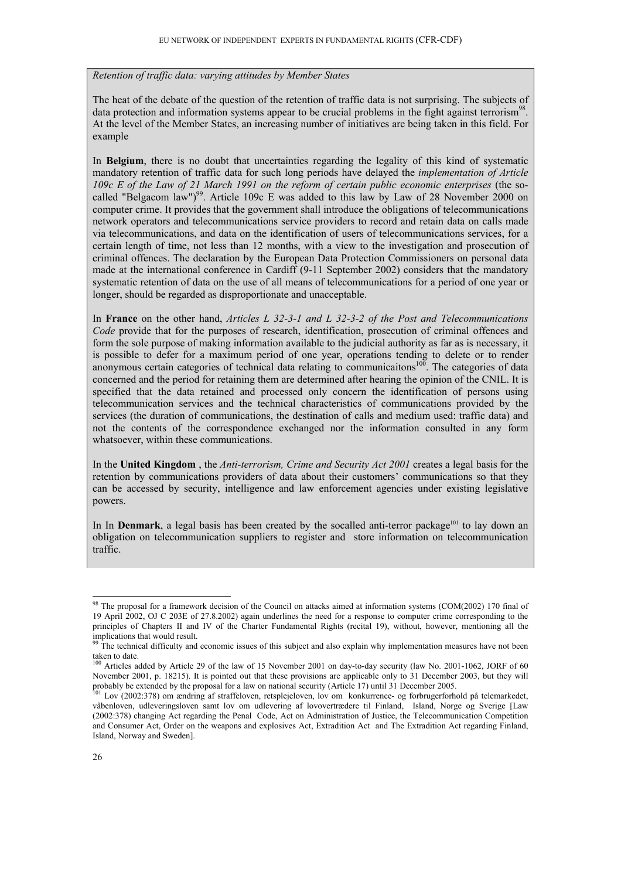*Retention of traffic data: varying attitudes by Member States* 

The heat of the debate of the question of the retention of traffic data is not surprising. The subjects of data protection and information systems appear to be crucial problems in the fight against terrorism<sup>98</sup> At the level of the Member States, an increasing number of initiatives are being taken in this field. For example

In **Belgium**, there is no doubt that uncertainties regarding the legality of this kind of systematic mandatory retention of traffic data for such long periods have delayed the *implementation of Article 109c E of the Law of 21 March 1991 on the reform of certain public economic enterprises* (the socalled "Belgacom law")<sup>99</sup>. Article 109c E was added to this law by Law of 28 November 2000 on computer crime. It provides that the government shall introduce the obligations of telecommunications network operators and telecommunications service providers to record and retain data on calls made via telecommunications, and data on the identification of users of telecommunications services, for a certain length of time, not less than 12 months, with a view to the investigation and prosecution of criminal offences. The declaration by the European Data Protection Commissioners on personal data made at the international conference in Cardiff (9-11 September 2002) considers that the mandatory systematic retention of data on the use of all means of telecommunications for a period of one year or longer, should be regarded as disproportionate and unacceptable.

In **France** on the other hand, *Articles L 32-3-1 and L 32-3-2 of the Post and Telecommunications Code* provide that for the purposes of research, identification, prosecution of criminal offences and form the sole purpose of making information available to the judicial authority as far as is necessary, it is possible to defer for a maximum period of one year, operations tending to delete or to render anonymous certain categories of technical data relating to communicaitons<sup>100</sup>. The categories of data concerned and the period for retaining them are determined after hearing the opinion of the CNIL. It is specified that the data retained and processed only concern the identification of persons using telecommunication services and the technical characteristics of communications provided by the services (the duration of communications, the destination of calls and medium used: traffic data) and not the contents of the correspondence exchanged nor the information consulted in any form whatsoever, within these communications.

In the **United Kingdom** , the *Anti-terrorism, Crime and Security Act 2001* creates a legal basis for the retention by communications providers of data about their customers' communications so that they can be accessed by security, intelligence and law enforcement agencies under existing legislative powers.

In In **Denmark**, a legal basis has been created by the socalled anti-terror package<sup>101</sup> to lay down an obligation on telecommunication suppliers to register and store information on telecommunication traffic.

<sup>-</sup><sup>98</sup> The proposal for a framework decision of the Council on attacks aimed at information systems (COM(2002) 170 final of 19 April 2002, OJ C 203E of 27.8.2002) again underlines the need for a response to computer crime corresponding to the principles of Chapters II and IV of the Charter Fundamental Rights (recital 19), without, however, mentioning all the implications that would result.

<sup>&</sup>lt;sup>99</sup> The technical difficulty and economic issues of this subject and also explain why implementation measures have not been taken to date.

<sup>&</sup>lt;sup>100</sup> Articles added by Article 29 of the law of 15 November 2001 on day-to-day security (law No. 2001-1062, JORF of 60 November 2001, p. 18215). It is pointed out that these provisions are applicable only to 31 December 2003, but they will probably be extended by the proposal for a law on national security (Article 17) until 31 December 2005.

<sup>101</sup> Lov (2002:378) om ændring af straffeloven, retsplejeloven, lov om konkurrence- og forbrugerforhold på telemarkedet, våbenloven, udleveringsloven samt lov om udlevering af lovovertrædere til Finland, Island, Norge og Sverige [Law (2002:378) changing Act regarding the Penal Code, Act on Administration of Justice, the Telecommunication Competition and Consumer Act, Order on the weapons and explosives Act, Extradition Act and The Extradition Act regarding Finland, Island, Norway and Sweden].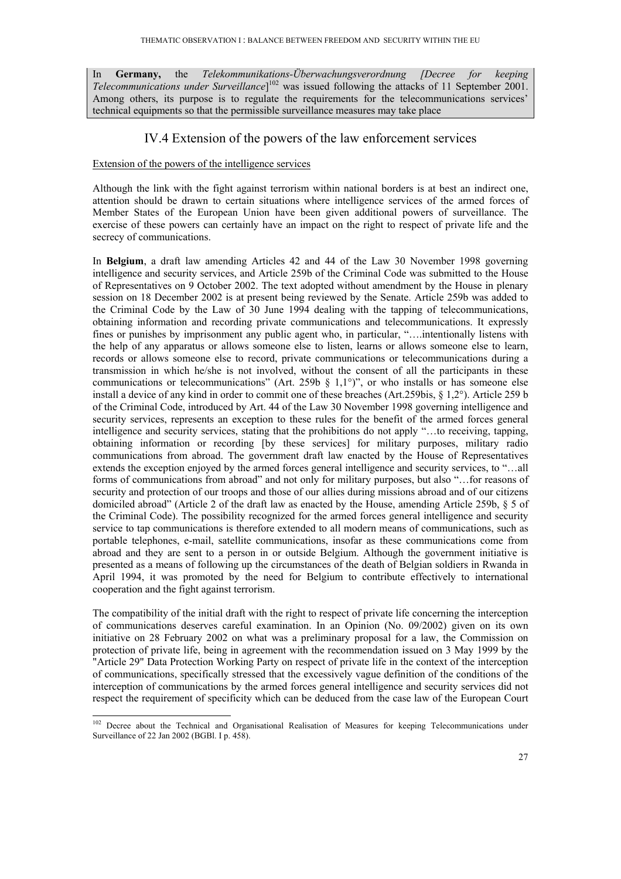In **Germany,** the *Telekommunikations-Überwachungsverordnung [Decree for keeping Telecommunications under Surveillance*] 102 was issued following the attacks of 11 September 2001. Among others, its purpose is to regulate the requirements for the telecommunications services' technical equipments so that the permissible surveillance measures may take place

## IV.4 Extension of the powers of the law enforcement services

#### Extension of the powers of the intelligence services

-

Although the link with the fight against terrorism within national borders is at best an indirect one, attention should be drawn to certain situations where intelligence services of the armed forces of Member States of the European Union have been given additional powers of surveillance. The exercise of these powers can certainly have an impact on the right to respect of private life and the secrecy of communications.

In **Belgium**, a draft law amending Articles 42 and 44 of the Law 30 November 1998 governing intelligence and security services, and Article 259b of the Criminal Code was submitted to the House of Representatives on 9 October 2002. The text adopted without amendment by the House in plenary session on 18 December 2002 is at present being reviewed by the Senate. Article 259b was added to the Criminal Code by the Law of 30 June 1994 dealing with the tapping of telecommunications, obtaining information and recording private communications and telecommunications. It expressly fines or punishes by imprisonment any public agent who, in particular, "….intentionally listens with the help of any apparatus or allows someone else to listen, learns or allows someone else to learn, records or allows someone else to record, private communications or telecommunications during a transmission in which he/she is not involved, without the consent of all the participants in these communications or telecommunications" (Art. 259b  $\S$  1,1°)", or who installs or has someone else install a device of any kind in order to commit one of these breaches (Art.259bis, § 1,2°). Article 259 b of the Criminal Code, introduced by Art. 44 of the Law 30 November 1998 governing intelligence and security services, represents an exception to these rules for the benefit of the armed forces general intelligence and security services, stating that the prohibitions do not apply "…to receiving, tapping, obtaining information or recording [by these services] for military purposes, military radio communications from abroad. The government draft law enacted by the House of Representatives extends the exception enjoyed by the armed forces general intelligence and security services, to "…all forms of communications from abroad" and not only for military purposes, but also "…for reasons of security and protection of our troops and those of our allies during missions abroad and of our citizens domiciled abroad" (Article 2 of the draft law as enacted by the House, amending Article 259b, § 5 of the Criminal Code). The possibility recognized for the armed forces general intelligence and security service to tap communications is therefore extended to all modern means of communications, such as portable telephones, e-mail, satellite communications, insofar as these communications come from abroad and they are sent to a person in or outside Belgium. Although the government initiative is presented as a means of following up the circumstances of the death of Belgian soldiers in Rwanda in April 1994, it was promoted by the need for Belgium to contribute effectively to international cooperation and the fight against terrorism.

The compatibility of the initial draft with the right to respect of private life concerning the interception of communications deserves careful examination. In an Opinion (No. 09/2002) given on its own initiative on 28 February 2002 on what was a preliminary proposal for a law, the Commission on protection of private life, being in agreement with the recommendation issued on 3 May 1999 by the "Article 29" Data Protection Working Party on respect of private life in the context of the interception of communications, specifically stressed that the excessively vague definition of the conditions of the interception of communications by the armed forces general intelligence and security services did not respect the requirement of specificity which can be deduced from the case law of the European Court

<sup>&</sup>lt;sup>102</sup> Decree about the Technical and Organisational Realisation of Measures for keeping Telecommunications under Surveillance of 22 Jan 2002 (BGBl. I p. 458).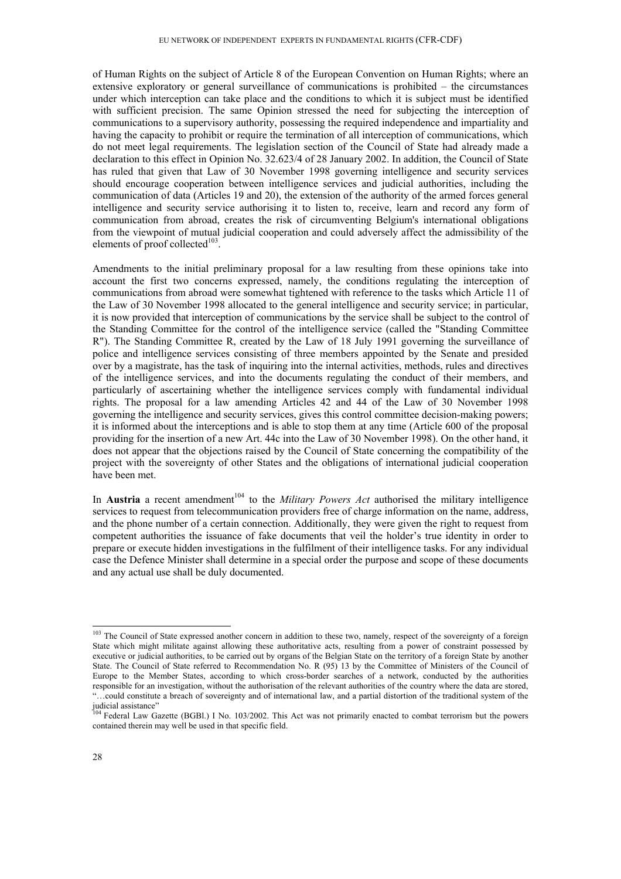of Human Rights on the subject of Article 8 of the European Convention on Human Rights; where an extensive exploratory or general surveillance of communications is prohibited – the circumstances under which interception can take place and the conditions to which it is subject must be identified with sufficient precision. The same Opinion stressed the need for subjecting the interception of communications to a supervisory authority, possessing the required independence and impartiality and having the capacity to prohibit or require the termination of all interception of communications, which do not meet legal requirements. The legislation section of the Council of State had already made a declaration to this effect in Opinion No. 32.623/4 of 28 January 2002. In addition, the Council of State has ruled that given that Law of 30 November 1998 governing intelligence and security services should encourage cooperation between intelligence services and judicial authorities, including the communication of data (Articles 19 and 20), the extension of the authority of the armed forces general intelligence and security service authorising it to listen to, receive, learn and record any form of communication from abroad, creates the risk of circumventing Belgium's international obligations from the viewpoint of mutual judicial cooperation and could adversely affect the admissibility of the elements of proof collected $103$ .

Amendments to the initial preliminary proposal for a law resulting from these opinions take into account the first two concerns expressed, namely, the conditions regulating the interception of communications from abroad were somewhat tightened with reference to the tasks which Article 11 of the Law of 30 November 1998 allocated to the general intelligence and security service; in particular, it is now provided that interception of communications by the service shall be subject to the control of the Standing Committee for the control of the intelligence service (called the "Standing Committee R"). The Standing Committee R, created by the Law of 18 July 1991 governing the surveillance of police and intelligence services consisting of three members appointed by the Senate and presided over by a magistrate, has the task of inquiring into the internal activities, methods, rules and directives of the intelligence services, and into the documents regulating the conduct of their members, and particularly of ascertaining whether the intelligence services comply with fundamental individual rights. The proposal for a law amending Articles 42 and 44 of the Law of 30 November 1998 governing the intelligence and security services, gives this control committee decision-making powers; it is informed about the interceptions and is able to stop them at any time (Article 600 of the proposal providing for the insertion of a new Art. 44c into the Law of 30 November 1998). On the other hand, it does not appear that the objections raised by the Council of State concerning the compatibility of the project with the sovereignty of other States and the obligations of international judicial cooperation have been met.

In **Austria** a recent amendment<sup>104</sup> to the *Military Powers Act* authorised the military intelligence services to request from telecommunication providers free of charge information on the name, address, and the phone number of a certain connection. Additionally, they were given the right to request from competent authorities the issuance of fake documents that veil the holder's true identity in order to prepare or execute hidden investigations in the fulfilment of their intelligence tasks. For any individual case the Defence Minister shall determine in a special order the purpose and scope of these documents and any actual use shall be duly documented.

<sup>&</sup>lt;sup>103</sup> The Council of State expressed another concern in addition to these two, namely, respect of the sovereignty of a foreign State which might militate against allowing these authoritative acts, resulting from a power of constraint possessed by executive or judicial authorities, to be carried out by organs of the Belgian State on the territory of a foreign State by another State. The Council of State referred to Recommendation No. R (95) 13 by the Committee of Ministers of the Council of Europe to the Member States, according to which cross-border searches of a network, conducted by the authorities responsible for an investigation, without the authorisation of the relevant authorities of the country where the data are stored, ...could constitute a breach of sovereignty and of international law, and a partial distortion of the traditional system of the judicial assistance"

<sup>&</sup>lt;sup>104</sup> Federal Law Gazette (BGBl.) I No. 103/2002. This Act was not primarily enacted to combat terrorism but the powers contained therein may well be used in that specific field.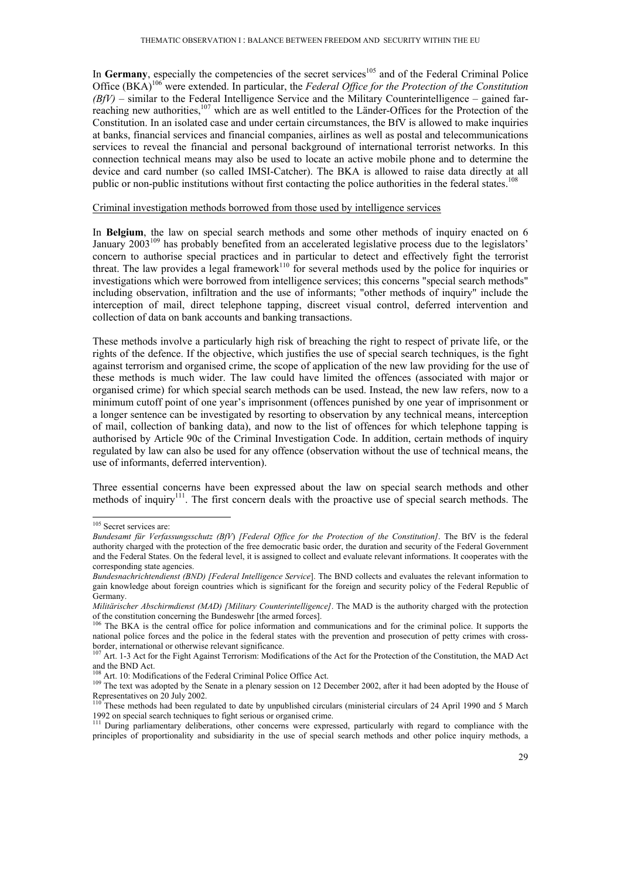In Germany, especially the competencies of the secret services<sup>105</sup> and of the Federal Criminal Police Office (BKA)106 were extended. In particular, the *Federal Office for the Protection of the Constitution*   $(BfV)$  – similar to the Federal Intelligence Service and the Military Counterintelligence – gained farreaching new authorities,<sup>107</sup> which are as well entitled to the Länder-Offices for the Protection of the Constitution. In an isolated case and under certain circumstances, the BfV is allowed to make inquiries at banks, financial services and financial companies, airlines as well as postal and telecommunications services to reveal the financial and personal background of international terrorist networks. In this connection technical means may also be used to locate an active mobile phone and to determine the device and card number (so called IMSI-Catcher). The BKA is allowed to raise data directly at all public or non-public institutions without first contacting the police authorities in the federal states.<sup>108</sup>

#### Criminal investigation methods borrowed from those used by intelligence services

In **Belgium**, the law on special search methods and some other methods of inquiry enacted on 6 January 2003<sup>109</sup> has probably benefited from an accelerated legislative process due to the legislators' concern to authorise special practices and in particular to detect and effectively fight the terrorist threat. The law provides a legal framework<sup>110</sup> for several methods used by the police for inquiries or investigations which were borrowed from intelligence services; this concerns "special search methods" including observation, infiltration and the use of informants; "other methods of inquiry" include the interception of mail, direct telephone tapping, discreet visual control, deferred intervention and collection of data on bank accounts and banking transactions.

These methods involve a particularly high risk of breaching the right to respect of private life, or the rights of the defence. If the objective, which justifies the use of special search techniques, is the fight against terrorism and organised crime, the scope of application of the new law providing for the use of these methods is much wider. The law could have limited the offences (associated with major or organised crime) for which special search methods can be used. Instead, the new law refers, now to a minimum cutoff point of one year's imprisonment (offences punished by one year of imprisonment or a longer sentence can be investigated by resorting to observation by any technical means, interception of mail, collection of banking data), and now to the list of offences for which telephone tapping is authorised by Article 90c of the Criminal Investigation Code. In addition, certain methods of inquiry regulated by law can also be used for any offence (observation without the use of technical means, the use of informants, deferred intervention).

Three essential concerns have been expressed about the law on special search methods and other methods of inquiry<sup>111</sup>. The first concern deals with the proactive use of special search methods. The

<sup>&</sup>lt;sup>105</sup> Secret services are:

*Bundesamt für Verfassungsschutz (BfV*) *[Federal Office for the Protection of the Constitution]*. The BfV is the federal authority charged with the protection of the free democratic basic order, the duration and security of the Federal Government and the Federal States. On the federal level, it is assigned to collect and evaluate relevant informations. It cooperates with the corresponding state agencies.

*Bundesnachrichtendienst (BND) [Federal Intelligence Service*]. The BND collects and evaluates the relevant information to gain knowledge about foreign countries which is significant for the foreign and security policy of the Federal Republic of Germany.

*Militärischer Abschirmdienst (MAD) [Military Counterintelligence]*. The MAD is the authority charged with the protection of the constitution concerning the Bundeswehr [the armed forces].

<sup>&</sup>lt;sup>106</sup> The BKA is the central office for police information and communications and for the criminal police. It supports the national police forces and the police in the federal states with the prevention and prosecution of petty crimes with crossborder, international or otherwise relevant significance.<br><sup>107</sup> Art. 1-3 Act for the Fight Against Terrorism: Modifications of the Act for the Protection of the Constitution, the MAD Act

and the BND Act.<br><sup>108</sup> Art. 10: Modifications of the Federal Criminal Police Office Act.

<sup>&</sup>lt;sup>109</sup> The text was adopted by the Senate in a plenary session on 12 December 2002, after it had been adopted by the House of Representatives on 20 July 2002.

<sup>&</sup>lt;sup>110</sup> These methods had been regulated to date by unpublished circulars (ministerial circulars of 24 April 1990 and 5 March 1992 on special search techniques to fight serious or organised crime.

<sup>&</sup>lt;sup>111</sup> During parliamentary deliberations, other concerns were expressed, particularly with regard to compliance with the principles of proportionality and subsidiarity in the use of special search methods and other police inquiry methods, a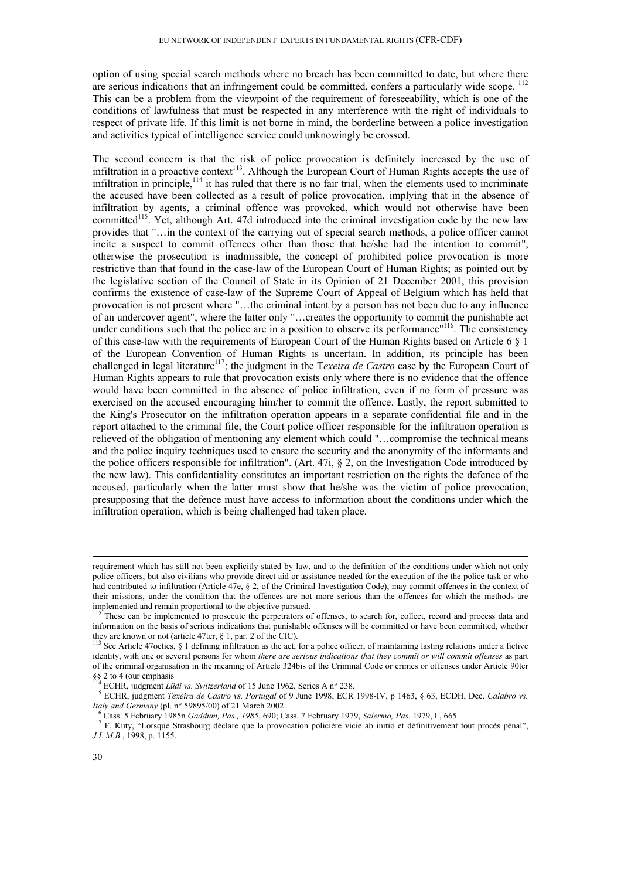option of using special search methods where no breach has been committed to date, but where there are serious indications that an infringement could be committed, confers a particularly wide scope. <sup>112</sup> This can be a problem from the viewpoint of the requirement of foreseeability, which is one of the conditions of lawfulness that must be respected in any interference with the right of individuals to respect of private life. If this limit is not borne in mind, the borderline between a police investigation and activities typical of intelligence service could unknowingly be crossed.

The second concern is that the risk of police provocation is definitely increased by the use of infiltration in a proactive context<sup>113</sup>. Although the European Court of Human Rights accepts the use of infiltration in principle, $114$  it has ruled that there is no fair trial, when the elements used to incriminate the accused have been collected as a result of police provocation, implying that in the absence of infiltration by agents, a criminal offence was provoked, which would not otherwise have been committed<sup>115</sup>. Yet, although Art. 47d introduced into the criminal investigation code by the new law provides that "…in the context of the carrying out of special search methods, a police officer cannot incite a suspect to commit offences other than those that he/she had the intention to commit", otherwise the prosecution is inadmissible, the concept of prohibited police provocation is more restrictive than that found in the case-law of the European Court of Human Rights; as pointed out by the legislative section of the Council of State in its Opinion of 21 December 2001, this provision confirms the existence of case-law of the Supreme Court of Appeal of Belgium which has held that provocation is not present where "…the criminal intent by a person has not been due to any influence of an undercover agent", where the latter only "…creates the opportunity to commit the punishable act under conditions such that the police are in a position to observe its performance<sup>"116</sup>. The consistency of this case-law with the requirements of European Court of the Human Rights based on Article 6 § 1 of the European Convention of Human Rights is uncertain. In addition, its principle has been challenged in legal literature<sup>117</sup>; the judgment in the Texeira de Castro case by the European Court of Human Rights appears to rule that provocation exists only where there is no evidence that the offence would have been committed in the absence of police infiltration, even if no form of pressure was exercised on the accused encouraging him/her to commit the offence. Lastly, the report submitted to the King's Prosecutor on the infiltration operation appears in a separate confidential file and in the report attached to the criminal file, the Court police officer responsible for the infiltration operation is relieved of the obligation of mentioning any element which could "…compromise the technical means and the police inquiry techniques used to ensure the security and the anonymity of the informants and the police officers responsible for infiltration". (Art. 47i,  $\S$  2, on the Investigation Code introduced by the new law). This confidentiality constitutes an important restriction on the rights the defence of the accused, particularly when the latter must show that he/she was the victim of police provocation, presupposing that the defence must have access to information about the conditions under which the infiltration operation, which is being challenged had taken place.

requirement which has still not been explicitly stated by law, and to the definition of the conditions under which not only police officers, but also civilians who provide direct aid or assistance needed for the execution of the the police task or who had contributed to infiltration (Article 47e, § 2, of the Criminal Investigation Code), may commit offences in the context of their missions, under the condition that the offences are not more serious than the offences for which the methods are implemented and remain proportional to the objective pursued.

<sup>&</sup>lt;sup>112</sup> These can be implemented to prosecute the perpetrators of offenses, to search for, collect, record and process data and information on the basis of serious indications that punishable offenses will be committed or have been committed, whether they are known or not (article 47ter, § 1, par. 2 of the CIC).

<sup>&</sup>lt;sup>113</sup> See Article 47octies, § 1 defining infiltration as the act, for a police officer, of maintaining lasting relations under a fictive identity, with one or several persons for whom *there are serious indications that they commit or will commit offenses* as part of the criminal organisation in the meaning of Article 324bis of the Criminal Code or crimes or offenses under Article 90ter §§ 2 to 4 (our emphasis  $^{114}$  ECHR, judgment *Lüdi vs. Switzerland* of 15 June 1962, Series A n° 238.

<sup>115</sup> ECHR, judgment *Texeira de Castro vs. Portugal* of 9 June 1998, ECR 1998-IV, p 1463, § 63, ECDH, Dec. *Calabro vs.* Italy and Germany (pl. n° 59895/00) of 21 March 2002.<br><sup>116</sup> Cass. 5 February 1985n *Gaddum, Pas., 1985*, 690; Cass. 7 February 1979, *Salermo, Pas.* 1979, I, 665.<br><sup>117</sup> F. Kuty, "Lorsque Strasbourg déclare que la provocati

*J.L.M.B.*, 1998, p. 1155.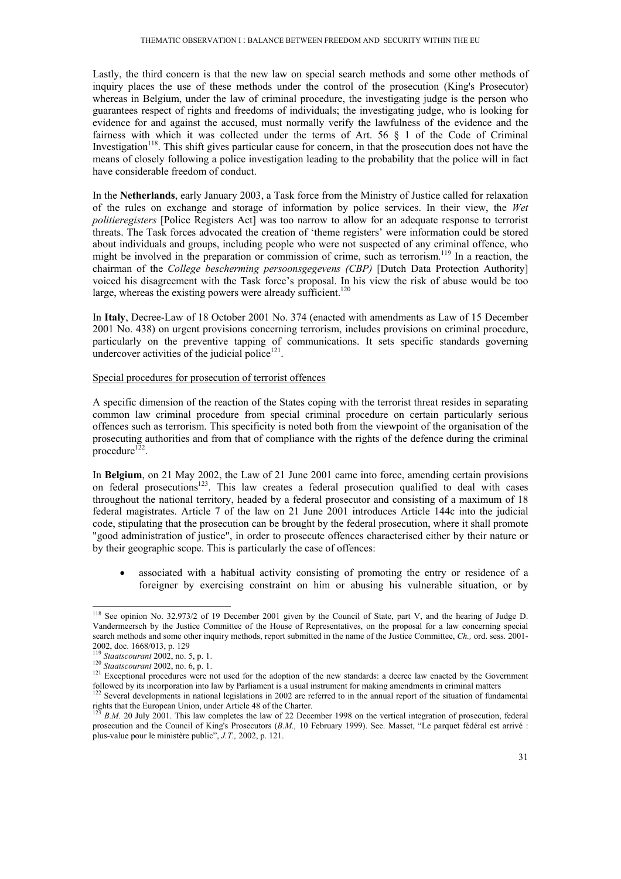Lastly, the third concern is that the new law on special search methods and some other methods of inquiry places the use of these methods under the control of the prosecution (King's Prosecutor) whereas in Belgium, under the law of criminal procedure, the investigating judge is the person who guarantees respect of rights and freedoms of individuals; the investigating judge, who is looking for evidence for and against the accused, must normally verify the lawfulness of the evidence and the fairness with which it was collected under the terms of Art. 56 § 1 of the Code of Criminal Investigation<sup>118</sup>. This shift gives particular cause for concern, in that the prosecution does not have the means of closely following a police investigation leading to the probability that the police will in fact have considerable freedom of conduct.

In the **Netherlands**, early January 2003, a Task force from the Ministry of Justice called for relaxation of the rules on exchange and storage of information by police services. In their view, the *Wet politieregisters* [Police Registers Act] was too narrow to allow for an adequate response to terrorist threats. The Task forces advocated the creation of 'theme registers' were information could be stored about individuals and groups, including people who were not suspected of any criminal offence, who might be involved in the preparation or commission of crime, such as terrorism.119 In a reaction, the chairman of the *College bescherming persoonsgegevens (CBP)* [Dutch Data Protection Authority] voiced his disagreement with the Task force's proposal. In his view the risk of abuse would be too large, whereas the existing powers were already sufficient.<sup>120</sup>

In **Italy**, Decree-Law of 18 October 2001 No. 374 (enacted with amendments as Law of 15 December 2001 No. 438) on urgent provisions concerning terrorism, includes provisions on criminal procedure, particularly on the preventive tapping of communications. It sets specific standards governing undercover activities of the judicial police $121$ .

#### Special procedures for prosecution of terrorist offences

A specific dimension of the reaction of the States coping with the terrorist threat resides in separating common law criminal procedure from special criminal procedure on certain particularly serious offences such as terrorism. This specificity is noted both from the viewpoint of the organisation of the prosecuting authorities and from that of compliance with the rights of the defence during the criminal procedure<sup>122</sup>.

In **Belgium**, on 21 May 2002, the Law of 21 June 2001 came into force, amending certain provisions on federal prosecutions<sup>123</sup>. This law creates a federal prosecution qualified to deal with cases throughout the national territory, headed by a federal prosecutor and consisting of a maximum of 18 federal magistrates. Article 7 of the law on 21 June 2001 introduces Article 144c into the judicial code, stipulating that the prosecution can be brought by the federal prosecution, where it shall promote "good administration of justice", in order to prosecute offences characterised either by their nature or by their geographic scope. This is particularly the case of offences:

associated with a habitual activity consisting of promoting the entry or residence of a foreigner by exercising constraint on him or abusing his vulnerable situation, or by

<sup>-</sup><sup>118</sup> See opinion No. 32.973/2 of 19 December 2001 given by the Council of State, part V, and the hearing of Judge D. Vandermeersch by the Justice Committee of the House of Representatives, on the proposal for a law concerning special search methods and some other inquiry methods, report submitted in the name of the Justice Committee, *Ch.,* ord. sess. 2001-

<sup>2002,</sup> doc. 1668/013, p. 129<br><sup>119</sup> Staatscourant 2002, no. 5, p. 1.

<sup>119</sup> *Staatscourant* 2002, no. 5, p. 1. 120 *Staatscourant* 2002, no. 6, p. 1. 121 Exceptional procedures were not used for the adoption of the new standards: a decree law enacted by the Government

followed by its incorporation into law by Parliament is a usual instrument for making amendments in criminal matters <sup>122</sup> Several developments in national legislations in 2002 are referred to in the annual report of the s rights that the European Union, under Article 48 of the Charter.

<sup>123</sup> *B.M.* 20 July 2001. This law completes the law of 22 December 1998 on the vertical integration of prosecution, federal prosecution and the Council of King's Prosecutors (*B.M.,* 10 February 1999). See. Masset, "Le parquet fédéral est arrivé : plus-value pour le ministère public", *J.T.,* 2002, p. 121.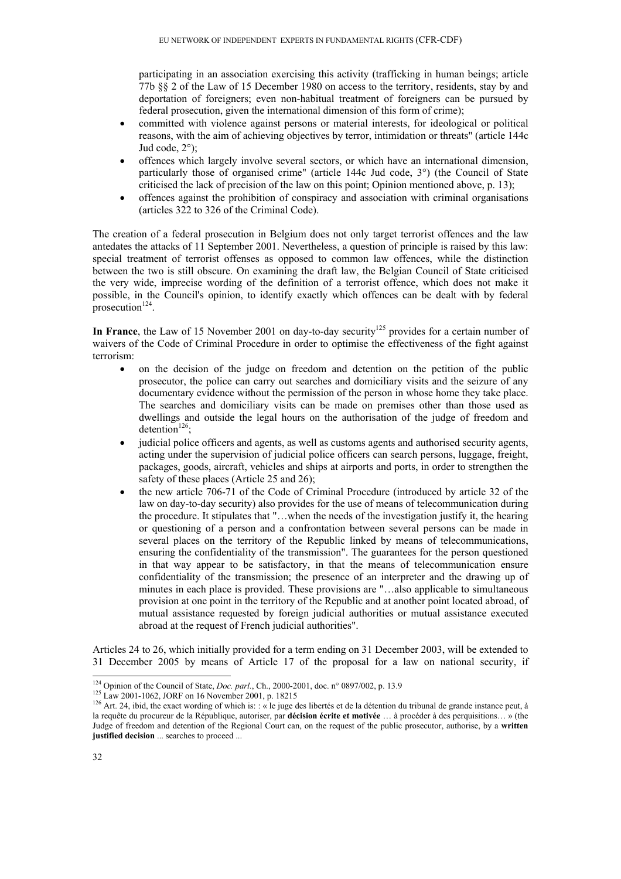participating in an association exercising this activity (trafficking in human beings; article 77b §§ 2 of the Law of 15 December 1980 on access to the territory, residents, stay by and deportation of foreigners; even non-habitual treatment of foreigners can be pursued by federal prosecution, given the international dimension of this form of crime);

- committed with violence against persons or material interests, for ideological or political reasons, with the aim of achieving objectives by terror, intimidation or threats" (article 144c Jud code, 2°);
- offences which largely involve several sectors, or which have an international dimension, particularly those of organised crime" (article 144c Jud code, 3°) (the Council of State criticised the lack of precision of the law on this point; Opinion mentioned above, p. 13);
- offences against the prohibition of conspiracy and association with criminal organisations (articles 322 to 326 of the Criminal Code).

The creation of a federal prosecution in Belgium does not only target terrorist offences and the law antedates the attacks of 11 September 2001. Nevertheless, a question of principle is raised by this law: special treatment of terrorist offenses as opposed to common law offences, while the distinction between the two is still obscure. On examining the draft law, the Belgian Council of State criticised the very wide, imprecise wording of the definition of a terrorist offence, which does not make it possible, in the Council's opinion, to identify exactly which offences can be dealt with by federal prosecution<sup>124</sup>.

In France, the Law of 15 November 2001 on day-to-day security<sup>125</sup> provides for a certain number of waivers of the Code of Criminal Procedure in order to optimise the effectiveness of the fight against terrorism:

- on the decision of the judge on freedom and detention on the petition of the public prosecutor, the police can carry out searches and domiciliary visits and the seizure of any documentary evidence without the permission of the person in whose home they take place. The searches and domiciliary visits can be made on premises other than those used as dwellings and outside the legal hours on the authorisation of the judge of freedom and detention<sup>126</sup>:
- judicial police officers and agents, as well as customs agents and authorised security agents, acting under the supervision of judicial police officers can search persons, luggage, freight, packages, goods, aircraft, vehicles and ships at airports and ports, in order to strengthen the safety of these places (Article 25 and 26);
- the new article 706-71 of the Code of Criminal Procedure (introduced by article 32 of the law on day-to-day security) also provides for the use of means of telecommunication during the procedure. It stipulates that "…when the needs of the investigation justify it, the hearing or questioning of a person and a confrontation between several persons can be made in several places on the territory of the Republic linked by means of telecommunications, ensuring the confidentiality of the transmission". The guarantees for the person questioned in that way appear to be satisfactory, in that the means of telecommunication ensure confidentiality of the transmission; the presence of an interpreter and the drawing up of minutes in each place is provided. These provisions are "…also applicable to simultaneous provision at one point in the territory of the Republic and at another point located abroad, of mutual assistance requested by foreign judicial authorities or mutual assistance executed abroad at the request of French judicial authorities".

Articles 24 to 26, which initially provided for a term ending on 31 December 2003, will be extended to 31 December 2005 by means of Article 17 of the proposal for a law on national security, if

<sup>&</sup>lt;sup>124</sup> Opinion of the Council of State, *Doc. parl.*, Ch., 2000-2001, doc. n° 0897/002, p. 13.9

<sup>&</sup>lt;sup>125</sup> Law 2001-1062, JORF on 16 November 2001, p. 18215<br><sup>126</sup> Art. 24, ibid, the exact wording of which is: : « le juge des libertés et de la détention du tribunal de grande instance peut, à la requête du procureur de la République, autoriser, par **décision écrite et motivée** … à procéder à des perquisitions… » (the Judge of freedom and detention of the Regional Court can, on the request of the public prosecutor, authorise, by a **written justified decision** ... searches to proceed ...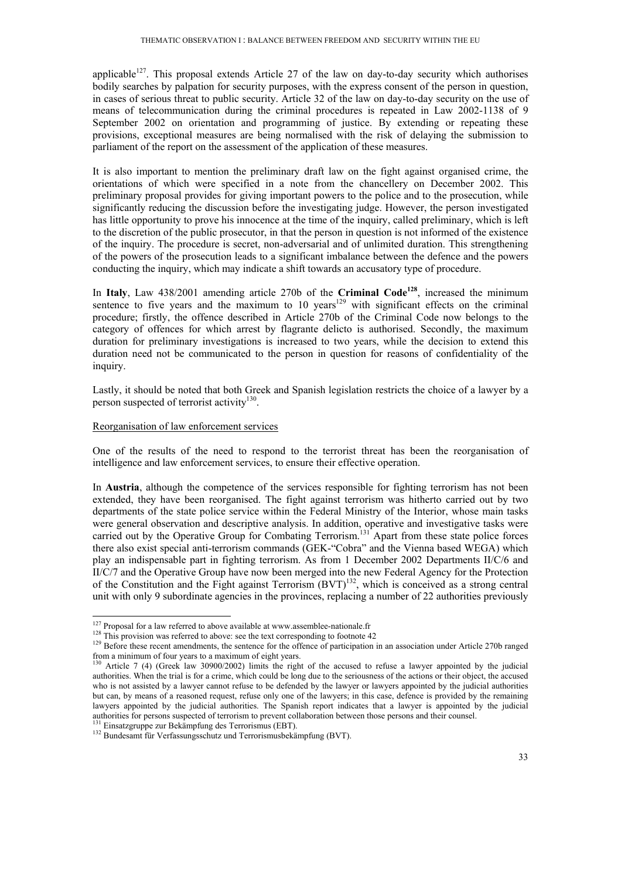applicable<sup>127</sup>. This proposal extends Article 27 of the law on day-to-day security which authorises bodily searches by palpation for security purposes, with the express consent of the person in question, in cases of serious threat to public security. Article 32 of the law on day-to-day security on the use of means of telecommunication during the criminal procedures is repeated in Law 2002-1138 of 9 September 2002 on orientation and programming of justice. By extending or repeating these provisions, exceptional measures are being normalised with the risk of delaying the submission to parliament of the report on the assessment of the application of these measures.

It is also important to mention the preliminary draft law on the fight against organised crime, the orientations of which were specified in a note from the chancellery on December 2002. This preliminary proposal provides for giving important powers to the police and to the prosecution, while significantly reducing the discussion before the investigating judge. However, the person investigated has little opportunity to prove his innocence at the time of the inquiry, called preliminary, which is left to the discretion of the public prosecutor, in that the person in question is not informed of the existence of the inquiry. The procedure is secret, non-adversarial and of unlimited duration. This strengthening of the powers of the prosecution leads to a significant imbalance between the defence and the powers conducting the inquiry, which may indicate a shift towards an accusatory type of procedure.

In Italy, Law 438/2001 amending article 270b of the Criminal Code<sup>128</sup>, increased the minimum sentence to five years and the maximum to 10 years<sup>129</sup> with significant effects on the criminal procedure; firstly, the offence described in Article 270b of the Criminal Code now belongs to the category of offences for which arrest by flagrante delicto is authorised. Secondly, the maximum duration for preliminary investigations is increased to two years, while the decision to extend this duration need not be communicated to the person in question for reasons of confidentiality of the inquiry.

Lastly, it should be noted that both Greek and Spanish legislation restricts the choice of a lawyer by a person suspected of terrorist activity<sup>130</sup>.

#### Reorganisation of law enforcement services

One of the results of the need to respond to the terrorist threat has been the reorganisation of intelligence and law enforcement services, to ensure their effective operation.

In **Austria**, although the competence of the services responsible for fighting terrorism has not been extended, they have been reorganised. The fight against terrorism was hitherto carried out by two departments of the state police service within the Federal Ministry of the Interior, whose main tasks were general observation and descriptive analysis. In addition, operative and investigative tasks were carried out by the Operative Group for Combating Terrorism.<sup>131</sup> Apart from these state police forces there also exist special anti-terrorism commands (GEK-"Cobra" and the Vienna based WEGA) which play an indispensable part in fighting terrorism. As from 1 December 2002 Departments II/C/6 and II/C/7 and the Operative Group have now been merged into the new Federal Agency for the Protection of the Constitution and the Fight against Terrorism  $(BVT)^{132}$ , which is conceived as a strong central unit with only 9 subordinate agencies in the provinces, replacing a number of 22 authorities previously

 $127$  Proposal for a law referred to above available at www.assemblee-nationale.fr

<sup>&</sup>lt;sup>128</sup> This provision was referred to above: see the text corresponding to footnote 42<br><sup>129</sup> Before these recent amendments, the sentence for the offence of participation in an association under Article 270b ranged from a minimum of four years to a maximum of eight years.

<sup>&</sup>lt;sup>130</sup> Article 7 (4) (Greek law 30900/2002) limits the right of the accused to refuse a lawyer appointed by the judicial authorities. When the trial is for a crime, which could be long due to the seriousness of the actions or their object, the accused who is not assisted by a lawyer cannot refuse to be defended by the lawyer or lawyers appointed by the judicial authorities but can, by means of a reasoned request, refuse only one of the lawyers; in this case, defence is provided by the remaining lawyers appointed by the judicial authorities. The Spanish report indicates that a lawyer is appointed by the judicial authorities for persons suspected of terrorism to prevent collaboration between those persons and their counsel.<br><sup>131</sup> Einsatzgruppe zur Bekämpfung des Terrorismus (EBT).<br><sup>132</sup> Bundesamt für Verfassungsschutz und Terrorism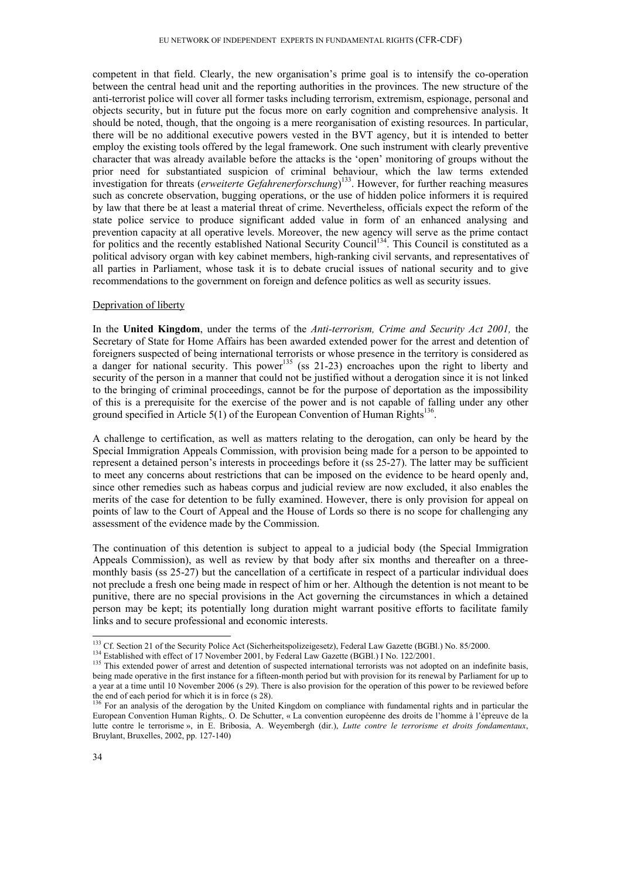competent in that field. Clearly, the new organisation's prime goal is to intensify the co-operation between the central head unit and the reporting authorities in the provinces. The new structure of the anti-terrorist police will cover all former tasks including terrorism, extremism, espionage, personal and objects security, but in future put the focus more on early cognition and comprehensive analysis. It should be noted, though, that the ongoing is a mere reorganisation of existing resources. In particular, there will be no additional executive powers vested in the BVT agency, but it is intended to better employ the existing tools offered by the legal framework. One such instrument with clearly preventive character that was already available before the attacks is the 'open' monitoring of groups without the prior need for substantiated suspicion of criminal behaviour, which the law terms extended investigation for threats (*erweiterte Gefahrenerforschung*) 133. However, for further reaching measures such as concrete observation, bugging operations, or the use of hidden police informers it is required by law that there be at least a material threat of crime. Nevertheless, officials expect the reform of the state police service to produce significant added value in form of an enhanced analysing and prevention capacity at all operative levels. Moreover, the new agency will serve as the prime contact for politics and the recently established National Security Council<sup>134</sup>. This Council is constituted as a political advisory organ with key cabinet members, high-ranking civil servants, and representatives of all parties in Parliament, whose task it is to debate crucial issues of national security and to give recommendations to the government on foreign and defence politics as well as security issues.

#### Deprivation of liberty

In the **United Kingdom**, under the terms of the *Anti-terrorism, Crime and Security Act 2001,* the Secretary of State for Home Affairs has been awarded extended power for the arrest and detention of foreigners suspected of being international terrorists or whose presence in the territory is considered as a danger for national security. This power<sup>135</sup> (ss 21-23) encroaches upon the right to liberty and security of the person in a manner that could not be justified without a derogation since it is not linked to the bringing of criminal proceedings, cannot be for the purpose of deportation as the impossibility of this is a prerequisite for the exercise of the power and is not capable of falling under any other ground specified in Article  $5(1)$  of the European Convention of Human Rights<sup>136</sup>.

A challenge to certification, as well as matters relating to the derogation, can only be heard by the Special Immigration Appeals Commission, with provision being made for a person to be appointed to represent a detained person's interests in proceedings before it (ss 25-27). The latter may be sufficient to meet any concerns about restrictions that can be imposed on the evidence to be heard openly and, since other remedies such as habeas corpus and judicial review are now excluded, it also enables the merits of the case for detention to be fully examined. However, there is only provision for appeal on points of law to the Court of Appeal and the House of Lords so there is no scope for challenging any assessment of the evidence made by the Commission.

The continuation of this detention is subject to appeal to a judicial body (the Special Immigration Appeals Commission), as well as review by that body after six months and thereafter on a threemonthly basis (ss 25-27) but the cancellation of a certificate in respect of a particular individual does not preclude a fresh one being made in respect of him or her. Although the detention is not meant to be punitive, there are no special provisions in the Act governing the circumstances in which a detained person may be kept; its potentially long duration might warrant positive efforts to facilitate family links and to secure professional and economic interests.

<sup>&</sup>lt;sup>133</sup> Cf. Section 21 of the Security Police Act (Sicherheitspolizeigesetz), Federal Law Gazette (BGBl.) No. 85/2000.<br><sup>134</sup> Established with effect of 17 November 2001, by Federal Law Gazette (BGBl.) I No. 122/2001.<br><sup>135</sup> T

being made operative in the first instance for a fifteen-month period but with provision for its renewal by Parliament for up to a year at a time until 10 November 2006 (s 29). There is also provision for the operation of this power to be reviewed before the end of each period for which it is in force (s 28).

<sup>&</sup>lt;sup>136</sup> For an analysis of the derogation by the United Kingdom on compliance with fundamental rights and in particular the European Convention Human Rights,. O. De Schutter, « La convention européenne des droits de l'homme à l'épreuve de la lutte contre le terrorisme », in E. Bribosia, A. Weyembergh (dir.), *Lutte contre le terrorisme et droits fondamentaux*, Bruylant, Bruxelles, 2002, pp. 127-140)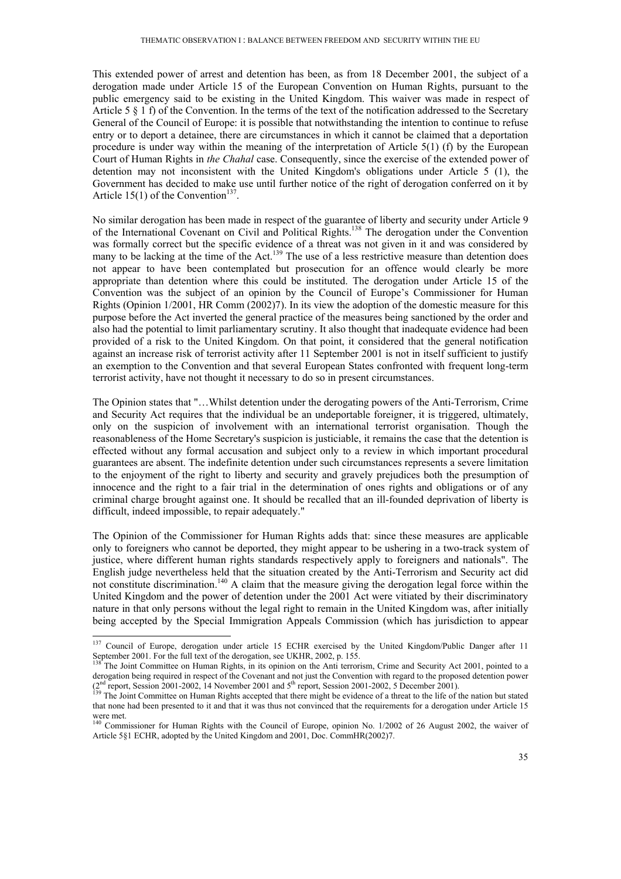This extended power of arrest and detention has been, as from 18 December 2001, the subject of a derogation made under Article 15 of the European Convention on Human Rights, pursuant to the public emergency said to be existing in the United Kingdom. This waiver was made in respect of Article 5  $\S$  1 f) of the Convention. In the terms of the text of the notification addressed to the Secretary General of the Council of Europe: it is possible that notwithstanding the intention to continue to refuse entry or to deport a detainee, there are circumstances in which it cannot be claimed that a deportation procedure is under way within the meaning of the interpretation of Article 5(1) (f) by the European Court of Human Rights in *the Chahal* case. Consequently, since the exercise of the extended power of detention may not inconsistent with the United Kingdom's obligations under Article 5 (1), the Government has decided to make use until further notice of the right of derogation conferred on it by Article 15(1) of the Convention<sup>137</sup>.

No similar derogation has been made in respect of the guarantee of liberty and security under Article 9 of the International Covenant on Civil and Political Rights.<sup>138</sup> The derogation under the Convention was formally correct but the specific evidence of a threat was not given in it and was considered by many to be lacking at the time of the Act.<sup>139</sup> The use of a less restrictive measure than detention does not appear to have been contemplated but prosecution for an offence would clearly be more appropriate than detention where this could be instituted. The derogation under Article 15 of the Convention was the subject of an opinion by the Council of Europe's Commissioner for Human Rights (Opinion 1/2001, HR Comm (2002)7). In its view the adoption of the domestic measure for this purpose before the Act inverted the general practice of the measures being sanctioned by the order and also had the potential to limit parliamentary scrutiny. It also thought that inadequate evidence had been provided of a risk to the United Kingdom. On that point, it considered that the general notification against an increase risk of terrorist activity after 11 September 2001 is not in itself sufficient to justify an exemption to the Convention and that several European States confronted with frequent long-term terrorist activity, have not thought it necessary to do so in present circumstances.

The Opinion states that "…Whilst detention under the derogating powers of the Anti-Terrorism, Crime and Security Act requires that the individual be an undeportable foreigner, it is triggered, ultimately, only on the suspicion of involvement with an international terrorist organisation. Though the reasonableness of the Home Secretary's suspicion is justiciable, it remains the case that the detention is effected without any formal accusation and subject only to a review in which important procedural guarantees are absent. The indefinite detention under such circumstances represents a severe limitation to the enjoyment of the right to liberty and security and gravely prejudices both the presumption of innocence and the right to a fair trial in the determination of ones rights and obligations or of any criminal charge brought against one. It should be recalled that an ill-founded deprivation of liberty is difficult, indeed impossible, to repair adequately."

The Opinion of the Commissioner for Human Rights adds that: since these measures are applicable only to foreigners who cannot be deported, they might appear to be ushering in a two-track system of justice, where different human rights standards respectively apply to foreigners and nationals". The English judge nevertheless held that the situation created by the Anti-Terrorism and Security act did not constitute discrimination.<sup>140</sup> A claim that the measure giving the derogation legal force within the United Kingdom and the power of detention under the 2001 Act were vitiated by their discriminatory nature in that only persons without the legal right to remain in the United Kingdom was, after initially being accepted by the Special Immigration Appeals Commission (which has jurisdiction to appear

<sup>&</sup>lt;sup>137</sup> Council of Europe, derogation under article 15 ECHR exercised by the United Kingdom/Public Danger after 11 September 2001. For the full text of the derogation, see UKHR, 2002, p. 155.<br><sup>138</sup> The Joint Committee on Human Rights, in its opinion on the Anti terrorism, Crime and Security Act 2001, pointed to a

derogation being required in respect of the Covenant and not just the Convention with regard to the proposed detention power  $(2<sup>nd</sup>$  report, Session 2001-2002, 14 November 2001 and 5<sup>th</sup> report, Session 2001-2002, 5 December 2001).<br><sup>139</sup> The Joint Committee on Human Rights accepted that there might be evidence of a threat to the life of the

that none had been presented to it and that it was thus not convinced that the requirements for a derogation under Article 15 were met.

<sup>&</sup>lt;sup>140</sup> Commissioner for Human Rights with the Council of Europe, opinion No. 1/2002 of 26 August 2002, the waiver of Article 5§1 ECHR, adopted by the United Kingdom and 2001, Doc. CommHR(2002)7.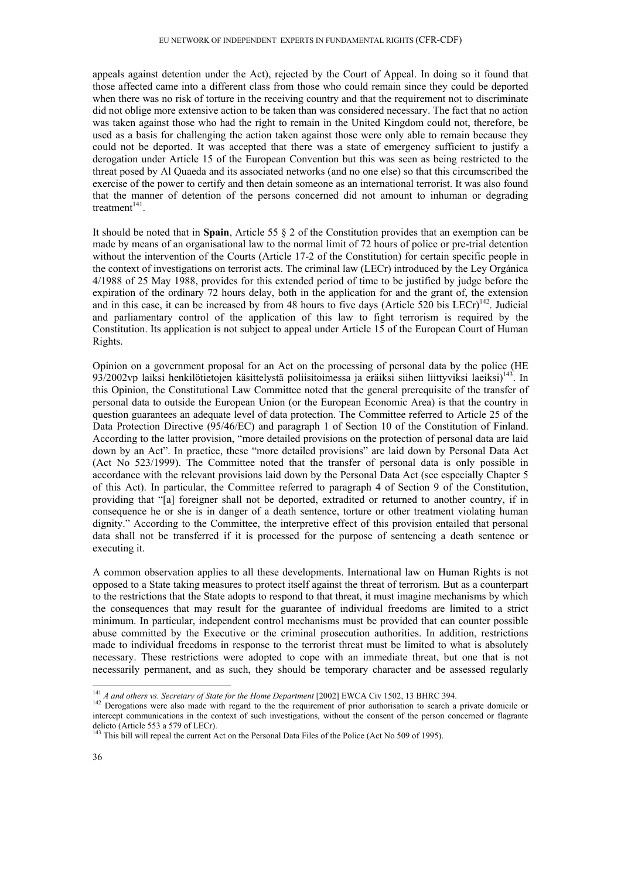appeals against detention under the Act), rejected by the Court of Appeal. In doing so it found that those affected came into a different class from those who could remain since they could be deported when there was no risk of torture in the receiving country and that the requirement not to discriminate did not oblige more extensive action to be taken than was considered necessary. The fact that no action was taken against those who had the right to remain in the United Kingdom could not, therefore, be used as a basis for challenging the action taken against those were only able to remain because they could not be deported. It was accepted that there was a state of emergency sufficient to justify a derogation under Article 15 of the European Convention but this was seen as being restricted to the threat posed by Al Quaeda and its associated networks (and no one else) so that this circumscribed the exercise of the power to certify and then detain someone as an international terrorist. It was also found that the manner of detention of the persons concerned did not amount to inhuman or degrading treatment $141$ .

It should be noted that in **Spain**, Article 55 § 2 of the Constitution provides that an exemption can be made by means of an organisational law to the normal limit of 72 hours of police or pre-trial detention without the intervention of the Courts (Article 17-2 of the Constitution) for certain specific people in the context of investigations on terrorist acts. The criminal law (LECr) introduced by the Ley Orgánica 4/1988 of 25 May 1988, provides for this extended period of time to be justified by judge before the expiration of the ordinary 72 hours delay, both in the application for and the grant of, the extension and in this case, it can be increased by from 48 hours to five days (Article 520 bis LECr)<sup>142</sup>. Judicial and parliamentary control of the application of this law to fight terrorism is required by the Constitution. Its application is not subject to appeal under Article 15 of the European Court of Human Rights.

Opinion on a government proposal for an Act on the processing of personal data by the police (HE 93/2002vp laiksi henkilötietojen käsittelystä poliisitoimessa ja eräiksi siihen liittyviksi laeiksi) $143$ . In this Opinion, the Constitutional Law Committee noted that the general prerequisite of the transfer of personal data to outside the European Union (or the European Economic Area) is that the country in question guarantees an adequate level of data protection. The Committee referred to Article 25 of the Data Protection Directive (95/46/EC) and paragraph 1 of Section 10 of the Constitution of Finland. According to the latter provision, "more detailed provisions on the protection of personal data are laid down by an Act". In practice, these "more detailed provisions" are laid down by Personal Data Act (Act No 523/1999). The Committee noted that the transfer of personal data is only possible in accordance with the relevant provisions laid down by the Personal Data Act (see especially Chapter 5 of this Act). In particular, the Committee referred to paragraph 4 of Section 9 of the Constitution, providing that "[a] foreigner shall not be deported, extradited or returned to another country, if in consequence he or she is in danger of a death sentence, torture or other treatment violating human dignity." According to the Committee, the interpretive effect of this provision entailed that personal data shall not be transferred if it is processed for the purpose of sentencing a death sentence or executing it.

A common observation applies to all these developments. International law on Human Rights is not opposed to a State taking measures to protect itself against the threat of terrorism. But as a counterpart to the restrictions that the State adopts to respond to that threat, it must imagine mechanisms by which the consequences that may result for the guarantee of individual freedoms are limited to a strict minimum. In particular, independent control mechanisms must be provided that can counter possible abuse committed by the Executive or the criminal prosecution authorities. In addition, restrictions made to individual freedoms in response to the terrorist threat must be limited to what is absolutely necessary. These restrictions were adopted to cope with an immediate threat, but one that is not necessarily permanent, and as such, they should be temporary character and be assessed regularly

 $^{141}$  A and others vs. Secretary of State for the Home Department [2002] EWCA Civ 1502, 13 BHRC 394.

<sup>&</sup>lt;sup>142</sup> Derogations were also made with regard to the the requirement of prior authorisation to search a private domicile or intercept communications in the context of such investigations, without the consent of the person concerned or flagrante delicto (Article 553 a 579 of LECr).

<sup>&</sup>lt;sup>143</sup> This bill will repeal the current Act on the Personal Data Files of the Police (Act No 509 of 1995).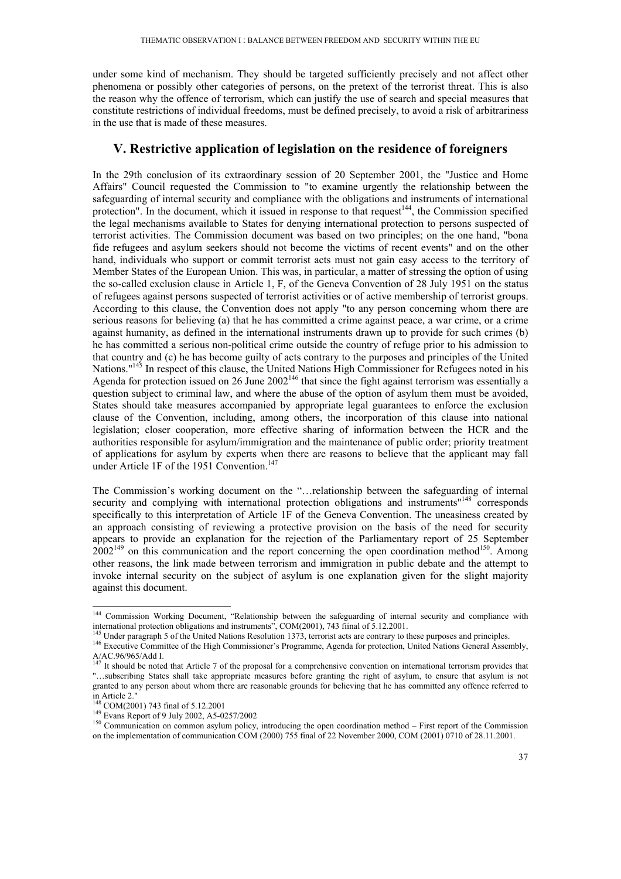under some kind of mechanism. They should be targeted sufficiently precisely and not affect other phenomena or possibly other categories of persons, on the pretext of the terrorist threat. This is also the reason why the offence of terrorism, which can justify the use of search and special measures that constitute restrictions of individual freedoms, must be defined precisely, to avoid a risk of arbitrariness in the use that is made of these measures.

## **V. Restrictive application of legislation on the residence of foreigners**

In the 29th conclusion of its extraordinary session of 20 September 2001, the "Justice and Home Affairs" Council requested the Commission to "to examine urgently the relationship between the safeguarding of internal security and compliance with the obligations and instruments of international protection". In the document, which it issued in response to that request $144$ , the Commission specified the legal mechanisms available to States for denying international protection to persons suspected of terrorist activities. The Commission document was based on two principles; on the one hand, "bona fide refugees and asylum seekers should not become the victims of recent events" and on the other hand, individuals who support or commit terrorist acts must not gain easy access to the territory of Member States of the European Union. This was, in particular, a matter of stressing the option of using the so-called exclusion clause in Article 1, F, of the Geneva Convention of 28 July 1951 on the status of refugees against persons suspected of terrorist activities or of active membership of terrorist groups. According to this clause, the Convention does not apply "to any person concerning whom there are serious reasons for believing (a) that he has committed a crime against peace, a war crime, or a crime against humanity, as defined in the international instruments drawn up to provide for such crimes (b) he has committed a serious non-political crime outside the country of refuge prior to his admission to that country and (c) he has become guilty of acts contrary to the purposes and principles of the United Nations."<sup>145</sup> In respect of this clause, the United Nations High Commissioner for Refugees noted in his Agenda for protection issued on 26 June 2002<sup>146</sup> that since the fight against terrorism was essentially a question subject to criminal law, and where the abuse of the option of asylum them must be avoided, States should take measures accompanied by appropriate legal guarantees to enforce the exclusion clause of the Convention, including, among others, the incorporation of this clause into national legislation; closer cooperation, more effective sharing of information between the HCR and the authorities responsible for asylum/immigration and the maintenance of public order; priority treatment of applications for asylum by experts when there are reasons to believe that the applicant may fall under Article 1F of the 1951 Convention.<sup>147</sup>

The Commission's working document on the "…relationship between the safeguarding of internal security and complying with international protection obligations and instruments"<sup>148</sup> corresponds specifically to this interpretation of Article 1F of the Geneva Convention. The uneasiness created by an approach consisting of reviewing a protective provision on the basis of the need for security appears to provide an explanation for the rejection of the Parliamentary report of 25 September  $2002^{149}$  on this communication and the report concerning the open coordination method<sup>150</sup>. Among other reasons, the link made between terrorism and immigration in public debate and the attempt to invoke internal security on the subject of asylum is one explanation given for the slight majority against this document.

<sup>&</sup>lt;sup>144</sup> Commission Working Document, "Relationship between the safeguarding of internal security and compliance with international protection obligations and instruments", COM(2001), 743 fiinal of 5.12.2001.<br><sup>145</sup> Under paragraph 5 of the United Nations Resolution 1373, terrorist acts are contrary to these purposes and principles.<br><sup>146</sup>

A/AC.96/965/Add I.

<sup>&</sup>lt;sup>147</sup> It should be noted that Article 7 of the proposal for a comprehensive convention on international terrorism provides that "…subscribing States shall take appropriate measures before granting the right of asylum, to ensure that asylum is not granted to any person about whom there are reasonable grounds for believing that he has committed any offence referred to in Article 2."<br> $^{148}$  COM(2001) 743 final of 5.12.2001

<sup>&</sup>lt;sup>149</sup> Evans Report of 9 July 2002, A5-0257/2002<br><sup>150</sup> Communication on common asylum policy, introducing the open coordination method – First report of the Commission on the implementation of communication COM (2000) 755 final of 22 November 2000, COM (2001) 0710 of 28.11.2001.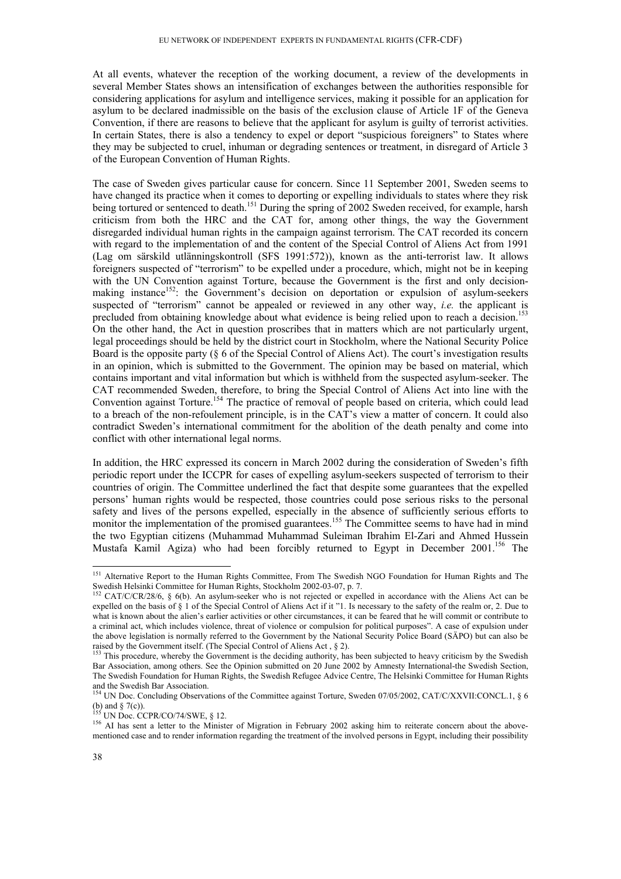At all events, whatever the reception of the working document, a review of the developments in several Member States shows an intensification of exchanges between the authorities responsible for considering applications for asylum and intelligence services, making it possible for an application for asylum to be declared inadmissible on the basis of the exclusion clause of Article 1F of the Geneva Convention, if there are reasons to believe that the applicant for asylum is guilty of terrorist activities. In certain States, there is also a tendency to expel or deport "suspicious foreigners" to States where they may be subjected to cruel, inhuman or degrading sentences or treatment, in disregard of Article 3 of the European Convention of Human Rights.

The case of Sweden gives particular cause for concern. Since 11 September 2001, Sweden seems to have changed its practice when it comes to deporting or expelling individuals to states where they risk being tortured or sentenced to death.<sup>151</sup> During the spring of 2002 Sweden received, for example, harsh criticism from both the HRC and the CAT for, among other things, the way the Government disregarded individual human rights in the campaign against terrorism. The CAT recorded its concern with regard to the implementation of and the content of the Special Control of Aliens Act from 1991 (Lag om särskild utlänningskontroll (SFS 1991:572)), known as the anti-terrorist law. It allows foreigners suspected of "terrorism" to be expelled under a procedure, which, might not be in keeping with the UN Convention against Torture, because the Government is the first and only decisionmaking instance<sup>152</sup>: the Government's decision on deportation or expulsion of asylum-seekers suspected of "terrorism" cannot be appealed or reviewed in any other way, *i.e.* the applicant is precluded from obtaining knowledge about what evidence is being relied upon to reach a decision.<sup>153</sup> On the other hand, the Act in question proscribes that in matters which are not particularly urgent, legal proceedings should be held by the district court in Stockholm, where the National Security Police Board is the opposite party (§ 6 of the Special Control of Aliens Act). The court's investigation results in an opinion, which is submitted to the Government. The opinion may be based on material, which contains important and vital information but which is withheld from the suspected asylum-seeker. The CAT recommended Sweden, therefore, to bring the Special Control of Aliens Act into line with the Convention against Torture.<sup>154</sup> The practice of removal of people based on criteria, which could lead to a breach of the non-refoulement principle, is in the CAT's view a matter of concern. It could also contradict Sweden's international commitment for the abolition of the death penalty and come into conflict with other international legal norms.

In addition, the HRC expressed its concern in March 2002 during the consideration of Sweden's fifth periodic report under the ICCPR for cases of expelling asylum-seekers suspected of terrorism to their countries of origin. The Committee underlined the fact that despite some guarantees that the expelled persons' human rights would be respected, those countries could pose serious risks to the personal safety and lives of the persons expelled, especially in the absence of sufficiently serious efforts to monitor the implementation of the promised guarantees.<sup>155</sup> The Committee seems to have had in mind the two Egyptian citizens (Muhammad Muhammad Suleiman Ibrahim El-Zari and Ahmed Hussein Mustafa Kamil Agiza) who had been forcibly returned to Egypt in December 2001.<sup>156</sup> The

<sup>-</sup><sup>151</sup> Alternative Report to the Human Rights Committee, From The Swedish NGO Foundation for Human Rights and The Swedish Helsinki Committee for Human Rights, Stockholm 2002-03-07, p. 7.

<sup>&</sup>lt;sup>152</sup> CAT/C/CR/28/6, § 6(b). An asylum-seeker who is not rejected or expelled in accordance with the Aliens Act can be expelled on the basis of § 1 of the Special Control of Aliens Act if it "1. Is necessary to the safety of the realm or, 2. Due to what is known about the alien's earlier activities or other circumstances, it can be feared that he will commit or contribute to a criminal act, which includes violence, threat of violence or compulsion for political purposes". A case of expulsion under the above legislation is normally referred to the Government by the National Security Police Board (SÄPO) but can also be raised by the Government itself. (The Special Control of Aliens Act, § 2).<br><sup>153</sup> This procedure, whereby the Government is the deciding authority, has been subjected to heavy criticism by the Swedish

Bar Association, among others. See the Opinion submitted on 20 June 2002 by Amnesty International-the Swedish Section, The Swedish Foundation for Human Rights, the Swedish Refugee Advice Centre, The Helsinki Committee for Human Rights and the Swedish Bar Association.

<sup>&</sup>lt;sup>154</sup> UN Doc. Concluding Observations of the Committee against Torture, Sweden 07/05/2002, CAT/C/XXVII:CONCL.1, § 6 (b) and  $\S$  7(c)).<br><sup>155</sup> UN Doc. CCPR/CO/74/SWE,  $\S$  12.

 $156$  AI has sent a letter to the Minister of Migration in February 2002 asking him to reiterate concern about the abovementioned case and to render information regarding the treatment of the involved persons in Egypt, including their possibility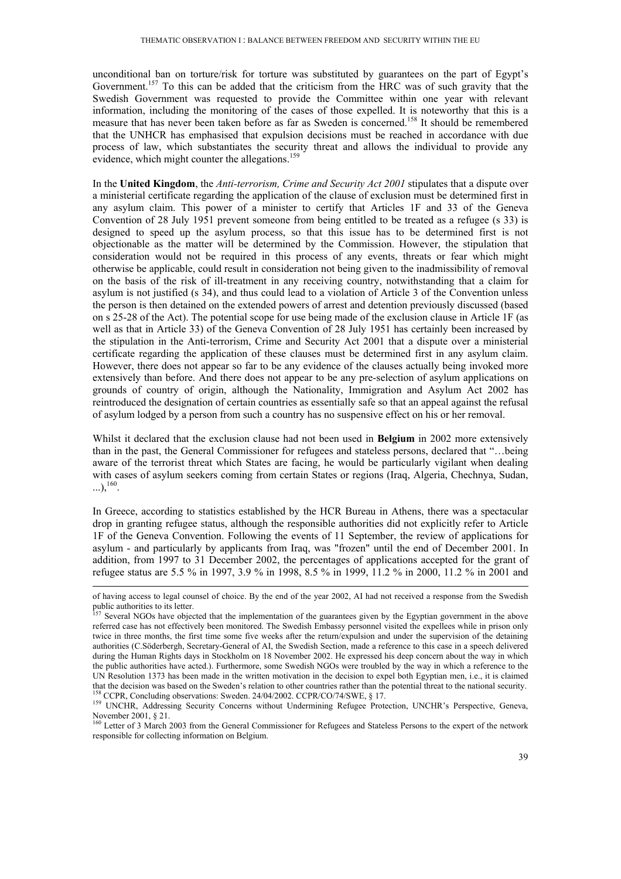unconditional ban on torture/risk for torture was substituted by guarantees on the part of Egypt's Government.<sup>157</sup> To this can be added that the criticism from the HRC was of such gravity that the Swedish Government was requested to provide the Committee within one year with relevant information, including the monitoring of the cases of those expelled. It is noteworthy that this is a measure that has never been taken before as far as Sweden is concerned.<sup>158</sup> It should be remembered that the UNHCR has emphasised that expulsion decisions must be reached in accordance with due process of law, which substantiates the security threat and allows the individual to provide any evidence, which might counter the allegations.<sup>159</sup>

In the **United Kingdom**, the *Anti-terrorism, Crime and Security Act 2001* stipulates that a dispute over a ministerial certificate regarding the application of the clause of exclusion must be determined first in any asylum claim. This power of a minister to certify that Articles 1F and 33 of the Geneva Convention of 28 July 1951 prevent someone from being entitled to be treated as a refugee (s 33) is designed to speed up the asylum process, so that this issue has to be determined first is not objectionable as the matter will be determined by the Commission. However, the stipulation that consideration would not be required in this process of any events, threats or fear which might otherwise be applicable, could result in consideration not being given to the inadmissibility of removal on the basis of the risk of ill-treatment in any receiving country, notwithstanding that a claim for asylum is not justified (s 34), and thus could lead to a violation of Article 3 of the Convention unless the person is then detained on the extended powers of arrest and detention previously discussed (based on s 25-28 of the Act). The potential scope for use being made of the exclusion clause in Article 1F (as well as that in Article 33) of the Geneva Convention of 28 July 1951 has certainly been increased by the stipulation in the Anti-terrorism, Crime and Security Act 2001 that a dispute over a ministerial certificate regarding the application of these clauses must be determined first in any asylum claim. However, there does not appear so far to be any evidence of the clauses actually being invoked more extensively than before. And there does not appear to be any pre-selection of asylum applications on grounds of country of origin, although the Nationality, Immigration and Asylum Act 2002 has reintroduced the designation of certain countries as essentially safe so that an appeal against the refusal of asylum lodged by a person from such a country has no suspensive effect on his or her removal.

Whilst it declared that the exclusion clause had not been used in **Belgium** in 2002 more extensively than in the past, the General Commissioner for refugees and stateless persons, declared that "…being aware of the terrorist threat which States are facing, he would be particularly vigilant when dealing with cases of asylum seekers coming from certain States or regions (Iraq, Algeria, Chechnya, Sudan,  $\ldots$ ),  $^{160}$ .

In Greece, according to statistics established by the HCR Bureau in Athens, there was a spectacular drop in granting refugee status, although the responsible authorities did not explicitly refer to Article 1F of the Geneva Convention. Following the events of 11 September, the review of applications for asylum - and particularly by applicants from Iraq, was "frozen" until the end of December 2001. In addition, from 1997 to 31 December 2002, the percentages of applications accepted for the grant of refugee status are 5.5 % in 1997, 3.9 % in 1998, 8.5 % in 1999, 11.2 % in 2000, 11.2 % in 2001 and

of having access to legal counsel of choice. By the end of the year 2002, AI had not received a response from the Swedish public authorities to its letter.

<sup>&</sup>lt;sup>157</sup> Several NGOs have objected that the implementation of the guarantees given by the Egyptian government in the above referred case has not effectively been monitored. The Swedish Embassy personnel visited the expellees while in prison only twice in three months, the first time some five weeks after the return/expulsion and under the supervision of the detaining authorities (C.Söderbergh, Secretary-General of AI, the Swedish Section, made a reference to this case in a speech delivered during the Human Rights days in Stockholm on 18 November 2002. He expressed his deep concern about the way in which the public authorities have acted.). Furthermore, some Swedish NGOs were troubled by the way in which a reference to the UN Resolution 1373 has been made in the written motivation in the decision to expel both Egyptian men, i.e., it is claimed that the decision was based on the Sweden's relation to other countries rather than the potential threat to the national security.<br><sup>158</sup> CCPR, Concluding observations: Sweden. 24/04/2002. CCPR/CO/74/SWE, § 17.<br><sup>159</sup> UNCHR,

November 2001, § 21.

<sup>&</sup>lt;sup>160</sup> Letter of 3 March 2003 from the General Commissioner for Refugees and Stateless Persons to the expert of the network responsible for collecting information on Belgium.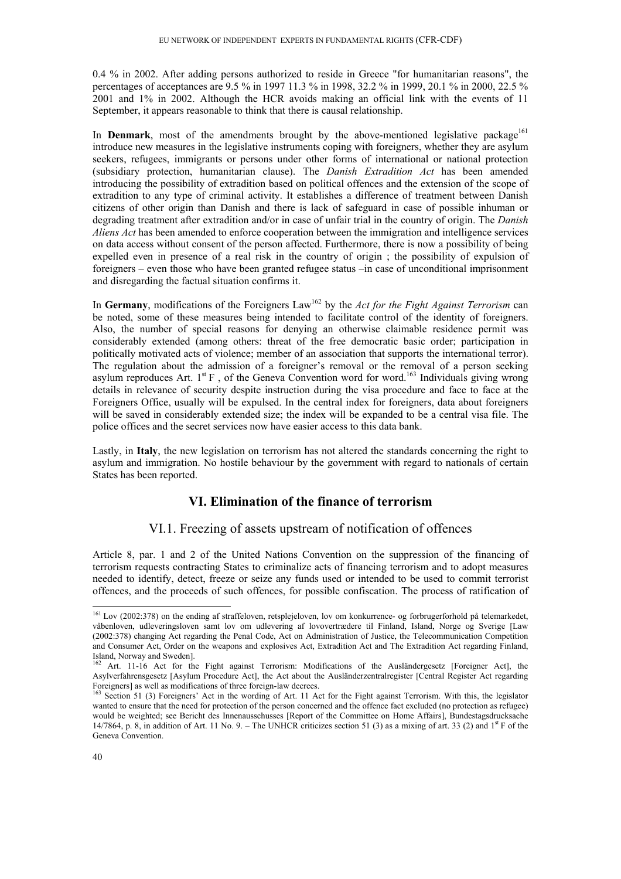0.4 % in 2002. After adding persons authorized to reside in Greece "for humanitarian reasons", the percentages of acceptances are 9.5 % in 1997 11.3 % in 1998, 32.2 % in 1999, 20.1 % in 2000, 22.5 % 2001 and 1% in 2002. Although the HCR avoids making an official link with the events of 11 September, it appears reasonable to think that there is causal relationship.

In **Denmark**, most of the amendments brought by the above-mentioned legislative package<sup>161</sup> introduce new measures in the legislative instruments coping with foreigners, whether they are asylum seekers, refugees, immigrants or persons under other forms of international or national protection (subsidiary protection, humanitarian clause). The *Danish Extradition Act* has been amended introducing the possibility of extradition based on political offences and the extension of the scope of extradition to any type of criminal activity. It establishes a difference of treatment between Danish citizens of other origin than Danish and there is lack of safeguard in case of possible inhuman or degrading treatment after extradition and/or in case of unfair trial in the country of origin. The *Danish Aliens Act* has been amended to enforce cooperation between the immigration and intelligence services on data access without consent of the person affected. Furthermore, there is now a possibility of being expelled even in presence of a real risk in the country of origin ; the possibility of expulsion of foreigners – even those who have been granted refugee status –in case of unconditional imprisonment and disregarding the factual situation confirms it.

In **Germany**, modifications of the Foreigners Law<sup>162</sup> by the *Act for the Fight Against Terrorism* can be noted, some of these measures being intended to facilitate control of the identity of foreigners. Also, the number of special reasons for denying an otherwise claimable residence permit was considerably extended (among others: threat of the free democratic basic order; participation in politically motivated acts of violence; member of an association that supports the international terror). The regulation about the admission of a foreigner's removal or the removal of a person seeking asylum reproduces Art.  $1^{st}F$ , of the Geneva Convention word for word.<sup>163</sup> Individuals giving wrong details in relevance of security despite instruction during the visa procedure and face to face at the Foreigners Office, usually will be expulsed. In the central index for foreigners, data about foreigners will be saved in considerably extended size; the index will be expanded to be a central visa file. The police offices and the secret services now have easier access to this data bank.

Lastly, in **Italy**, the new legislation on terrorism has not altered the standards concerning the right to asylum and immigration. No hostile behaviour by the government with regard to nationals of certain States has been reported.

## **VI. Elimination of the finance of terrorism**

### VI.1. Freezing of assets upstream of notification of offences

Article 8, par. 1 and 2 of the United Nations Convention on the suppression of the financing of terrorism requests contracting States to criminalize acts of financing terrorism and to adopt measures needed to identify, detect, freeze or seize any funds used or intended to be used to commit terrorist offences, and the proceeds of such offences, for possible confiscation. The process of ratification of

<sup>&</sup>lt;sup>161</sup> Lov (2002:378) on the ending af straffeloven, retsplejeloven, lov om konkurrence- og forbrugerforhold på telemarkedet, våbenloven, udleveringsloven samt lov om udlevering af lovovertrædere til Finland, Island, Norge og Sverige [Law (2002:378) changing Act regarding the Penal Code, Act on Administration of Justice, the Telecommunication Competition and Consumer Act, Order on the weapons and explosives Act, Extradition Act and The Extradition Act regarding Finland, Island, Norway and Sweden].

<sup>162</sup> Art. 11-16 Act for the Fight against Terrorism: Modifications of the Ausländergesetz [Foreigner Act], the Asylverfahrensgesetz [Asylum Procedure Act], the Act about the Ausländerzentralregister [Central Register Act regarding Foreigners] as well as modifications of three foreign-law decrees.

<sup>&</sup>lt;sup>163</sup> Section 51 (3) Foreigners' Act in the wording of Art. 11 Act for the Fight against Terrorism. With this, the legislator wanted to ensure that the need for protection of the person concerned and the offence fact excluded (no protection as refugee) would be weighted; see Bericht des Innenausschusses [Report of the Committee on Home Affairs], Bundestagsdrucksache 14/7864, p. 8, in addition of Art. 11 No. 9. – The UNHCR criticizes section 51 (3) as a mixing of art. 33 (2) and  $1<sup>st</sup>$  F of the Geneva Convention.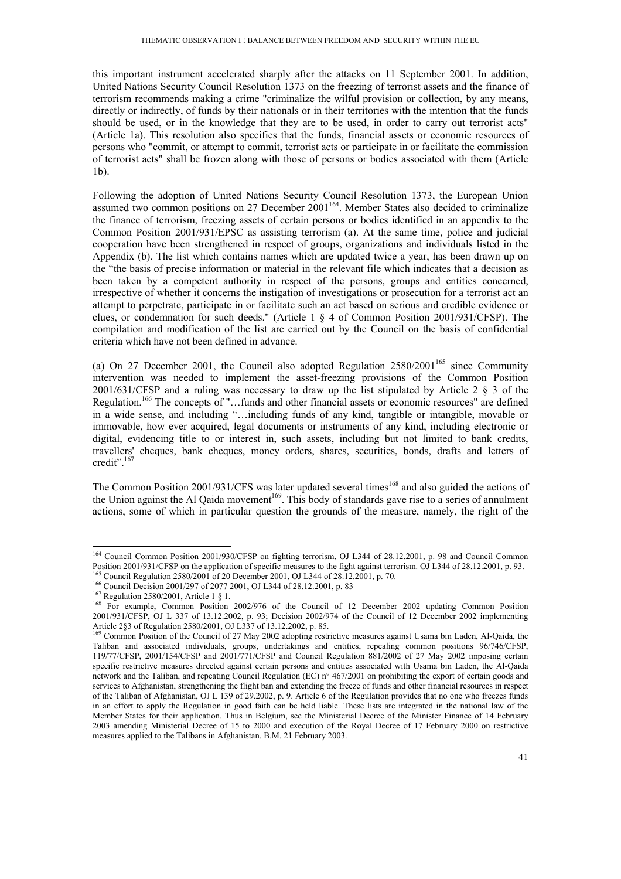this important instrument accelerated sharply after the attacks on 11 September 2001. In addition, United Nations Security Council Resolution 1373 on the freezing of terrorist assets and the finance of terrorism recommends making a crime "criminalize the wilful provision or collection, by any means, directly or indirectly, of funds by their nationals or in their territories with the intention that the funds should be used, or in the knowledge that they are to be used, in order to carry out terrorist acts" (Article 1a). This resolution also specifies that the funds, financial assets or economic resources of persons who "commit, or attempt to commit, terrorist acts or participate in or facilitate the commission of terrorist acts" shall be frozen along with those of persons or bodies associated with them (Article 1b).

Following the adoption of United Nations Security Council Resolution 1373, the European Union assumed two common positions on 27 December 2001<sup>164</sup>. Member States also decided to criminalize the finance of terrorism, freezing assets of certain persons or bodies identified in an appendix to the Common Position 2001/931/EPSC as assisting terrorism (a). At the same time, police and judicial cooperation have been strengthened in respect of groups, organizations and individuals listed in the Appendix (b). The list which contains names which are updated twice a year, has been drawn up on the "the basis of precise information or material in the relevant file which indicates that a decision as been taken by a competent authority in respect of the persons, groups and entities concerned, irrespective of whether it concerns the instigation of investigations or prosecution for a terrorist act an attempt to perpetrate, participate in or facilitate such an act based on serious and credible evidence or clues, or condemnation for such deeds." (Article 1 § 4 of Common Position 2001/931/CFSP). The compilation and modification of the list are carried out by the Council on the basis of confidential criteria which have not been defined in advance.

(a) On 27 December 2001, the Council also adopted Regulation  $2580/2001^{165}$  since Community intervention was needed to implement the asset-freezing provisions of the Common Position 2001/631/CFSP and a ruling was necessary to draw up the list stipulated by Article 2 § 3 of the Regulation.<sup>166</sup> The concepts of "...funds and other financial assets or economic resources" are defined in a wide sense, and including "…including funds of any kind, tangible or intangible, movable or immovable, how ever acquired, legal documents or instruments of any kind, including electronic or digital, evidencing title to or interest in, such assets, including but not limited to bank credits, travellers' cheques, bank cheques, money orders, shares, securities, bonds, drafts and letters of credit".<sup>167</sup>

The Common Position 2001/931/CFS was later updated several times<sup>168</sup> and also guided the actions of the Union against the Al Qaida movement<sup>169</sup>. This body of standards gave rise to a series of annulment actions, some of which in particular question the grounds of the measure, namely, the right of the

<sup>&</sup>lt;sup>164</sup> Council Common Position 2001/930/CFSP on fighting terrorism, OJ L344 of 28.12.2001, p. 98 and Council Common Position 2001/931/CFSP on the application of specific measures to the fight against terrorism. OJ L344 of 28.12.2001, p. 93.<br><sup>165</sup> Council Regulation 2580/2001 of 20 December 2001, OJ L344 of 28.12.2001, p. 70.<br><sup>166</sup> Counc

<sup>2001/931/</sup>CFSP, OJ L 337 of 13.12.2002, p. 93; Decision 2002/974 of the Council of 12 December 2002 implementing Article 2§3 of Regulation 2580/2001, OJ L337 of 13.12.2002, p. 85. 169 Common Position Position of the Council of 27 May 2002 adopting restrictive measures against Usama bin Laden, Al-Qaida, the

Taliban and associated individuals, groups, undertakings and entities, repealing common positions 96/746/CFSP, 119/77/CFSP, 2001/154/CFSP and 2001/771/CFSP and Council Regulation 881/2002 of 27 May 2002 imposing certain specific restrictive measures directed against certain persons and entities associated with Usama bin Laden, the Al-Qaida network and the Taliban, and repeating Council Regulation (EC) n° 467/2001 on prohibiting the export of certain goods and services to Afghanistan, strengthening the flight ban and extending the freeze of funds and other financial resources in respect of the Taliban of Afghanistan, OJ L 139 of 29.2002, p. 9. Article 6 of the Regulation provides that no one who freezes funds in an effort to apply the Regulation in good faith can be held liable. These lists are integrated in the national law of the Member States for their application. Thus in Belgium, see the Ministerial Decree of the Minister Finance of 14 February 2003 amending Ministerial Decree of 15 to 2000 and execution of the Royal Decree of 17 February 2000 on restrictive measures applied to the Talibans in Afghanistan. B.M. 21 February 2003.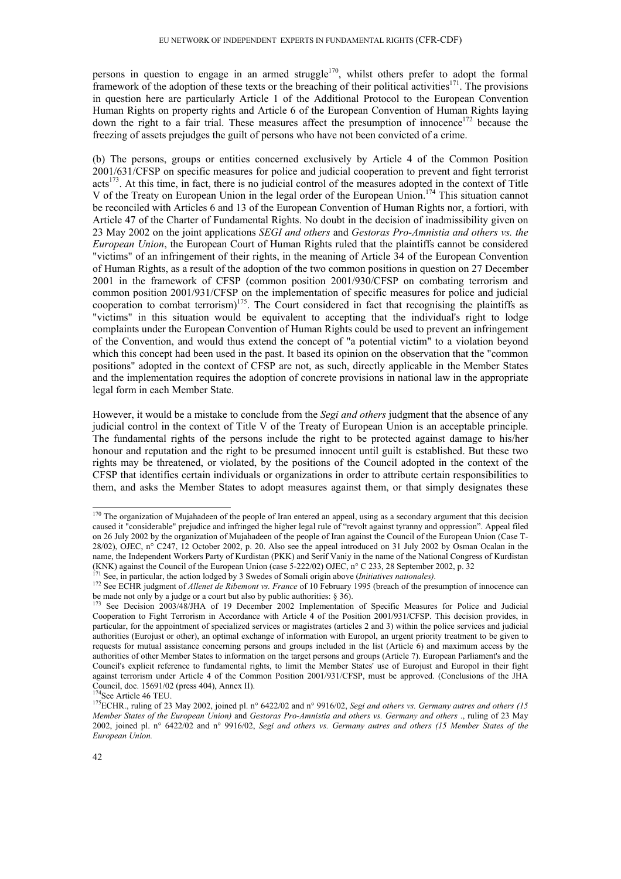persons in question to engage in an armed struggle<sup>170</sup>, whilst others prefer to adopt the formal framework of the adoption of these texts or the breaching of their political activities<sup>171</sup>. The provisions in question here are particularly Article 1 of the Additional Protocol to the European Convention Human Rights on property rights and Article 6 of the European Convention of Human Rights laying down the right to a fair trial. These measures affect the presumption of innocence<sup>172</sup> because the freezing of assets prejudges the guilt of persons who have not been convicted of a crime.

(b) The persons, groups or entities concerned exclusively by Article 4 of the Common Position 2001/631/CFSP on specific measures for police and judicial cooperation to prevent and fight terrorist acts<sup>173</sup>. At this time, in fact, there is no judicial control of the measures adopted in the context of Title V of the Treaty on European Union in the legal order of the European Union.<sup>174</sup> This situation cannot be reconciled with Articles 6 and 13 of the European Convention of Human Rights nor, a fortiori, with Article 47 of the Charter of Fundamental Rights. No doubt in the decision of inadmissibility given on 23 May 2002 on the joint applications *SEGI and others* and *Gestoras Pro-Amnistia and others vs. the European Union*, the European Court of Human Rights ruled that the plaintiffs cannot be considered "victims" of an infringement of their rights, in the meaning of Article 34 of the European Convention of Human Rights, as a result of the adoption of the two common positions in question on 27 December 2001 in the framework of CFSP (common position 2001/930/CFSP on combating terrorism and common position 2001/931/CFSP on the implementation of specific measures for police and judicial cooperation to combat terrorism)<sup>175</sup>. The Court considered in fact that recognising the plaintiffs as "victims" in this situation would be equivalent to accepting that the individual's right to lodge complaints under the European Convention of Human Rights could be used to prevent an infringement of the Convention, and would thus extend the concept of "a potential victim" to a violation beyond which this concept had been used in the past. It based its opinion on the observation that the "common positions" adopted in the context of CFSP are not, as such, directly applicable in the Member States and the implementation requires the adoption of concrete provisions in national law in the appropriate legal form in each Member State.

However, it would be a mistake to conclude from the *Segi and others* judgment that the absence of any judicial control in the context of Title V of the Treaty of European Union is an acceptable principle. The fundamental rights of the persons include the right to be protected against damage to his/her honour and reputation and the right to be presumed innocent until guilt is established. But these two rights may be threatened, or violated, by the positions of the Council adopted in the context of the CFSP that identifies certain individuals or organizations in order to attribute certain responsibilities to them, and asks the Member States to adopt measures against them, or that simply designates these

 $170$  The organization of Mujahadeen of the people of Iran entered an appeal, using as a secondary argument that this decision caused it "considerable" prejudice and infringed the higher legal rule of "revolt against tyranny and oppression". Appeal filed on 26 July 2002 by the organization of Mujahadeen of the people of Iran against the Council of the European Union (Case T-28/02), OJEC, n° C247, 12 October 2002, p. 20. Also see the appeal introduced on 31 July 2002 by Osman Ocalan in the name, the Independent Workers Party of Kurdistan (PKK) and Serif Vaniy in the name of the National Congress of Kurdistan (KNK) against the Council of the European Union (case 5-222/02) OJEC, n° C 233, 28 September 2002, p. 32<sup>171</sup> See, in particular, the action lodged by 3 Swedes of Somali origin above (*Initiatives nationales*).

<sup>&</sup>lt;sup>172</sup> See ECHR judgment of *Allenet de Ribemont vs. France* of 10 February 1995 (breach of the presumption of innocence can be made not only by a judge or a court but also by public authorities: § 36).

See Decision 2003/48/JHA of 19 December 2002 Implementation of Specific Measures for Police and Judicial Cooperation to Fight Terrorism in Accordance with Article 4 of the Position 2001/931/CFSP. This decision provides, in particular, for the appointment of specialized services or magistrates (articles 2 and 3) within the police services and judicial authorities (Eurojust or other), an optimal exchange of information with Europol, an urgent priority treatment to be given to requests for mutual assistance concerning persons and groups included in the list (Article 6) and maximum access by the authorities of other Member States to information on the target persons and groups (Article 7). European Parliament's and the Council's explicit reference to fundamental rights, to limit the Member States' use of Eurojust and Europol in their fight against terrorism under Article 4 of the Common Position 2001/931/CFSP, must be approved. (Conclusions of the JHA Council, doc. 15691/02 (press 404), Annex II).

<sup>&</sup>lt;sup>175</sup>ECHR., ruling of 23 May 2002, joined pl. n° 6422/02 and n° 9916/02, *Segi and others vs. Germany autres and others (15 Member States of the European Union)* and *Gestoras Pro-Amnistia and others vs. Germany and others* ., ruling of 23 May 2002, joined pl. n° 6422/02 and n° 9916/02, *Segi and others vs. Germany autres and others (15 Member States of the European Union.*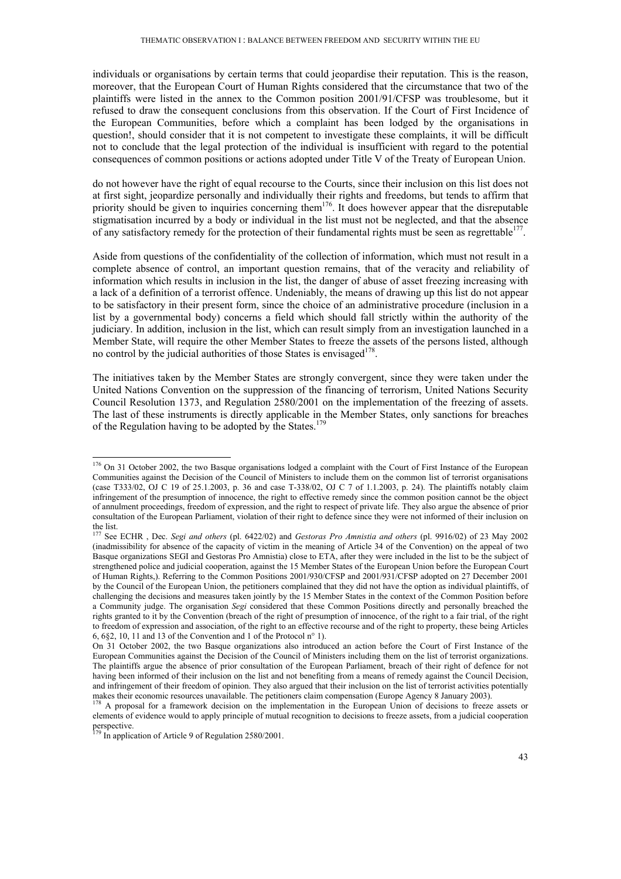individuals or organisations by certain terms that could jeopardise their reputation. This is the reason, moreover, that the European Court of Human Rights considered that the circumstance that two of the plaintiffs were listed in the annex to the Common position 2001/91/CFSP was troublesome, but it refused to draw the consequent conclusions from this observation. If the Court of First Incidence of the European Communities, before which a complaint has been lodged by the organisations in question!, should consider that it is not competent to investigate these complaints, it will be difficult not to conclude that the legal protection of the individual is insufficient with regard to the potential consequences of common positions or actions adopted under Title V of the Treaty of European Union.

do not however have the right of equal recourse to the Courts, since their inclusion on this list does not at first sight, jeopardize personally and individually their rights and freedoms, but tends to affirm that priority should be given to inquiries concerning them<sup>176</sup>. It does however appear that the disreputable stigmatisation incurred by a body or individual in the list must not be neglected, and that the absence of any satisfactory remedy for the protection of their fundamental rights must be seen as regrettable<sup>177</sup>.

Aside from questions of the confidentiality of the collection of information, which must not result in a complete absence of control, an important question remains, that of the veracity and reliability of information which results in inclusion in the list, the danger of abuse of asset freezing increasing with a lack of a definition of a terrorist offence. Undeniably, the means of drawing up this list do not appear to be satisfactory in their present form, since the choice of an administrative procedure (inclusion in a list by a governmental body) concerns a field which should fall strictly within the authority of the judiciary. In addition, inclusion in the list, which can result simply from an investigation launched in a Member State, will require the other Member States to freeze the assets of the persons listed, although no control by the judicial authorities of those States is envisaged  $178$ .

The initiatives taken by the Member States are strongly convergent, since they were taken under the United Nations Convention on the suppression of the financing of terrorism, United Nations Security Council Resolution 1373, and Regulation 2580/2001 on the implementation of the freezing of assets. The last of these instruments is directly applicable in the Member States, only sanctions for breaches of the Regulation having to be adopted by the States.<sup>179</sup>

<sup>&</sup>lt;sup>176</sup> On 31 October 2002, the two Basque organisations lodged a complaint with the Court of First Instance of the European Communities against the Decision of the Council of Ministers to include them on the common list of terrorist organisations (case T333/02, OJ C 19 of 25.1.2003, p. 36 and case T-338/02, OJ C 7 of 1.1.2003, p. 24). The plaintiffs notably claim infringement of the presumption of innocence, the right to effective remedy since the common position cannot be the object of annulment proceedings, freedom of expression, and the right to respect of private life. They also argue the absence of prior consultation of the European Parliament, violation of their right to defence since they were not informed of their inclusion on the list.

<sup>177</sup> See ECHR , Dec. *Segi and others* (pl. 6422/02) and *Gestoras Pro Amnistia and others* (pl. 9916/02) of 23 May 2002 (inadmissibility for absence of the capacity of victim in the meaning of Article 34 of the Convention) on the appeal of two Basque organizations SEGI and Gestoras Pro Amnistia) close to ETA, after they were included in the list to be the subject of strengthened police and judicial cooperation, against the 15 Member States of the European Union before the European Court of Human Rights,). Referring to the Common Positions 2001/930/CFSP and 2001/931/CFSP adopted on 27 December 2001 by the Council of the European Union, the petitioners complained that they did not have the option as individual plaintiffs, of challenging the decisions and measures taken jointly by the 15 Member States in the context of the Common Position before a Community judge. The organisation *Segi* considered that these Common Positions directly and personally breached the rights granted to it by the Convention (breach of the right of presumption of innocence, of the right to a fair trial, of the right to freedom of expression and association, of the right to an effective recourse and of the right to property, these being Articles 6, 6§2, 10, 11 and 13 of the Convention and 1 of the Protocol n° 1).

On 31 October 2002, the two Basque organizations also introduced an action before the Court of First Instance of the European Communities against the Decision of the Council of Ministers including them on the list of terrorist organizations. The plaintiffs argue the absence of prior consultation of the European Parliament, breach of their right of defence for not having been informed of their inclusion on the list and not benefiting from a means of remedy against the Council Decision, and infringement of their freedom of opinion. They also argued that their inclusion on the list of terrorist activities potentially makes their economic resources unavailable. The petitioners claim compensation (Europe Agency 8 January 2003).<br><sup>178</sup> A proposal for a framework decision on the implementation in the European Union of decisions to freeze as

elements of evidence would to apply principle of mutual recognition to decisions to freeze assets, from a judicial cooperation perspective.

<sup>&</sup>lt;sup>179</sup> In application of Article 9 of Regulation 2580/2001.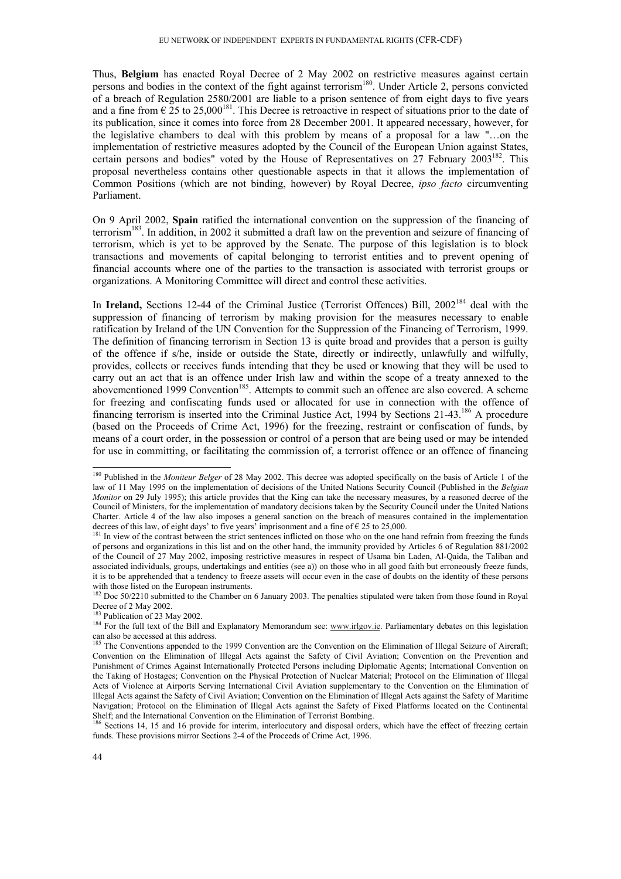Thus, **Belgium** has enacted Royal Decree of 2 May 2002 on restrictive measures against certain persons and bodies in the context of the fight against terrorism<sup>180</sup>. Under Article 2, persons convicted of a breach of Regulation 2580/2001 are liable to a prison sentence of from eight days to five years and a fine from  $\epsilon$  25 to 25,000<sup>181</sup>. This Decree is retroactive in respect of situations prior to the date of its publication, since it comes into force from 28 December 2001. It appeared necessary, however, for the legislative chambers to deal with this problem by means of a proposal for a law "…on the implementation of restrictive measures adopted by the Council of the European Union against States, certain persons and bodies" voted by the House of Representatives on  $27$  February  $2003^{182}$ . This proposal nevertheless contains other questionable aspects in that it allows the implementation of Common Positions (which are not binding, however) by Royal Decree, *ipso facto* circumventing Parliament.

On 9 April 2002, **Spain** ratified the international convention on the suppression of the financing of terrorism<sup>183</sup>. In addition, in 2002 it submitted a draft law on the prevention and seizure of financing of terrorism, which is yet to be approved by the Senate. The purpose of this legislation is to block transactions and movements of capital belonging to terrorist entities and to prevent opening of financial accounts where one of the parties to the transaction is associated with terrorist groups or organizations. A Monitoring Committee will direct and control these activities.

In **Ireland,** Sections 12-44 of the Criminal Justice (Terrorist Offences) Bill, 2002<sup>184</sup> deal with the suppression of financing of terrorism by making provision for the measures necessary to enable ratification by Ireland of the UN Convention for the Suppression of the Financing of Terrorism, 1999. The definition of financing terrorism in Section 13 is quite broad and provides that a person is guilty of the offence if s/he, inside or outside the State, directly or indirectly, unlawfully and wilfully, provides, collects or receives funds intending that they be used or knowing that they will be used to carry out an act that is an offence under Irish law and within the scope of a treaty annexed to the abovementioned 1999 Convention<sup>185</sup>. Attempts to commit such an offence are also covered. A scheme for freezing and confiscating funds used or allocated for use in connection with the offence of financing terrorism is inserted into the Criminal Justice Act, 1994 by Sections 21-43.<sup>186</sup> A procedure (based on the Proceeds of Crime Act, 1996) for the freezing, restraint or confiscation of funds, by means of a court order, in the possession or control of a person that are being used or may be intended for use in committing, or facilitating the commission of, a terrorist offence or an offence of financing

<sup>180</sup> Published in the *Moniteur Belger* of 28 May 2002. This decree was adopted specifically on the basis of Article 1 of the law of 11 May 1995 on the implementation of decisions of the United Nations Security Council (Published in the *Belgian Monitor* on 29 July 1995); this article provides that the King can take the necessary measures, by a reasoned decree of the Council of Ministers, for the implementation of mandatory decisions taken by the Security Council under the United Nations Charter. Article 4 of the law also imposes a general sanction on the breach of measures contained in the implementation decrees of this law, of eight days' to five years' imprisonment and a fine of  $\epsilon$  25 to 25,000.

<sup>&</sup>lt;sup>181</sup> In view of the contrast between the strict sentences inflicted on those who on the one hand refrain from freezing the funds of persons and organizations in this list and on the other hand, the immunity provided by Articles 6 of Regulation 881/2002 of the Council of 27 May 2002, imposing restrictive measures in respect of Usama bin Laden, Al-Qaida, the Taliban and associated individuals, groups, undertakings and entities (see a)) on those who in all good faith but erroneously freeze funds, it is to be apprehended that a tendency to freeze assets will occur even in the case of doubts on the identity of these persons with those listed on the European instruments.

<sup>&</sup>lt;sup>182</sup> Doc 50/2210 submitted to the Chamber on 6 January 2003. The penalties stipulated were taken from those found in Royal Decree of 2 May 2002.<br><sup>183</sup> Publication of 23 May 2002.

<sup>&</sup>lt;sup>184</sup> For the full text of the Bill and Explanatory Memorandum see: www.irlgov.ie. Parliamentary debates on this legislation can also be accessed at this address.

<sup>&</sup>lt;sup>185</sup> The Conventions appended to the 1999 Convention are the Convention on the Elimination of Illegal Seizure of Aircraft; Convention on the Elimination of Illegal Acts against the Safety of Civil Aviation; Convention on the Prevention and Punishment of Crimes Against Internationally Protected Persons including Diplomatic Agents; International Convention on the Taking of Hostages; Convention on the Physical Protection of Nuclear Material; Protocol on the Elimination of Illegal Acts of Violence at Airports Serving International Civil Aviation supplementary to the Convention on the Elimination of Illegal Acts against the Safety of Civil Aviation; Convention on the Elimination of Illegal Acts against the Safety of Maritime Navigation; Protocol on the Elimination of Illegal Acts against the Safety of Fixed Platforms located on the Continental Shelf; and the International Convention on the Elimination of Terrorist Bombing.

<sup>186</sup> Sections 14, 15 and 16 provide for interim, interlocutory and disposal orders, which have the effect of freezing certain funds. These provisions mirror Sections 2-4 of the Proceeds of Crime Act, 1996.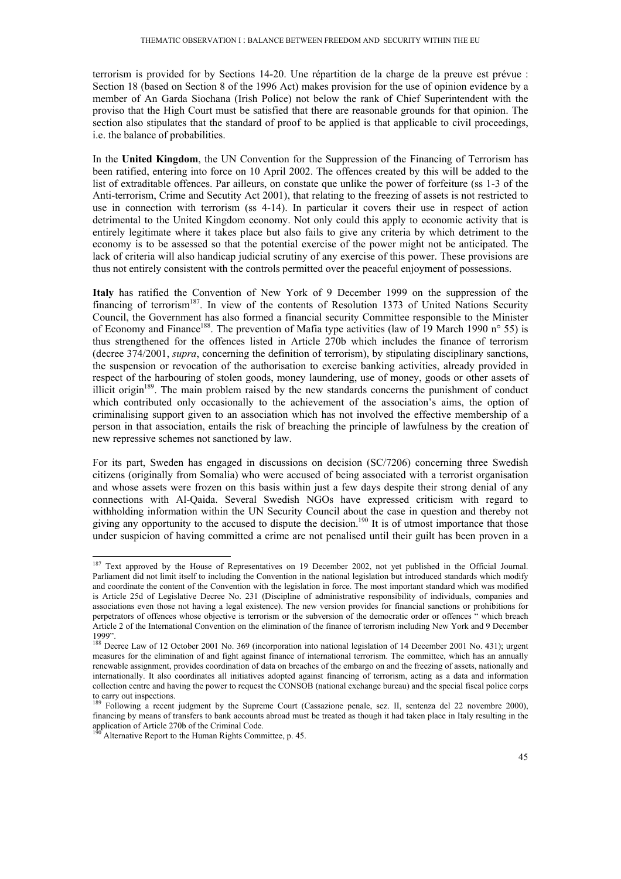terrorism is provided for by Sections 14-20. Une répartition de la charge de la preuve est prévue : Section 18 (based on Section 8 of the 1996 Act) makes provision for the use of opinion evidence by a member of An Garda Siochana (Irish Police) not below the rank of Chief Superintendent with the proviso that the High Court must be satisfied that there are reasonable grounds for that opinion. The section also stipulates that the standard of proof to be applied is that applicable to civil proceedings, i.e. the balance of probabilities.

In the **United Kingdom**, the UN Convention for the Suppression of the Financing of Terrorism has been ratified, entering into force on 10 April 2002. The offences created by this will be added to the list of extraditable offences. Par ailleurs, on constate que unlike the power of forfeiture (ss 1-3 of the Anti-terrorism, Crime and Secutity Act 2001), that relating to the freezing of assets is not restricted to use in connection with terrorism (ss 4-14). In particular it covers their use in respect of action detrimental to the United Kingdom economy. Not only could this apply to economic activity that is entirely legitimate where it takes place but also fails to give any criteria by which detriment to the economy is to be assessed so that the potential exercise of the power might not be anticipated. The lack of criteria will also handicap judicial scrutiny of any exercise of this power. These provisions are thus not entirely consistent with the controls permitted over the peaceful enjoyment of possessions.

**Italy** has ratified the Convention of New York of 9 December 1999 on the suppression of the financing of terrorism<sup>187</sup>. In view of the contents of Resolution 1373 of United Nations Security Council, the Government has also formed a financial security Committee responsible to the Minister of Economy and Finance<sup>188</sup>. The prevention of Mafia type activities (law of 19 March 1990 n° 55) is thus strengthened for the offences listed in Article 270b which includes the finance of terrorism (decree 374/2001, *supra*, concerning the definition of terrorism), by stipulating disciplinary sanctions, the suspension or revocation of the authorisation to exercise banking activities, already provided in respect of the harbouring of stolen goods, money laundering, use of money, goods or other assets of illicit origin<sup>189</sup>. The main problem raised by the new standards concerns the punishment of conduct which contributed only occasionally to the achievement of the association's aims, the option of criminalising support given to an association which has not involved the effective membership of a person in that association, entails the risk of breaching the principle of lawfulness by the creation of new repressive schemes not sanctioned by law.

For its part, Sweden has engaged in discussions on decision (SC/7206) concerning three Swedish citizens (originally from Somalia) who were accused of being associated with a terrorist organisation and whose assets were frozen on this basis within just a few days despite their strong denial of any connections with Al-Qaida. Several Swedish NGOs have expressed criticism with regard to withholding information within the UN Security Council about the case in question and thereby not giving any opportunity to the accused to dispute the decision.<sup>190</sup> It is of utmost importance that those under suspicion of having committed a crime are not penalised until their guilt has been proven in a

<sup>&</sup>lt;sup>187</sup> Text approved by the House of Representatives on 19 December 2002, not yet published in the Official Journal. Parliament did not limit itself to including the Convention in the national legislation but introduced standards which modify and coordinate the content of the Convention with the legislation in force. The most important standard which was modified is Article 25d of Legislative Decree No. 231 (Discipline of administrative responsibility of individuals, companies and associations even those not having a legal existence). The new version provides for financial sanctions or prohibitions for perpetrators of offences whose objective is terrorism or the subversion of the democratic order or offences " which breach Article 2 of the International Convention on the elimination of the finance of terrorism including New York and 9 December 1999".

<sup>&</sup>lt;sup>188</sup> Decree Law of 12 October 2001 No. 369 (incorporation into national legislation of 14 December 2001 No. 431); urgent measures for the elimination of and fight against finance of international terrorism. The committee, which has an annually renewable assignment, provides coordination of data on breaches of the embargo on and the freezing of assets, nationally and internationally. It also coordinates all initiatives adopted against financing of terrorism, acting as a data and information collection centre and having the power to request the CONSOB (national exchange bureau) and the special fiscal police corps to carry out inspections.

<sup>&</sup>lt;sup>189</sup> Following a recent judgment by the Supreme Court (Cassazione penale, sez. II, sentenza del 22 novembre 2000), financing by means of transfers to bank accounts abroad must be treated as though it had taken place in Italy resulting in the application of Article 270b of the Criminal Code.

Alternative Report to the Human Rights Committee, p. 45.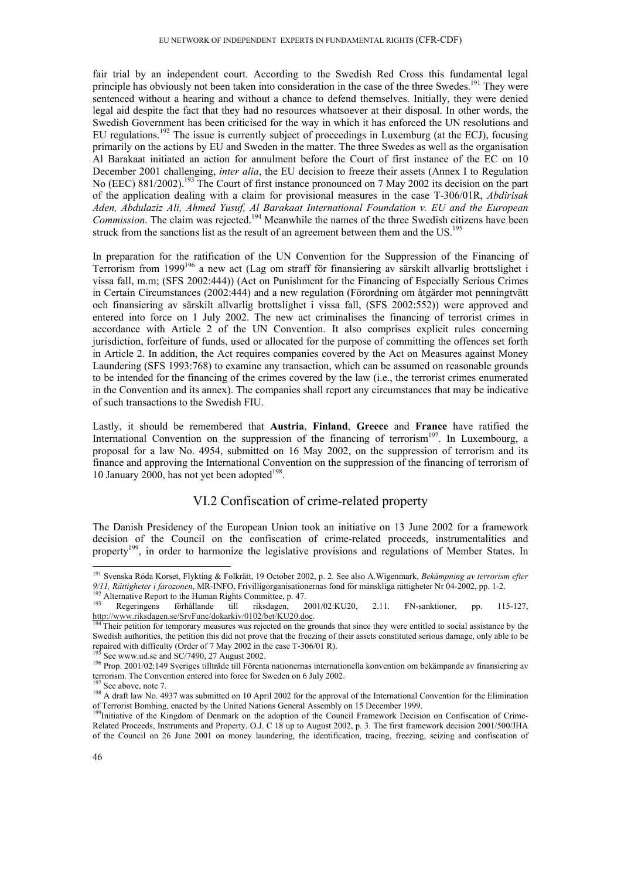fair trial by an independent court. According to the Swedish Red Cross this fundamental legal principle has obviously not been taken into consideration in the case of the three Swedes.<sup>191</sup> They were sentenced without a hearing and without a chance to defend themselves. Initially, they were denied legal aid despite the fact that they had no resources whatsoever at their disposal. In other words, the Swedish Government has been criticised for the way in which it has enforced the UN resolutions and EU regulations.<sup>192</sup> The issue is currently subject of proceedings in Luxemburg (at the ECJ), focusing primarily on the actions by EU and Sweden in the matter. The three Swedes as well as the organisation Al Barakaat initiated an action for annulment before the Court of first instance of the EC on 10 December 2001 challenging, *inter alia*, the EU decision to freeze their assets (Annex I to Regulation No (EEC) 881/2002).<sup>193</sup> The Court of first instance pronounced on 7 May 2002 its decision on the part of the application dealing with a claim for provisional measures in the case T-306/01R, *Abdirisak Aden, Abdulaziz Ali, Ahmed Yusuf, Al Barakaat International Foundation v. EU and the European Commission*. The claim was rejected.<sup>194</sup> Meanwhile the names of the three Swedish citizens have been struck from the sanctions list as the result of an agreement between them and the  $US$ .<sup>195</sup>

In preparation for the ratification of the UN Convention for the Suppression of the Financing of Terrorism from 1999196 a new act (Lag om straff för finansiering av särskilt allvarlig brottslighet i vissa fall, m.m; (SFS 2002:444)) (Act on Punishment for the Financing of Especially Serious Crimes in Certain Circumstances (2002:444) and a new regulation (Förordning om åtgärder mot penningtvätt och finansiering av särskilt allvarlig brottslighet i vissa fall, (SFS 2002:552)) were approved and entered into force on 1 July 2002. The new act criminalises the financing of terrorist crimes in accordance with Article 2 of the UN Convention. It also comprises explicit rules concerning jurisdiction, forfeiture of funds, used or allocated for the purpose of committing the offences set forth in Article 2. In addition, the Act requires companies covered by the Act on Measures against Money Laundering (SFS 1993:768) to examine any transaction, which can be assumed on reasonable grounds to be intended for the financing of the crimes covered by the law (i.e., the terrorist crimes enumerated in the Convention and its annex). The companies shall report any circumstances that may be indicative of such transactions to the Swedish FIU.

Lastly, it should be remembered that **Austria**, **Finland**, **Greece** and **France** have ratified the International Convention on the suppression of the financing of terrorism<sup>197</sup>. In Luxembourg, a proposal for a law No. 4954, submitted on 16 May 2002, on the suppression of terrorism and its finance and approving the International Convention on the suppression of the financing of terrorism of 10 January 2000, has not yet been adopted<sup>198</sup>.

## VI.2 Confiscation of crime-related property

The Danish Presidency of the European Union took an initiative on 13 June 2002 for a framework decision of the Council on the confiscation of crime-related proceeds, instrumentalities and property<sup>199</sup>, in order to harmonize the legislative provisions and regulations of Member States. In

<sup>191</sup> Svenska Röda Korset, Flykting & Folkrätt, 19 October 2002, p. 2. See also A.Wigenmark, *Bekämpning av terrorism efter*

<sup>9/11,</sup> Rättigheter i farozonen, MR-INFO, Frivilligorganisationernas fond för mänskliga rättigheter Nr 04-2002, pp. 1-2.<br><sup>192</sup> Alternative Report to the Human Rights Committee, p. 47.<br><sup>193</sup> Regeringens förhållande till riks

Their petition for temporary measures was rejected on the grounds that since they were entitled to social assistance by the Swedish authorities, the petition this did not prove that the freezing of their assets constituted serious damage, only able to be repaired with difficulty (Order of 7 May 2002 in the case T-306/01 R).<br><sup>195</sup> See www.ud.se and SC/7490, 27 August 2002.

<sup>&</sup>lt;sup>196</sup> Prop. 2001/02:149 Sveriges tillträde till Förenta nationernas internationella konvention om bekämpande av finansiering av terrorism. The Convention entered into force for Sweden on 6 July 2002.

<sup>&</sup>lt;sup>197</sup> See above, note 7.<br><sup>198</sup> A draft law No. 4937 was submitted on 10 April 2002 for the approval of the International Convention for the Elimination of Terrorist Bombing, enacted by the United Nations General Assembly on 15 December 1999.<br><sup>199</sup>Initiative of the Kingdom of Denmark on the adoption of the Council Framework Decision on Confiscation of Crime-

Related Proceeds, Instruments and Property. O.J. C 18 up to August 2002, p. 3. The first framework decision 2001/500/JHA of the Council on 26 June 2001 on money laundering, the identification, tracing, freezing, seizing and confiscation of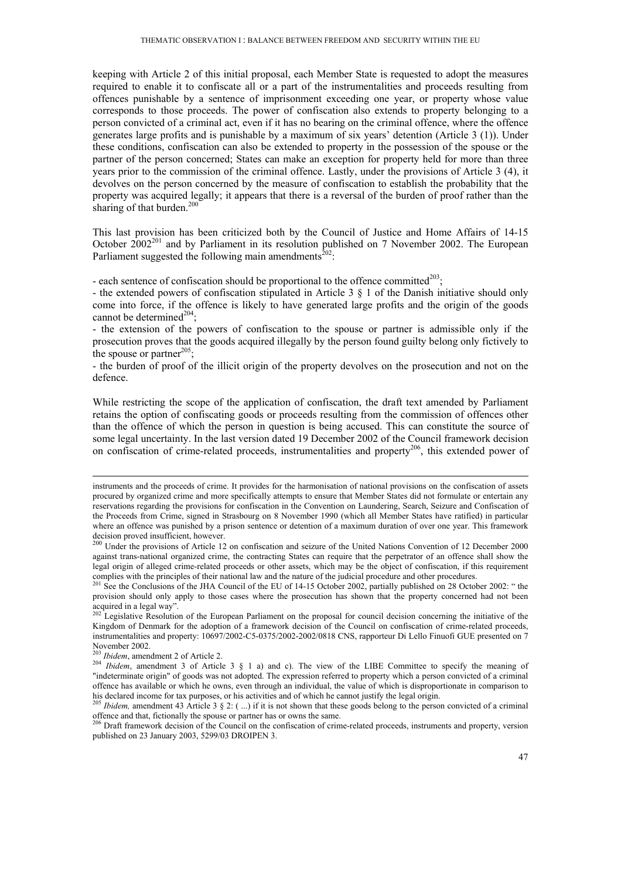keeping with Article 2 of this initial proposal, each Member State is requested to adopt the measures required to enable it to confiscate all or a part of the instrumentalities and proceeds resulting from offences punishable by a sentence of imprisonment exceeding one year, or property whose value corresponds to those proceeds. The power of confiscation also extends to property belonging to a person convicted of a criminal act, even if it has no bearing on the criminal offence, where the offence generates large profits and is punishable by a maximum of six years' detention (Article 3 (1)). Under these conditions, confiscation can also be extended to property in the possession of the spouse or the partner of the person concerned; States can make an exception for property held for more than three years prior to the commission of the criminal offence. Lastly, under the provisions of Article 3 (4), it devolves on the person concerned by the measure of confiscation to establish the probability that the property was acquired legally; it appears that there is a reversal of the burden of proof rather than the sharing of that burden.<sup>200</sup>

This last provision has been criticized both by the Council of Justice and Home Affairs of 14-15 October 2002<sup>201</sup> and by Parliament in its resolution published on 7 November 2002. The European Parliament suggested the following main amendments<sup> $202$ </sup>:

- each sentence of confiscation should be proportional to the offence committed $^{203}$ ;

- the extended powers of confiscation stipulated in Article 3 § 1 of the Danish initiative should only come into force, if the offence is likely to have generated large profits and the origin of the goods cannot be determined<sup>204</sup>;

- the extension of the powers of confiscation to the spouse or partner is admissible only if the prosecution proves that the goods acquired illegally by the person found guilty belong only fictively to the spouse or partner<sup>205</sup>;

- the burden of proof of the illicit origin of the property devolves on the prosecution and not on the defence.

While restricting the scope of the application of confiscation, the draft text amended by Parliament retains the option of confiscating goods or proceeds resulting from the commission of offences other than the offence of which the person in question is being accused. This can constitute the source of some legal uncertainty. In the last version dated 19 December 2002 of the Council framework decision on confiscation of crime-related proceeds, instrumentalities and property<sup>206</sup>, this extended power of

November 2002.<br><sup>203</sup> Ibidem, amendment 2 of Article 2.

instruments and the proceeds of crime. It provides for the harmonisation of national provisions on the confiscation of assets procured by organized crime and more specifically attempts to ensure that Member States did not formulate or entertain any reservations regarding the provisions for confiscation in the Convention on Laundering, Search, Seizure and Confiscation of the Proceeds from Crime, signed in Strasbourg on 8 November 1990 (which all Member States have ratified) in particular where an offence was punished by a prison sentence or detention of a maximum duration of over one year. This framework decision proved insufficient, however.

<sup>&</sup>lt;sup>200</sup> Under the provisions of Article 12 on confiscation and seizure of the United Nations Convention of 12 December 2000 against trans-national organized crime, the contracting States can require that the perpetrator of an offence shall show the legal origin of alleged crime-related proceeds or other assets, which may be the object of confiscation, if this requirement complies with the principles of their national law and the nature of the judicial procedure and other procedures.<br><sup>201</sup> See the Conclusions of the JHA Council of the EU of 14-15 October 2002, partially published on 28 Octo

provision should only apply to those cases where the prosecution has shown that the property concerned had not been acquired in a legal way".

 $202$  Legislative Resolution of the European Parliament on the proposal for council decision concerning the initiative of the Kingdom of Denmark for the adoption of a framework decision of the Council on confiscation of crime-related proceeds, instrumentalities and property: 10697/2002-C5-0375/2002-2002/0818 CNS, rapporteur Di Lello Finuofi GUE presented on 7

<sup>&</sup>lt;sup>204</sup> *Ibidem*, amendment 3 of Article 3  $\S$  1 a) and c). The view of the LIBE Committee to specify the meaning of "indeterminate origin" of goods was not adopted. The expression referred to property which a person convicted of a criminal offence has available or which he owns, even through an individual, the value of which is disproportionate in comparison to his declared income for tax purposes, or his activities and of which he cannot justify the legal origin.<br><sup>205</sup> *Ibidem*, amendment 43 Article 3 § 2: (...) if it is not shown that these goods belong to the person convicted

offence and that, fictionally the spouse or partner has or owns the same.<br><sup>206</sup> Draft framework decision of the Council on the confiscation of crime-related proceeds, instruments and property, version

published on 23 January 2003, 5299/03 DROIPEN 3.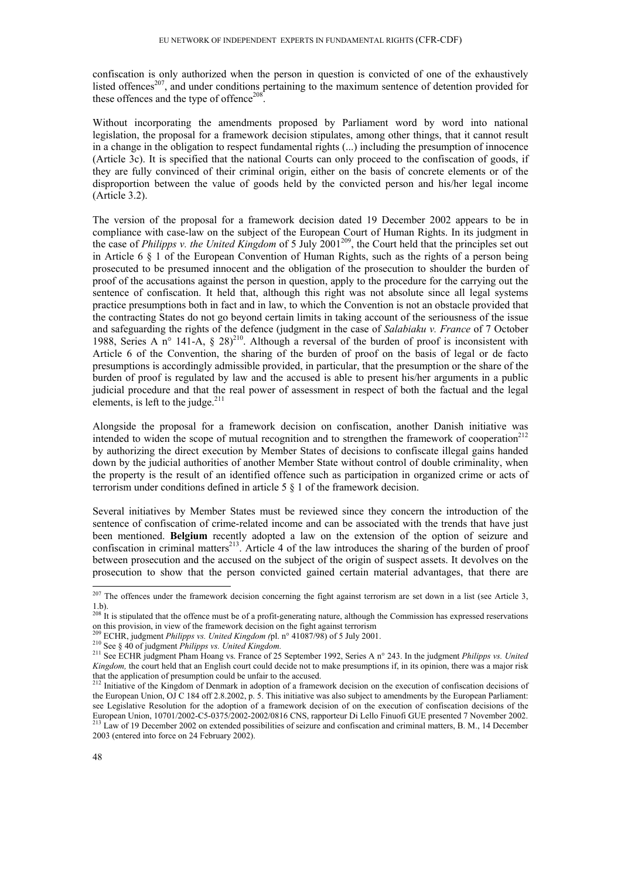confiscation is only authorized when the person in question is convicted of one of the exhaustively listed offences<sup>207</sup>, and under conditions pertaining to the maximum sentence of detention provided for these offences and the type of offence<sup>208</sup>.

Without incorporating the amendments proposed by Parliament word by word into national legislation, the proposal for a framework decision stipulates, among other things, that it cannot result in a change in the obligation to respect fundamental rights (...) including the presumption of innocence (Article 3c). It is specified that the national Courts can only proceed to the confiscation of goods, if they are fully convinced of their criminal origin, either on the basis of concrete elements or of the disproportion between the value of goods held by the convicted person and his/her legal income (Article 3.2).

The version of the proposal for a framework decision dated 19 December 2002 appears to be in compliance with case-law on the subject of the European Court of Human Rights. In its judgment in the case of *Philipps v. the United Kingdom* of 5 July 2001<sup>209</sup>, the Court held that the principles set out in Article 6 § 1 of the European Convention of Human Rights, such as the rights of a person being prosecuted to be presumed innocent and the obligation of the prosecution to shoulder the burden of proof of the accusations against the person in question, apply to the procedure for the carrying out the sentence of confiscation. It held that, although this right was not absolute since all legal systems practice presumptions both in fact and in law, to which the Convention is not an obstacle provided that the contracting States do not go beyond certain limits in taking account of the seriousness of the issue and safeguarding the rights of the defence (judgment in the case of *Salabiaku v. France* of 7 October 1988, Series A n° 141-A,  $\S$  28)<sup>210</sup>. Although a reversal of the burden of proof is inconsistent with Article 6 of the Convention, the sharing of the burden of proof on the basis of legal or de facto presumptions is accordingly admissible provided, in particular, that the presumption or the share of the burden of proof is regulated by law and the accused is able to present his/her arguments in a public judicial procedure and that the real power of assessment in respect of both the factual and the legal elements, is left to the judge. $2^{11}$ 

Alongside the proposal for a framework decision on confiscation, another Danish initiative was intended to widen the scope of mutual recognition and to strengthen the framework of cooperation<sup>212</sup> by authorizing the direct execution by Member States of decisions to confiscate illegal gains handed down by the judicial authorities of another Member State without control of double criminality, when the property is the result of an identified offence such as participation in organized crime or acts of terrorism under conditions defined in article 5 § 1 of the framework decision.

Several initiatives by Member States must be reviewed since they concern the introduction of the sentence of confiscation of crime-related income and can be associated with the trends that have just been mentioned. **Belgium** recently adopted a law on the extension of the option of seizure and confiscation in criminal matters<sup>213</sup>. Article 4 of the law introduces the sharing of the burden of proof between prosecution and the accused on the subject of the origin of suspect assets. It devolves on the prosecution to show that the person convicted gained certain material advantages, that there are

 $^{207}$  The offences under the framework decision concerning the fight against terrorism are set down in a list (see Article 3, 1.b).

<sup>&</sup>lt;sup>208</sup> It is stipulated that the offence must be of a profit-generating nature, although the Commission has expressed reservations on this provision, in view of the framework decision on the fight against terrorism  $^{209}$  ECHR, judgment *Philipps vs. United Kingdom (pl. n°* 41087/98) of 5 July 2001.

<sup>210</sup> See § 40 of judgment *Philipps vs. United Kingdom*.<br><sup>210</sup> See § 40 of judgment *Philipps vs. United Kingdom*.<br><sup>211</sup> See ECHR judgment Pham Hoang vs. France of 25 September 1992, Series A n° 243. In the judgment *Philip Kingdom,* the court held that an English court could decide not to make presumptions if, in its opinion, there was a major risk that the application of presumption could be unfair to the accused.

<sup>&</sup>lt;sup>212</sup> Initiative of the Kingdom of Denmark in adoption of a framework decision on the execution of confiscation decisions of the European Union, OJ C 184 off 2.8.2002, p. 5. This initiative was also subject to amendments by the European Parliament: see Legislative Resolution for the adoption of a framework decision of on the execution of confiscation decisions of the European Union, 10701/2002-C5-0375/2002-2002/0816 CNS, rapporteur Di Lello Finuofi GUE presented 7 No <sup>213</sup> Law of 19 December 2002 on extended possibilities of seizure and confiscation and criminal matters, B. M., 14 December 2003 (entered into force on 24 February 2002).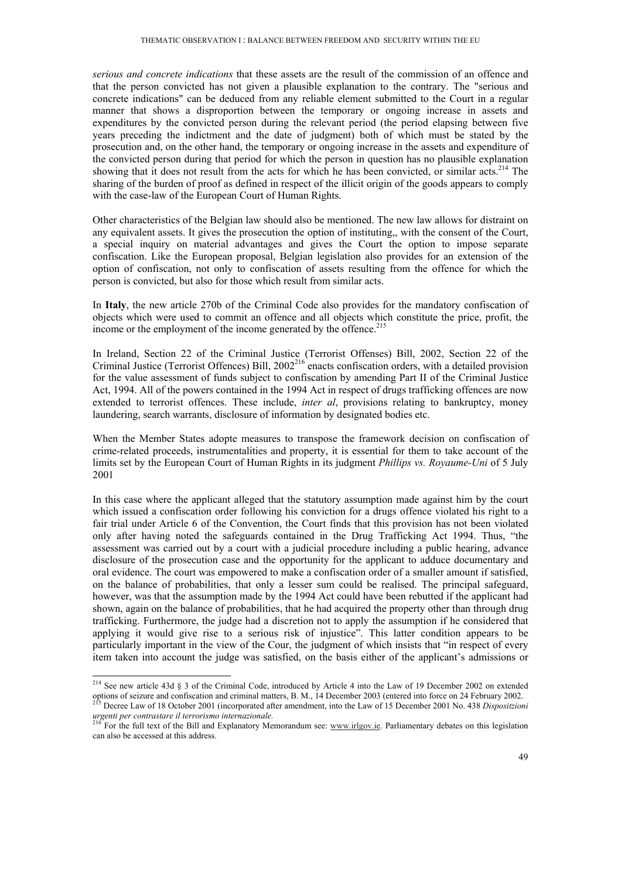*serious and concrete indications* that these assets are the result of the commission of an offence and that the person convicted has not given a plausible explanation to the contrary. The "serious and concrete indications" can be deduced from any reliable element submitted to the Court in a regular manner that shows a disproportion between the temporary or ongoing increase in assets and expenditures by the convicted person during the relevant period (the period elapsing between five years preceding the indictment and the date of judgment) both of which must be stated by the prosecution and, on the other hand, the temporary or ongoing increase in the assets and expenditure of the convicted person during that period for which the person in question has no plausible explanation showing that it does not result from the acts for which he has been convicted, or similar acts.<sup>214</sup> The sharing of the burden of proof as defined in respect of the illicit origin of the goods appears to comply with the case-law of the European Court of Human Rights.

Other characteristics of the Belgian law should also be mentioned. The new law allows for distraint on any equivalent assets. It gives the prosecution the option of instituting,, with the consent of the Court, a special inquiry on material advantages and gives the Court the option to impose separate confiscation. Like the European proposal, Belgian legislation also provides for an extension of the option of confiscation, not only to confiscation of assets resulting from the offence for which the person is convicted, but also for those which result from similar acts.

In **Italy**, the new article 270b of the Criminal Code also provides for the mandatory confiscation of objects which were used to commit an offence and all objects which constitute the price, profit, the income or the employment of the income generated by the offence.<sup>215</sup>

In Ireland, Section 22 of the Criminal Justice (Terrorist Offenses) Bill, 2002, Section 22 of the Criminal Justice (Terrorist Offences) Bill, 2002<sup>216</sup> enacts confiscation orders, with a detailed provision for the value assessment of funds subject to confiscation by amending Part II of the Criminal Justice Act, 1994. All of the powers contained in the 1994 Act in respect of drugs trafficking offences are now extended to terrorist offences. These include, *inter al*, provisions relating to bankruptcy, money laundering, search warrants, disclosure of information by designated bodies etc.

When the Member States adopte measures to transpose the framework decision on confiscation of crime-related proceeds, instrumentalities and property, it is essential for them to take account of the limits set by the European Court of Human Rights in its judgment *Phillips vs. Royaume-Uni* of 5 July 2001

In this case where the applicant alleged that the statutory assumption made against him by the court which issued a confiscation order following his conviction for a drugs offence violated his right to a fair trial under Article 6 of the Convention, the Court finds that this provision has not been violated only after having noted the safeguards contained in the Drug Trafficking Act 1994. Thus, "the assessment was carried out by a court with a judicial procedure including a public hearing, advance disclosure of the prosecution case and the opportunity for the applicant to adduce documentary and oral evidence. The court was empowered to make a confiscation order of a smaller amount if satisfied, on the balance of probabilities, that only a lesser sum could be realised. The principal safeguard, however, was that the assumption made by the 1994 Act could have been rebutted if the applicant had shown, again on the balance of probabilities, that he had acquired the property other than through drug trafficking. Furthermore, the judge had a discretion not to apply the assumption if he considered that applying it would give rise to a serious risk of injustice". This latter condition appears to be particularly important in the view of the Cour, the judgment of which insists that "in respect of every item taken into account the judge was satisfied, on the basis either of the applicant's admissions or

<sup>&</sup>lt;sup>214</sup> See new article 43d § 3 of the Criminal Code, introduced by Article 4 into the Law of 19 December 2002 on extended options of seizure and confiscation and criminal matters, B. M., 14 December 2003 (entered into force on 24 February 2002).<br><sup>215</sup> Decree Law of 18 October 2001 (incorporated after amendment, into the Law of 15 December 200

*urgenti per contrastare il terrorismo internazionale.* <sup>216</sup> For the full text of the Bill and Explanatory Memorandum see: www.irlgov.ie. Parliamentary debates on this legislation

can also be accessed at this address.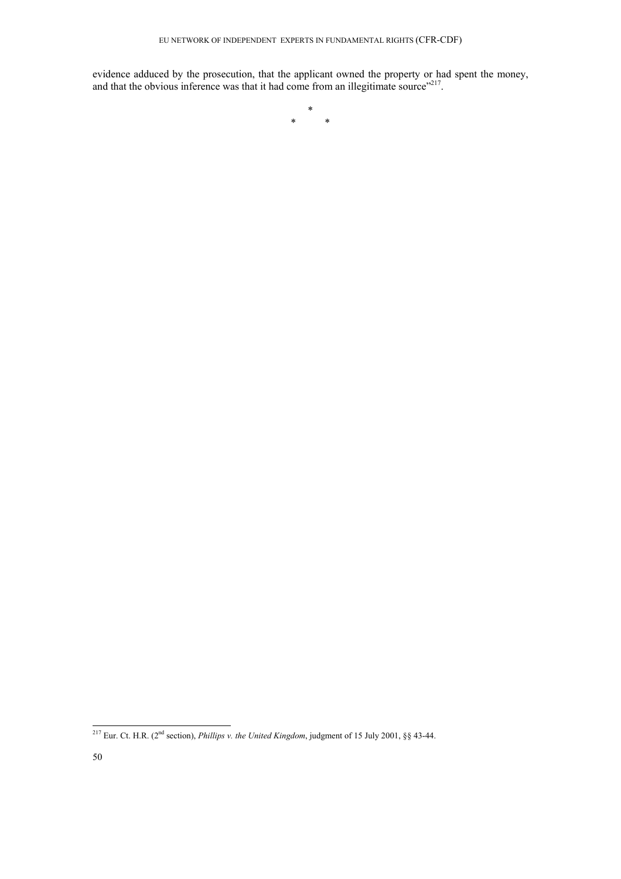evidence adduced by the prosecution, that the applicant owned the property or had spent the money, and that the obvious inference was that it had come from an illegitimate source"<sup>217</sup>.

> \* \* \*

<sup>-</sup><sup>217</sup> Eur. Ct. H.R. (2<sup>nd</sup> section), *Phillips v. the United Kingdom*, judgment of 15 July 2001, §§ 43-44.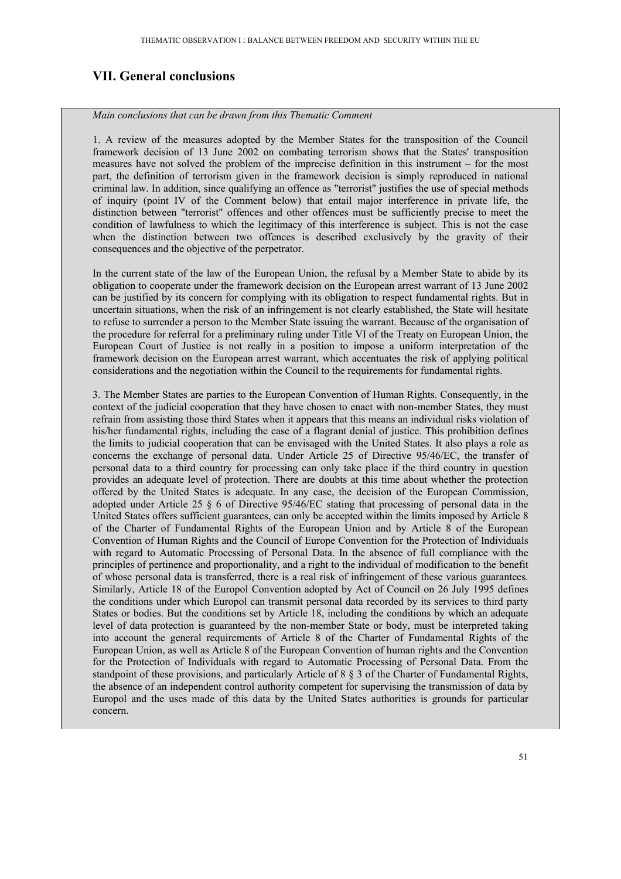## **VII. General conclusions**

*Main conclusions that can be drawn from this Thematic Comment* 

1. A review of the measures adopted by the Member States for the transposition of the Council framework decision of 13 June 2002 on combating terrorism shows that the States' transposition measures have not solved the problem of the imprecise definition in this instrument – for the most part, the definition of terrorism given in the framework decision is simply reproduced in national criminal law. In addition, since qualifying an offence as "terrorist" justifies the use of special methods of inquiry (point IV of the Comment below) that entail major interference in private life, the distinction between "terrorist" offences and other offences must be sufficiently precise to meet the condition of lawfulness to which the legitimacy of this interference is subject. This is not the case when the distinction between two offences is described exclusively by the gravity of their consequences and the objective of the perpetrator.

In the current state of the law of the European Union, the refusal by a Member State to abide by its obligation to cooperate under the framework decision on the European arrest warrant of 13 June 2002 can be justified by its concern for complying with its obligation to respect fundamental rights. But in uncertain situations, when the risk of an infringement is not clearly established, the State will hesitate to refuse to surrender a person to the Member State issuing the warrant. Because of the organisation of the procedure for referral for a preliminary ruling under Title VI of the Treaty on European Union, the European Court of Justice is not really in a position to impose a uniform interpretation of the framework decision on the European arrest warrant, which accentuates the risk of applying political considerations and the negotiation within the Council to the requirements for fundamental rights.

3. The Member States are parties to the European Convention of Human Rights. Consequently, in the context of the judicial cooperation that they have chosen to enact with non-member States, they must refrain from assisting those third States when it appears that this means an individual risks violation of his/her fundamental rights, including the case of a flagrant denial of justice. This prohibition defines the limits to judicial cooperation that can be envisaged with the United States. It also plays a role as concerns the exchange of personal data. Under Article 25 of Directive 95/46/EC, the transfer of personal data to a third country for processing can only take place if the third country in question provides an adequate level of protection. There are doubts at this time about whether the protection offered by the United States is adequate. In any case, the decision of the European Commission, adopted under Article 25 § 6 of Directive 95/46/EC stating that processing of personal data in the United States offers sufficient guarantees, can only be accepted within the limits imposed by Article 8 of the Charter of Fundamental Rights of the European Union and by Article 8 of the European Convention of Human Rights and the Council of Europe Convention for the Protection of Individuals with regard to Automatic Processing of Personal Data. In the absence of full compliance with the principles of pertinence and proportionality, and a right to the individual of modification to the benefit of whose personal data is transferred, there is a real risk of infringement of these various guarantees. Similarly, Article 18 of the Europol Convention adopted by Act of Council on 26 July 1995 defines the conditions under which Europol can transmit personal data recorded by its services to third party States or bodies. But the conditions set by Article 18, including the conditions by which an adequate level of data protection is guaranteed by the non-member State or body, must be interpreted taking into account the general requirements of Article 8 of the Charter of Fundamental Rights of the European Union, as well as Article 8 of the European Convention of human rights and the Convention for the Protection of Individuals with regard to Automatic Processing of Personal Data. From the standpoint of these provisions, and particularly Article of 8 § 3 of the Charter of Fundamental Rights, the absence of an independent control authority competent for supervising the transmission of data by Europol and the uses made of this data by the United States authorities is grounds for particular concern.